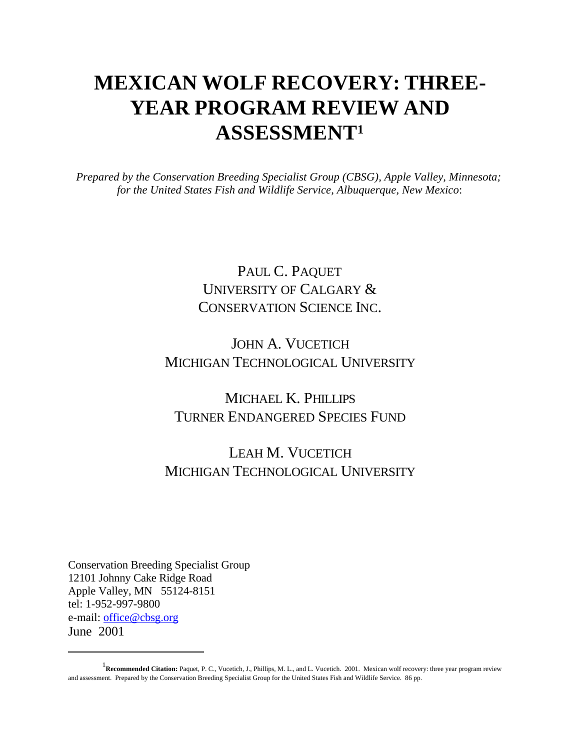# **MEXICAN WOLF RECOVERY: THREE-YEAR PROGRAM REVIEW AND ASSESSMENT<sup>1</sup>**

*Prepared by the Conservation Breeding Specialist Group (CBSG), Apple Valley, Minnesota; for the United States Fish and Wildlife Service, Albuquerque, New Mexico*:

## PAUL C. PAQUET UNIVERSITY OF CALGARY & CONSERVATION SCIENCE INC.

## JOHN A. VUCETICH MICHIGAN TECHNOLOGICAL UNIVERSITY

## MICHAEL K. PHILLIPS TURNER ENDANGERED SPECIES FUND

## LEAH M. VUCETICH MICHIGAN TECHNOLOGICAL UNIVERSITY

Conservation Breeding Specialist Group 12101 Johnny Cake Ridge Road Apple Valley, MN 55124-8151 tel: 1-952-997-9800 e-mail: office@cbsg.org June 2001

<sup>&</sup>lt;sup>1</sup> Recommended Citation: Paquet, P. C., Vucetich, J., Phillips, M. L., and L. Vucetich. 2001. Mexican wolf recovery: three year program review and assessment. Prepared by the Conservation Breeding Specialist Group for the United States Fish and Wildlife Service. 86 pp.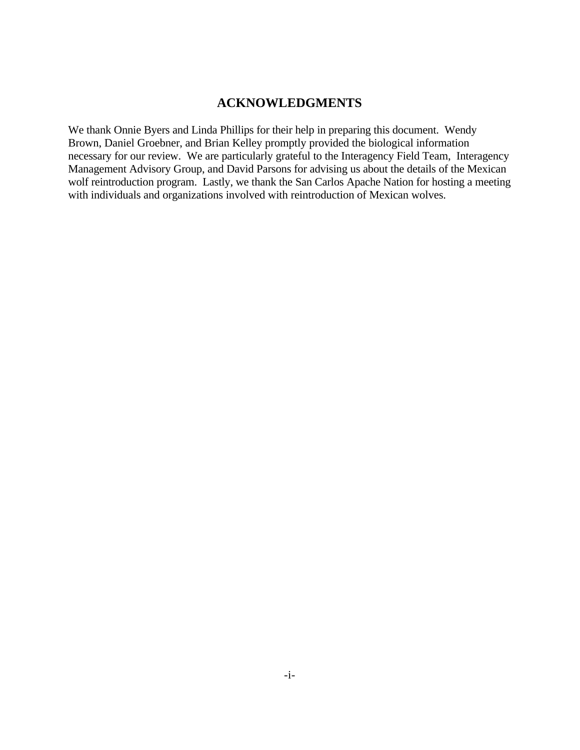### **ACKNOWLEDGMENTS**

We thank Onnie Byers and Linda Phillips for their help in preparing this document. Wendy Brown, Daniel Groebner, and Brian Kelley promptly provided the biological information necessary for our review. We are particularly grateful to the Interagency Field Team, Interagency Management Advisory Group, and David Parsons for advising us about the details of the Mexican wolf reintroduction program. Lastly, we thank the San Carlos Apache Nation for hosting a meeting with individuals and organizations involved with reintroduction of Mexican wolves.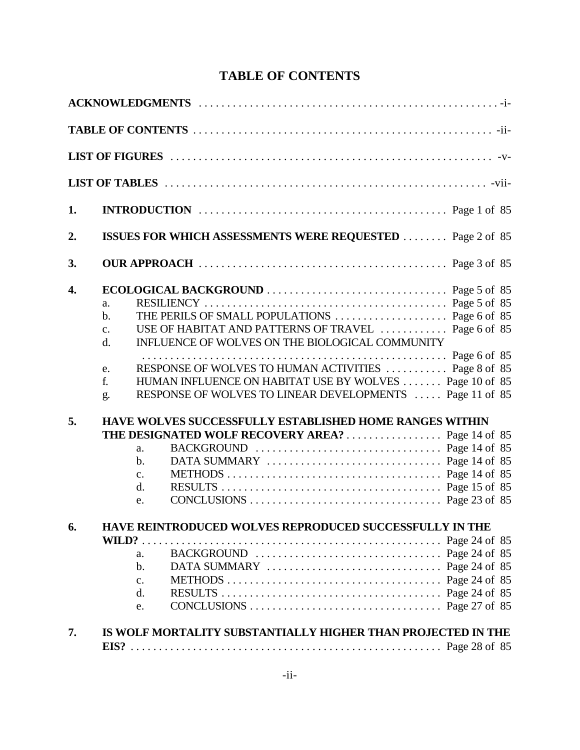## **TABLE OF CONTENTS**

| 1. |                                                                                                                                                                                                                                                                                                                                                        |  |
|----|--------------------------------------------------------------------------------------------------------------------------------------------------------------------------------------------------------------------------------------------------------------------------------------------------------------------------------------------------------|--|
| 2. | <b>ISSUES FOR WHICH ASSESSMENTS WERE REQUESTED  Page 2 of 85</b>                                                                                                                                                                                                                                                                                       |  |
| 3. |                                                                                                                                                                                                                                                                                                                                                        |  |
| 4. | a.<br>$\mathbf{b}$ .<br>USE OF HABITAT AND PATTERNS OF TRAVEL  Page 6 of 85<br>$C_{\bullet}$<br>INFLUENCE OF WOLVES ON THE BIOLOGICAL COMMUNITY<br>d.<br>RESPONSE OF WOLVES TO HUMAN ACTIVITIES  Page 8 of 85<br>e.<br>HUMAN INFLUENCE ON HABITAT USE BY WOLVES  Page 10 of 85<br>f.<br>RESPONSE OF WOLVES TO LINEAR DEVELOPMENTS  Page 11 of 85<br>g. |  |
| 5. | HAVE WOLVES SUCCESSFULLY ESTABLISHED HOME RANGES WITHIN<br>a.<br>$\mathbf{b}$ .<br>c.<br>$\mathbf{d}$ .<br>e.                                                                                                                                                                                                                                          |  |
| 6. | HAVE REINTRODUCED WOLVES REPRODUCED SUCCESSFULLY IN THE<br>WILD?.<br>a.<br>$\mathbf b$ .<br>METHODS $\dots \dots \dots \dots \dots \dots \dots \dots \dots \dots \dots$ . Page 24 of 85<br>c.<br>d.<br>e.                                                                                                                                              |  |
| 7. | IS WOLF MORTALITY SUBSTANTIALLY HIGHER THAN PROJECTED IN THE                                                                                                                                                                                                                                                                                           |  |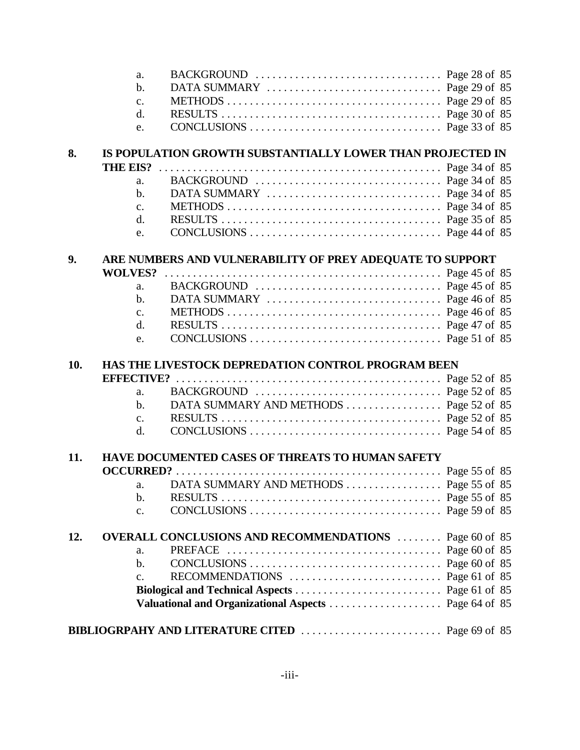|     | a.                |                                                                                                                     |  |
|-----|-------------------|---------------------------------------------------------------------------------------------------------------------|--|
|     | $\mathbf b$ .     | DATA SUMMARY $\ldots \ldots \ldots \ldots \ldots \ldots \ldots \ldots$ . Page 29 of 85                              |  |
|     | c.                | METHODS $\dots \dots \dots \dots \dots \dots \dots \dots \dots \dots \dots$ . Page 29 of 85                         |  |
|     | d.                |                                                                                                                     |  |
|     | e.                | CONCLUSIONS $\ldots$ $\ldots$ $\ldots$ $\ldots$ $\ldots$ $\ldots$ $\ldots$ $\ldots$ $\ldots$ $\ldots$ Page 33 of 85 |  |
|     |                   |                                                                                                                     |  |
| 8.  |                   | IS POPULATION GROWTH SUBSTANTIALLY LOWER THAN PROJECTED IN                                                          |  |
|     | <b>THE EIS?</b>   |                                                                                                                     |  |
|     | a.                |                                                                                                                     |  |
|     | $\mathbf{b}$ .    |                                                                                                                     |  |
|     | c.                |                                                                                                                     |  |
|     | d.                |                                                                                                                     |  |
|     | e.                |                                                                                                                     |  |
|     |                   |                                                                                                                     |  |
| 9.  |                   | ARE NUMBERS AND VULNERABILITY OF PREY ADEQUATE TO SUPPORT                                                           |  |
|     | <b>WOLVES?</b>    |                                                                                                                     |  |
|     | a.                |                                                                                                                     |  |
|     | $\mathbf b$ .     |                                                                                                                     |  |
|     | $\mathbf{c}$ .    | METHODS $\dots \dots \dots \dots \dots \dots \dots \dots \dots \dots \dots$ . Page 46 of 85                         |  |
|     | d.                |                                                                                                                     |  |
|     | e.                | CONCLUSIONS $\ldots$ $\ldots$ $\ldots$ $\ldots$ $\ldots$ $\ldots$ $\ldots$ $\ldots$ $\ldots$ Page 51 of 85          |  |
| 10. |                   | <b>HAS THE LIVESTOCK DEPREDATION CONTROL PROGRAM BEEN</b>                                                           |  |
|     | <b>EFFECTIVE?</b> |                                                                                                                     |  |
|     | a.                |                                                                                                                     |  |
|     | $\mathbf{b}$ .    | DATA SUMMARY AND METHODS  Page 52 of 85                                                                             |  |
|     | c.                |                                                                                                                     |  |
|     | d.                |                                                                                                                     |  |
|     |                   |                                                                                                                     |  |
| 11. |                   | <b>HAVE DOCUMENTED CASES OF THREATS TO HUMAN SAFETY</b>                                                             |  |
|     |                   |                                                                                                                     |  |
|     | a.                | DATA SUMMARY AND METHODS Page 55 of 85                                                                              |  |
|     | $\mathbf b$ .     |                                                                                                                     |  |
|     | c.                |                                                                                                                     |  |
| 12. |                   | <b>OVERALL CONCLUSIONS AND RECOMMENDATIONS</b> Page 60 of 85                                                        |  |
|     | a.                |                                                                                                                     |  |
|     | b.                |                                                                                                                     |  |
|     | $\mathbf{C}$ .    |                                                                                                                     |  |
|     |                   |                                                                                                                     |  |
|     |                   | Valuational and Organizational Aspects  Page 64 of 85                                                               |  |
|     |                   |                                                                                                                     |  |
|     |                   |                                                                                                                     |  |
|     |                   |                                                                                                                     |  |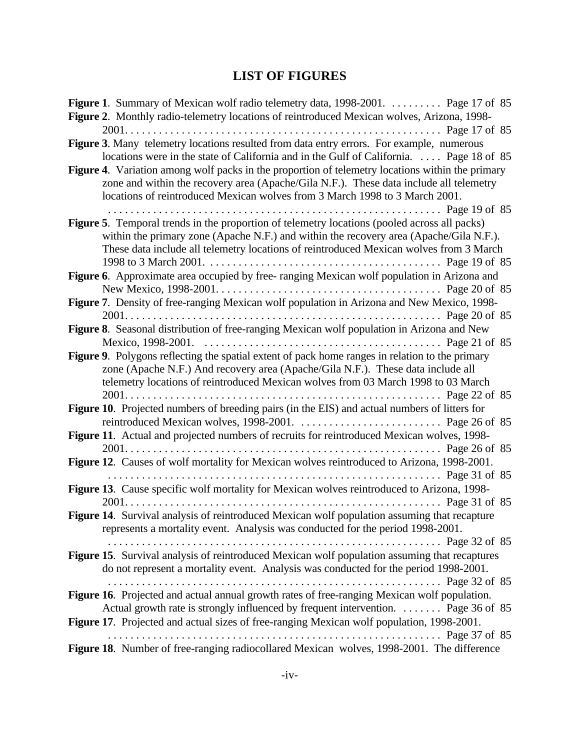## **LIST OF FIGURES**

| Figure 1. Summary of Mexican wolf radio telemetry data, 1998-2001.  Page 17 of 85<br>Figure 2. Monthly radio-telemetry locations of reintroduced Mexican wolves, Arizona, 1998-                                                                                           |
|---------------------------------------------------------------------------------------------------------------------------------------------------------------------------------------------------------------------------------------------------------------------------|
|                                                                                                                                                                                                                                                                           |
| Figure 3. Many telemetry locations resulted from data entry errors. For example, numerous<br>locations were in the state of California and in the Gulf of California.  Page 18 of 85                                                                                      |
| Figure 4. Variation among wolf packs in the proportion of telemetry locations within the primary<br>zone and within the recovery area (Apache/Gila N.F.). These data include all telemetry<br>locations of reintroduced Mexican wolves from 3 March 1998 to 3 March 2001. |
|                                                                                                                                                                                                                                                                           |
| Figure 5. Temporal trends in the proportion of telemetry locations (pooled across all packs)                                                                                                                                                                              |
| within the primary zone (Apache N.F.) and within the recovery area (Apache/Gila N.F.).                                                                                                                                                                                    |
| These data include all telemetry locations of reintroduced Mexican wolves from 3 March                                                                                                                                                                                    |
|                                                                                                                                                                                                                                                                           |
| Figure 6. Approximate area occupied by free-ranging Mexican wolf population in Arizona and                                                                                                                                                                                |
|                                                                                                                                                                                                                                                                           |
| Figure 7. Density of free-ranging Mexican wolf population in Arizona and New Mexico, 1998-                                                                                                                                                                                |
|                                                                                                                                                                                                                                                                           |
| Figure 8. Seasonal distribution of free-ranging Mexican wolf population in Arizona and New                                                                                                                                                                                |
| Figure 9. Polygons reflecting the spatial extent of pack home ranges in relation to the primary<br>zone (Apache N.F.) And recovery area (Apache/Gila N.F.). These data include all<br>telemetry locations of reintroduced Mexican wolves from 03 March 1998 to 03 March   |
|                                                                                                                                                                                                                                                                           |
| Figure 10. Projected numbers of breeding pairs (in the EIS) and actual numbers of litters for                                                                                                                                                                             |
|                                                                                                                                                                                                                                                                           |
| Figure 11. Actual and projected numbers of recruits for reintroduced Mexican wolves, 1998-                                                                                                                                                                                |
|                                                                                                                                                                                                                                                                           |
| Figure 12. Causes of wolf mortality for Mexican wolves reintroduced to Arizona, 1998-2001.                                                                                                                                                                                |
| Page 31 of 85                                                                                                                                                                                                                                                             |
| Figure 13. Cause specific wolf mortality for Mexican wolves reintroduced to Arizona, 1998-                                                                                                                                                                                |
|                                                                                                                                                                                                                                                                           |
| Figure 14. Survival analysis of reintroduced Mexican wolf population assuming that recapture<br>represents a mortality event. Analysis was conducted for the period 1998-2001.                                                                                            |
|                                                                                                                                                                                                                                                                           |
| Figure 15. Survival analysis of reintroduced Mexican wolf population assuming that recaptures<br>do not represent a mortality event. Analysis was conducted for the period 1998-2001.                                                                                     |
|                                                                                                                                                                                                                                                                           |
| Figure 16. Projected and actual annual growth rates of free-ranging Mexican wolf population.                                                                                                                                                                              |
| Actual growth rate is strongly influenced by frequent intervention.  Page 36 of 85                                                                                                                                                                                        |
| Figure 17. Projected and actual sizes of free-ranging Mexican wolf population, 1998-2001.                                                                                                                                                                                 |
|                                                                                                                                                                                                                                                                           |
| Figure 18. Number of free-ranging radiocollared Mexican wolves, 1998-2001. The difference                                                                                                                                                                                 |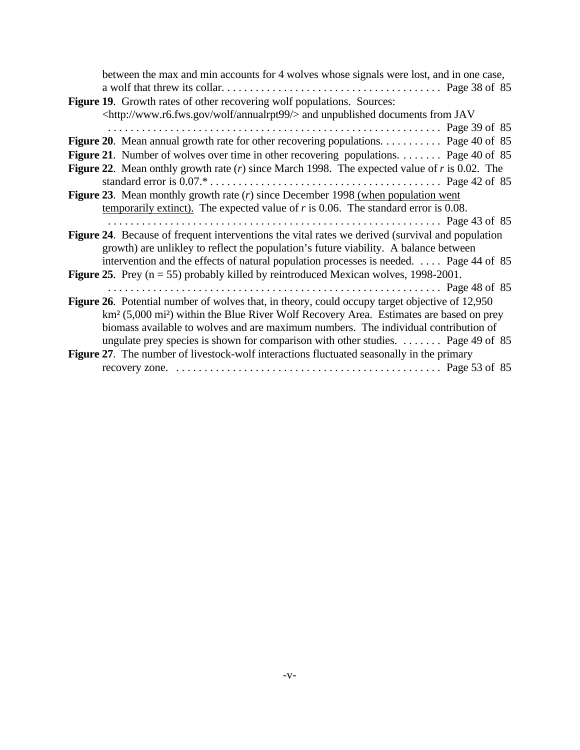| between the max and min accounts for 4 wolves whose signals were lost, and in one case,                        |  |
|----------------------------------------------------------------------------------------------------------------|--|
|                                                                                                                |  |
| Figure 19. Growth rates of other recovering wolf populations. Sources:                                         |  |
| <http: annualrpt99="" wolf="" www.r6.fws.gov=""></http:> and unpublished documents from JAV                    |  |
|                                                                                                                |  |
| Figure 20. Mean annual growth rate for other recovering populations. Page 40 of 85                             |  |
| <b>Figure 21.</b> Number of wolves over time in other recovering populations. Page 40 of 85                    |  |
| <b>Figure 22.</b> Mean onthly growth rate $(r)$ since March 1998. The expected value of r is 0.02. The         |  |
|                                                                                                                |  |
| <b>Figure 23.</b> Mean monthly growth rate $(r)$ since December 1998 (when population went                     |  |
| temporarily extinct). The expected value of $r$ is 0.06. The standard error is 0.08.                           |  |
|                                                                                                                |  |
| Figure 24. Because of frequent interventions the vital rates we derived (survival and population               |  |
| growth) are unlikley to reflect the population's future viability. A balance between                           |  |
| intervention and the effects of natural population processes is needed.  Page 44 of 85                         |  |
| <b>Figure 25.</b> Prey ( $n = 55$ ) probably killed by reintroduced Mexican wolves, 1998-2001.                 |  |
|                                                                                                                |  |
| <b>Figure 26.</b> Potential number of wolves that, in theory, could occupy target objective of 12,950          |  |
| km <sup>2</sup> (5,000 mi <sup>2</sup> ) within the Blue River Wolf Recovery Area. Estimates are based on prey |  |
| biomass available to wolves and are maximum numbers. The individual contribution of                            |  |
| ungulate prey species is shown for comparison with other studies. $\dots \dots$ Page 49 of 85                  |  |
| Figure 27. The number of livestock-wolf interactions fluctuated seasonally in the primary                      |  |
|                                                                                                                |  |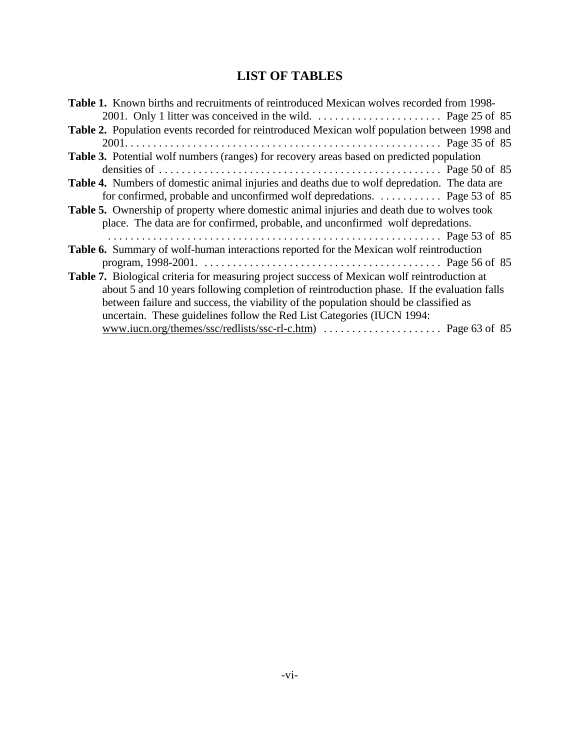## **LIST OF TABLES**

| <b>Table 1.</b> Known births and recruitments of reintroduced Mexican wolves recorded from 1998-   |  |
|----------------------------------------------------------------------------------------------------|--|
| 2001. Only 1 litter was conceived in the wild. $\dots \dots \dots \dots \dots \dots$ Page 25 of 85 |  |
| Table 2. Population events recorded for reintroduced Mexican wolf population between 1998 and      |  |
|                                                                                                    |  |
| Table 3. Potential wolf numbers (ranges) for recovery areas based on predicted population          |  |
|                                                                                                    |  |
| Table 4. Numbers of domestic animal injuries and deaths due to wolf depredation. The data are      |  |
| for confirmed, probable and unconfirmed wolf depredations.  Page 53 of 85                          |  |
| Table 5. Ownership of property where domestic animal injuries and death due to wolves took         |  |
| place. The data are for confirmed, probable, and unconfirmed wolf depredations.                    |  |
|                                                                                                    |  |
| Table 6. Summary of wolf-human interactions reported for the Mexican wolf reintroduction           |  |
|                                                                                                    |  |
| Table 7. Biological criteria for measuring project success of Mexican wolf reintroduction at       |  |
| about 5 and 10 years following completion of reintroduction phase. If the evaluation falls         |  |
| between failure and success, the viability of the population should be classified as               |  |
| uncertain. These guidelines follow the Red List Categories (IUCN 1994:                             |  |
|                                                                                                    |  |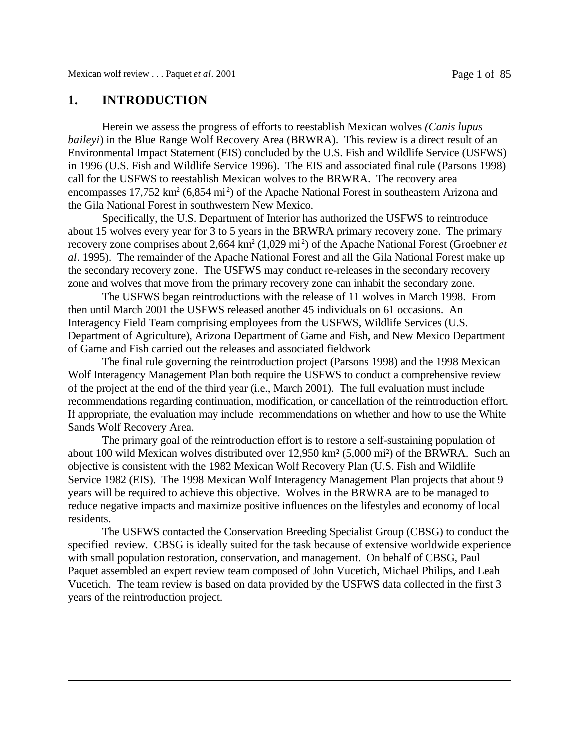### **1. INTRODUCTION**

Herein we assess the progress of efforts to reestablish Mexican wolves *(Canis lupus baileyi*) in the Blue Range Wolf Recovery Area (BRWRA). This review is a direct result of an Environmental Impact Statement (EIS) concluded by the U.S. Fish and Wildlife Service (USFWS) in 1996 (U.S. Fish and Wildlife Service 1996). The EIS and associated final rule (Parsons 1998) call for the USFWS to reestablish Mexican wolves to the BRWRA. The recovery area encompasses 17,752 km<sup>2</sup> (6,854 mi<sup>2</sup>) of the Apache National Forest in southeastern Arizona and the Gila National Forest in southwestern New Mexico.

Specifically, the U.S. Department of Interior has authorized the USFWS to reintroduce about 15 wolves every year for 3 to 5 years in the BRWRA primary recovery zone. The primary recovery zone comprises about 2,664 km<sup>2</sup> (1,029 mi<sup>2</sup>) of the Apache National Forest (Groebner *et al*. 1995). The remainder of the Apache National Forest and all the Gila National Forest make up the secondary recovery zone. The USFWS may conduct re-releases in the secondary recovery zone and wolves that move from the primary recovery zone can inhabit the secondary zone.

The USFWS began reintroductions with the release of 11 wolves in March 1998. From then until March 2001 the USFWS released another 45 individuals on 61 occasions. An Interagency Field Team comprising employees from the USFWS, Wildlife Services (U.S. Department of Agriculture), Arizona Department of Game and Fish, and New Mexico Department of Game and Fish carried out the releases and associated fieldwork

The final rule governing the reintroduction project (Parsons 1998) and the 1998 Mexican Wolf Interagency Management Plan both require the USFWS to conduct a comprehensive review of the project at the end of the third year (i.e., March 2001). The full evaluation must include recommendations regarding continuation, modification, or cancellation of the reintroduction effort. If appropriate, the evaluation may include recommendations on whether and how to use the White Sands Wolf Recovery Area.

The primary goal of the reintroduction effort is to restore a self-sustaining population of about 100 wild Mexican wolves distributed over 12,950 km² (5,000 mi²) of the BRWRA. Such an objective is consistent with the 1982 Mexican Wolf Recovery Plan (U.S. Fish and Wildlife Service 1982 (EIS). The 1998 Mexican Wolf Interagency Management Plan projects that about 9 years will be required to achieve this objective. Wolves in the BRWRA are to be managed to reduce negative impacts and maximize positive influences on the lifestyles and economy of local residents.

The USFWS contacted the Conservation Breeding Specialist Group (CBSG) to conduct the specified review. CBSG is ideally suited for the task because of extensive worldwide experience with small population restoration, conservation, and management. On behalf of CBSG, Paul Paquet assembled an expert review team composed of John Vucetich, Michael Philips, and Leah Vucetich. The team review is based on data provided by the USFWS data collected in the first 3 years of the reintroduction project.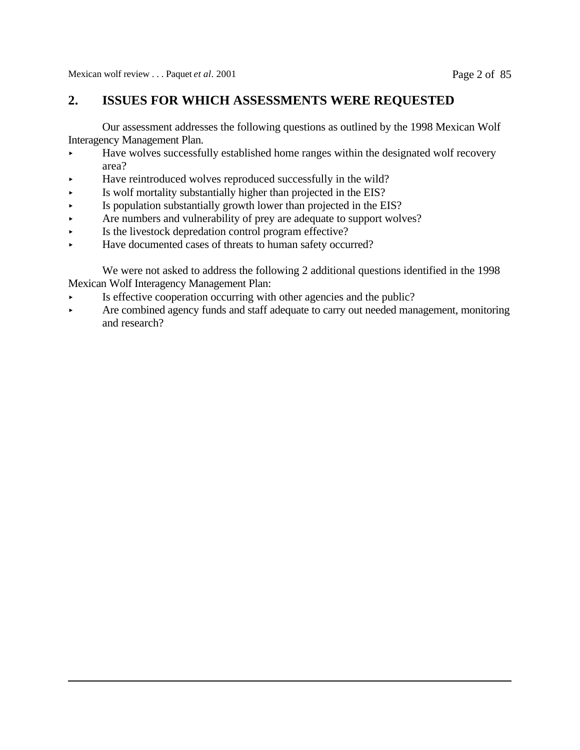### **2. ISSUES FOR WHICH ASSESSMENTS WERE REQUESTED**

Our assessment addresses the following questions as outlined by the 1998 Mexican Wolf Interagency Management Plan.

- Have wolves successfully established home ranges within the designated wolf recovery area?
- < Have reintroduced wolves reproduced successfully in the wild?
- < Is wolf mortality substantially higher than projected in the EIS?
- $\blacktriangleright$  Is population substantially growth lower than projected in the EIS?
- Are numbers and vulnerability of prey are adequate to support wolves?
- $\blacktriangleright$  Is the livestock depredation control program effective?
- < Have documented cases of threats to human safety occurred?

We were not asked to address the following 2 additional questions identified in the 1998 Mexican Wolf Interagency Management Plan:

- $\triangleright$  Is effective cooperation occurring with other agencies and the public?
- Are combined agency funds and staff adequate to carry out needed management, monitoring and research?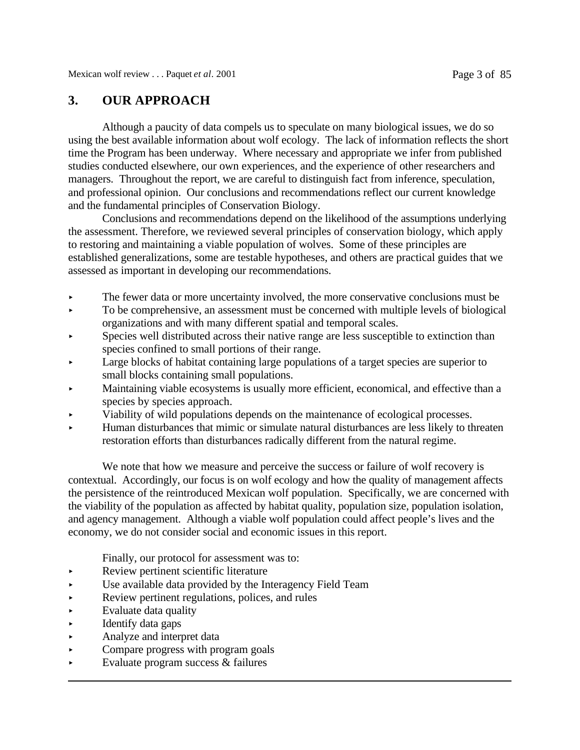### **3. OUR APPROACH**

Although a paucity of data compels us to speculate on many biological issues, we do so using the best available information about wolf ecology. The lack of information reflects the short time the Program has been underway. Where necessary and appropriate we infer from published studies conducted elsewhere, our own experiences, and the experience of other researchers and managers. Throughout the report, we are careful to distinguish fact from inference, speculation, and professional opinion. Our conclusions and recommendations reflect our current knowledge and the fundamental principles of Conservation Biology.

Conclusions and recommendations depend on the likelihood of the assumptions underlying the assessment. Therefore, we reviewed several principles of conservation biology, which apply to restoring and maintaining a viable population of wolves. Some of these principles are established generalizations, some are testable hypotheses, and others are practical guides that we assessed as important in developing our recommendations.

- The fewer data or more uncertainty involved, the more conservative conclusions must be
- $\triangleright$  To be comprehensive, an assessment must be concerned with multiple levels of biological organizations and with many different spatial and temporal scales.
- Species well distributed across their native range are less susceptible to extinction than species confined to small portions of their range.
- Large blocks of habitat containing large populations of a target species are superior to small blocks containing small populations.
- < Maintaining viable ecosystems is usually more efficient, economical, and effective than a species by species approach.
- < Viability of wild populations depends on the maintenance of ecological processes.
- < Human disturbances that mimic or simulate natural disturbances are less likely to threaten restoration efforts than disturbances radically different from the natural regime.

We note that how we measure and perceive the success or failure of wolf recovery is contextual. Accordingly, our focus is on wolf ecology and how the quality of management affects the persistence of the reintroduced Mexican wolf population. Specifically, we are concerned with the viability of the population as affected by habitat quality, population size, population isolation, and agency management. Although a viable wolf population could affect people's lives and the economy, we do not consider social and economic issues in this report.

Finally, our protocol for assessment was to:

- < Review pertinent scientific literature
- Use available data provided by the Interagency Field Team
- Review pertinent regulations, polices, and rules
- $\blacktriangleright$  Evaluate data quality
- < Identify data gaps
- < Analyze and interpret data
- < Compare progress with program goals
- Evaluate program success & failures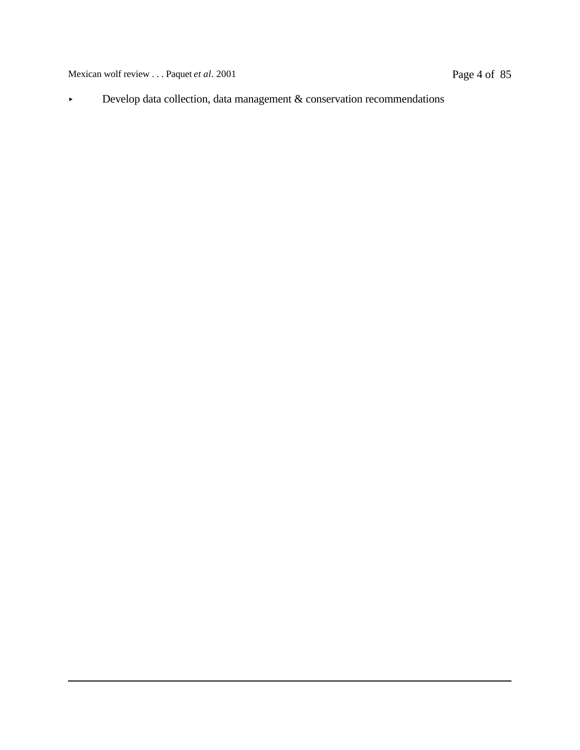Mexican wolf review . . . Paquet *et al.* 2001 Page 4 of 85

< Develop data collection, data management & conservation recommendations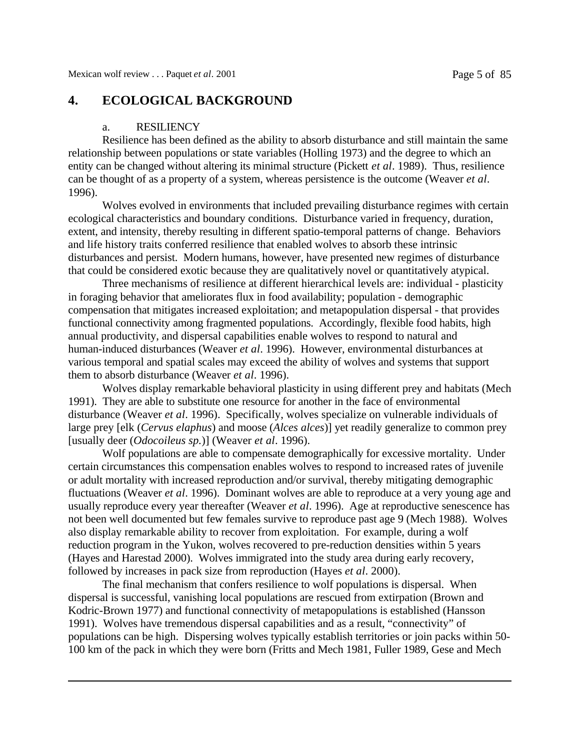### **4. ECOLOGICAL BACKGROUND**

### a. RESILIENCY

Resilience has been defined as the ability to absorb disturbance and still maintain the same relationship between populations or state variables (Holling 1973) and the degree to which an entity can be changed without altering its minimal structure (Pickett *et al*. 1989). Thus, resilience can be thought of as a property of a system, whereas persistence is the outcome (Weaver *et al*. 1996).

Wolves evolved in environments that included prevailing disturbance regimes with certain ecological characteristics and boundary conditions. Disturbance varied in frequency, duration, extent, and intensity, thereby resulting in different spatio-temporal patterns of change. Behaviors and life history traits conferred resilience that enabled wolves to absorb these intrinsic disturbances and persist. Modern humans, however, have presented new regimes of disturbance that could be considered exotic because they are qualitatively novel or quantitatively atypical.

Three mechanisms of resilience at different hierarchical levels are: individual - plasticity in foraging behavior that ameliorates flux in food availability; population - demographic compensation that mitigates increased exploitation; and metapopulation dispersal - that provides functional connectivity among fragmented populations. Accordingly, flexible food habits, high annual productivity, and dispersal capabilities enable wolves to respond to natural and human-induced disturbances (Weaver *et al*. 1996). However, environmental disturbances at various temporal and spatial scales may exceed the ability of wolves and systems that support them to absorb disturbance (Weaver *et al*. 1996).

Wolves display remarkable behavioral plasticity in using different prey and habitats (Mech 1991). They are able to substitute one resource for another in the face of environmental disturbance (Weaver *et al*. 1996). Specifically, wolves specialize on vulnerable individuals of large prey [elk (*Cervus elaphus*) and moose (*Alces alces*)] yet readily generalize to common prey [usually deer (*Odocoileus sp.*)] (Weaver *et al*. 1996).

Wolf populations are able to compensate demographically for excessive mortality. Under certain circumstances this compensation enables wolves to respond to increased rates of juvenile or adult mortality with increased reproduction and/or survival, thereby mitigating demographic fluctuations (Weaver *et al*. 1996). Dominant wolves are able to reproduce at a very young age and usually reproduce every year thereafter (Weaver *et al*. 1996). Age at reproductive senescence has not been well documented but few females survive to reproduce past age 9 (Mech 1988). Wolves also display remarkable ability to recover from exploitation. For example, during a wolf reduction program in the Yukon, wolves recovered to pre-reduction densities within 5 years (Hayes and Harestad 2000). Wolves immigrated into the study area during early recovery, followed by increases in pack size from reproduction (Hayes *et al*. 2000).

The final mechanism that confers resilience to wolf populations is dispersal. When dispersal is successful, vanishing local populations are rescued from extirpation (Brown and Kodric-Brown 1977) and functional connectivity of metapopulations is established (Hansson 1991). Wolves have tremendous dispersal capabilities and as a result, "connectivity" of populations can be high. Dispersing wolves typically establish territories or join packs within 50- 100 km of the pack in which they were born (Fritts and Mech 1981, Fuller 1989, Gese and Mech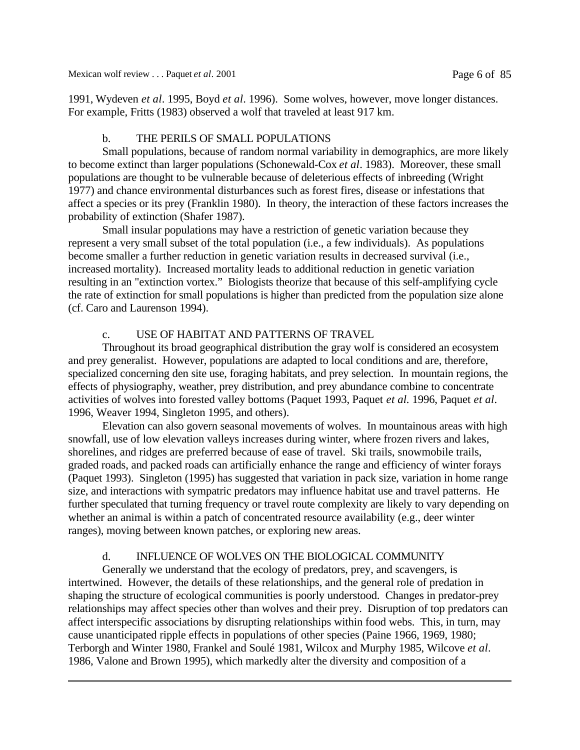1991, Wydeven *et al*. 1995, Boyd *et al*. 1996). Some wolves, however, move longer distances. For example, Fritts (1983) observed a wolf that traveled at least 917 km.

### b. THE PERILS OF SMALL POPULATIONS

Small populations, because of random normal variability in demographics, are more likely to become extinct than larger populations (Schonewald-Cox *et al*. 1983). Moreover, these small populations are thought to be vulnerable because of deleterious effects of inbreeding (Wright 1977) and chance environmental disturbances such as forest fires, disease or infestations that affect a species or its prey (Franklin 1980). In theory, the interaction of these factors increases the probability of extinction (Shafer 1987).

Small insular populations may have a restriction of genetic variation because they represent a very small subset of the total population (i.e., a few individuals). As populations become smaller a further reduction in genetic variation results in decreased survival (i.e., increased mortality). Increased mortality leads to additional reduction in genetic variation resulting in an "extinction vortex." Biologists theorize that because of this self-amplifying cycle the rate of extinction for small populations is higher than predicted from the population size alone (cf. Caro and Laurenson 1994).

### c. USE OF HABITAT AND PATTERNS OF TRAVEL

Throughout its broad geographical distribution the gray wolf is considered an ecosystem and prey generalist. However, populations are adapted to local conditions and are, therefore, specialized concerning den site use, foraging habitats, and prey selection. In mountain regions, the effects of physiography, weather, prey distribution, and prey abundance combine to concentrate activities of wolves into forested valley bottoms (Paquet 1993, Paquet *et al.* 1996, Paquet *et al*. 1996, Weaver 1994, Singleton 1995, and others).

Elevation can also govern seasonal movements of wolves. In mountainous areas with high snowfall, use of low elevation valleys increases during winter, where frozen rivers and lakes, shorelines, and ridges are preferred because of ease of travel. Ski trails, snowmobile trails, graded roads, and packed roads can artificially enhance the range and efficiency of winter forays (Paquet 1993). Singleton (1995) has suggested that variation in pack size, variation in home range size, and interactions with sympatric predators may influence habitat use and travel patterns. He further speculated that turning frequency or travel route complexity are likely to vary depending on whether an animal is within a patch of concentrated resource availability (e.g., deer winter ranges), moving between known patches, or exploring new areas.

### d. INFLUENCE OF WOLVES ON THE BIOLOGICAL COMMUNITY

Generally we understand that the ecology of predators, prey, and scavengers, is intertwined. However, the details of these relationships, and the general role of predation in shaping the structure of ecological communities is poorly understood. Changes in predator-prey relationships may affect species other than wolves and their prey. Disruption of top predators can affect interspecific associations by disrupting relationships within food webs. This, in turn, may cause unanticipated ripple effects in populations of other species (Paine 1966, 1969, 1980; Terborgh and Winter 1980, Frankel and Soulé 1981, Wilcox and Murphy 1985, Wilcove *et al*. 1986, Valone and Brown 1995), which markedly alter the diversity and composition of a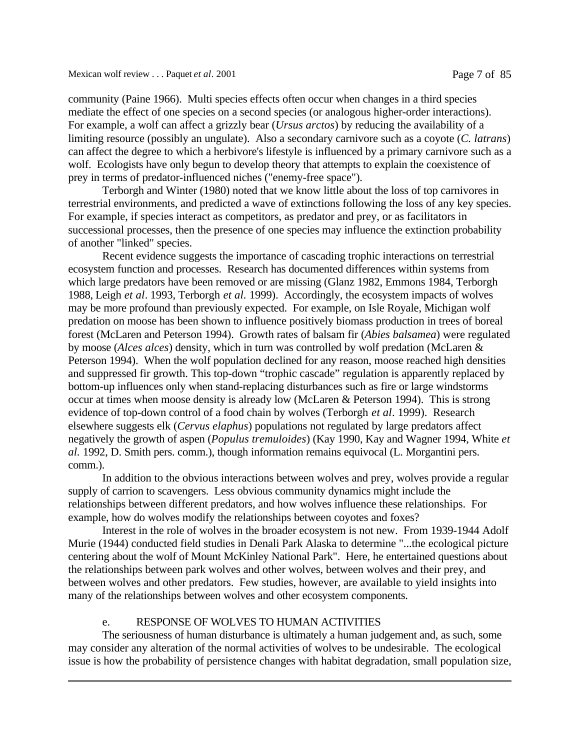community (Paine 1966). Multi species effects often occur when changes in a third species mediate the effect of one species on a second species (or analogous higher-order interactions). For example, a wolf can affect a grizzly bear (*Ursus arctos*) by reducing the availability of a limiting resource (possibly an ungulate). Also a secondary carnivore such as a coyote (*C. latrans*) can affect the degree to which a herbivore's lifestyle is influenced by a primary carnivore such as a wolf. Ecologists have only begun to develop theory that attempts to explain the coexistence of prey in terms of predator-influenced niches ("enemy-free space").

Terborgh and Winter (1980) noted that we know little about the loss of top carnivores in terrestrial environments, and predicted a wave of extinctions following the loss of any key species. For example, if species interact as competitors, as predator and prey, or as facilitators in successional processes, then the presence of one species may influence the extinction probability of another "linked" species.

Recent evidence suggests the importance of cascading trophic interactions on terrestrial ecosystem function and processes. Research has documented differences within systems from which large predators have been removed or are missing (Glanz 1982, Emmons 1984, Terborgh 1988, Leigh *et al*. 1993, Terborgh *et al.* 1999). Accordingly, the ecosystem impacts of wolves may be more profound than previously expected. For example, on Isle Royale, Michigan wolf predation on moose has been shown to influence positively biomass production in trees of boreal forest (McLaren and Peterson 1994). Growth rates of balsam fir (*Abies balsamea*) were regulated by moose (*Alces alces*) density, which in turn was controlled by wolf predation (McLaren & Peterson 1994). When the wolf population declined for any reason, moose reached high densities and suppressed fir growth. This top-down "trophic cascade" regulation is apparently replaced by bottom-up influences only when stand-replacing disturbances such as fire or large windstorms occur at times when moose density is already low (McLaren & Peterson 1994). This is strong evidence of top-down control of a food chain by wolves (Terborgh *et al*. 1999). Research elsewhere suggests elk (*Cervus elaphus*) populations not regulated by large predators affect negatively the growth of aspen (*Populus tremuloides*) (Kay 1990, Kay and Wagner 1994, White *et al.* 1992, D. Smith pers. comm.), though information remains equivocal (L. Morgantini pers. comm.).

In addition to the obvious interactions between wolves and prey, wolves provide a regular supply of carrion to scavengers. Less obvious community dynamics might include the relationships between different predators, and how wolves influence these relationships. For example, how do wolves modify the relationships between coyotes and foxes?

Interest in the role of wolves in the broader ecosystem is not new. From 1939-1944 Adolf Murie (1944) conducted field studies in Denali Park Alaska to determine "...the ecological picture centering about the wolf of Mount McKinley National Park". Here, he entertained questions about the relationships between park wolves and other wolves, between wolves and their prey, and between wolves and other predators. Few studies, however, are available to yield insights into many of the relationships between wolves and other ecosystem components.

### e. RESPONSE OF WOLVES TO HUMAN ACTIVITIES

The seriousness of human disturbance is ultimately a human judgement and, as such, some may consider any alteration of the normal activities of wolves to be undesirable. The ecological issue is how the probability of persistence changes with habitat degradation, small population size,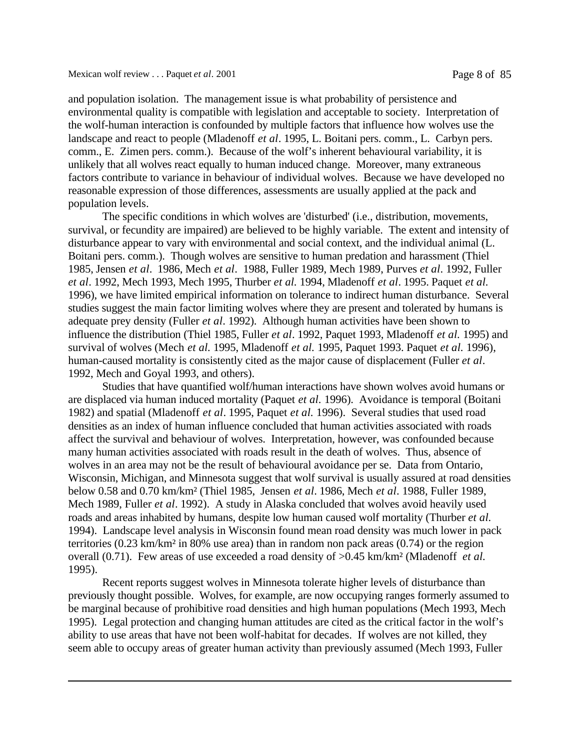and population isolation. The management issue is what probability of persistence and environmental quality is compatible with legislation and acceptable to society. Interpretation of the wolf-human interaction is confounded by multiple factors that influence how wolves use the landscape and react to people (Mladenoff *et al*. 1995, L. Boitani pers. comm., L. Carbyn pers. comm., E. Zimen pers. comm.). Because of the wolf's inherent behavioural variability, it is unlikely that all wolves react equally to human induced change. Moreover, many extraneous factors contribute to variance in behaviour of individual wolves. Because we have developed no reasonable expression of those differences, assessments are usually applied at the pack and population levels.

The specific conditions in which wolves are 'disturbed' (i.e., distribution, movements, survival, or fecundity are impaired) are believed to be highly variable. The extent and intensity of disturbance appear to vary with environmental and social context, and the individual animal (L. Boitani pers. comm.). Though wolves are sensitive to human predation and harassment (Thiel 1985, Jensen *et al*. 1986, Mech *et al*. 1988, Fuller 1989, Mech 1989, Purves *et al*. 1992, Fuller *et al*. 1992, Mech 1993, Mech 1995, Thurber *et al.* 1994, Mladenoff *et al*. 1995. Paquet *et al.* 1996), we have limited empirical information on tolerance to indirect human disturbance. Several studies suggest the main factor limiting wolves where they are present and tolerated by humans is adequate prey density (Fuller *et al*. 1992). Although human activities have been shown to influence the distribution (Thiel 1985, Fuller *et al*. 1992, Paquet 1993, Mladenoff *et al.* 1995) and survival of wolves (Mech *et al.* 1995, Mladenoff *et al.* 1995, Paquet 1993. Paquet *et al.* 1996), human-caused mortality is consistently cited as the major cause of displacement (Fuller *et al*. 1992, Mech and Goyal 1993, and others).

Studies that have quantified wolf/human interactions have shown wolves avoid humans or are displaced via human induced mortality (Paquet *et al.* 1996). Avoidance is temporal (Boitani 1982) and spatial (Mladenoff *et al*. 1995, Paquet *et al.* 1996). Several studies that used road densities as an index of human influence concluded that human activities associated with roads affect the survival and behaviour of wolves. Interpretation, however, was confounded because many human activities associated with roads result in the death of wolves. Thus, absence of wolves in an area may not be the result of behavioural avoidance per se. Data from Ontario, Wisconsin, Michigan, and Minnesota suggest that wolf survival is usually assured at road densities below 0.58 and 0.70 km/km² (Thiel 1985, Jensen *et al*. 1986, Mech *et al*. 1988, Fuller 1989, Mech 1989, Fuller *et al*. 1992). A study in Alaska concluded that wolves avoid heavily used roads and areas inhabited by humans, despite low human caused wolf mortality (Thurber *et al.* 1994). Landscape level analysis in Wisconsin found mean road density was much lower in pack territories (0.23 km/km² in 80% use area) than in random non pack areas (0.74) or the region overall (0.71). Few areas of use exceeded a road density of >0.45 km/km² (Mladenoff *et al.* 1995).

Recent reports suggest wolves in Minnesota tolerate higher levels of disturbance than previously thought possible. Wolves, for example, are now occupying ranges formerly assumed to be marginal because of prohibitive road densities and high human populations (Mech 1993, Mech 1995). Legal protection and changing human attitudes are cited as the critical factor in the wolf's ability to use areas that have not been wolf-habitat for decades. If wolves are not killed, they seem able to occupy areas of greater human activity than previously assumed (Mech 1993, Fuller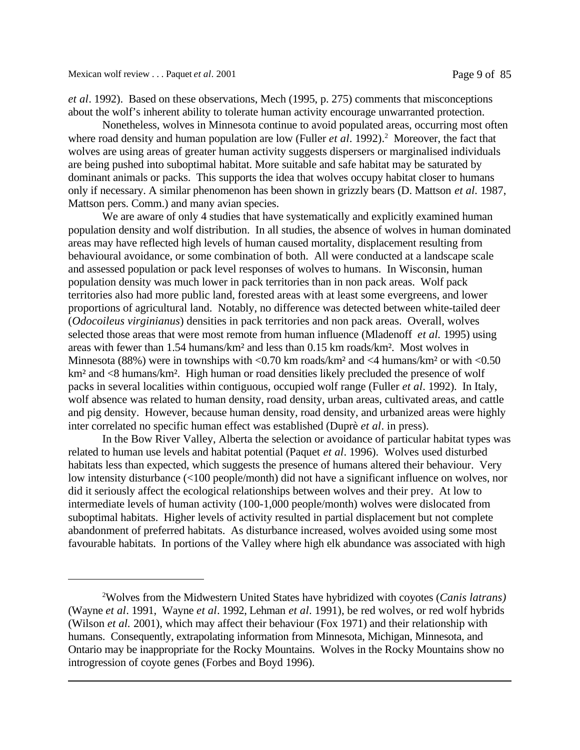*et al*. 1992). Based on these observations, Mech (1995, p. 275) comments that misconceptions about the wolf's inherent ability to tolerate human activity encourage unwarranted protection.

Nonetheless, wolves in Minnesota continue to avoid populated areas, occurring most often where road density and human population are low (Fuller *et al.* 1992).<sup>2</sup> Moreover, the fact that wolves are using areas of greater human activity suggests dispersers or marginalised individuals are being pushed into suboptimal habitat. More suitable and safe habitat may be saturated by dominant animals or packs. This supports the idea that wolves occupy habitat closer to humans only if necessary. A similar phenomenon has been shown in grizzly bears (D. Mattson *et al.* 1987, Mattson pers. Comm.) and many avian species.

We are aware of only 4 studies that have systematically and explicitly examined human population density and wolf distribution. In all studies, the absence of wolves in human dominated areas may have reflected high levels of human caused mortality, displacement resulting from behavioural avoidance, or some combination of both. All were conducted at a landscape scale and assessed population or pack level responses of wolves to humans. In Wisconsin, human population density was much lower in pack territories than in non pack areas. Wolf pack territories also had more public land, forested areas with at least some evergreens, and lower proportions of agricultural land. Notably, no difference was detected between white-tailed deer (*Odocoileus virginianus*) densities in pack territories and non pack areas. Overall, wolves selected those areas that were most remote from human influence (Mladenoff *et al.* 1995) using areas with fewer than 1.54 humans/km² and less than 0.15 km roads/km². Most wolves in Minnesota (88%) were in townships with  $\langle 0.70 \text{ km} \text{ roads/km}^2$  and  $\langle 4 \text{ humans/km}^2 \text{ or with } \langle 0.50 \rangle$ km<sup>2</sup> and <8 humans/km<sup>2</sup>. High human or road densities likely precluded the presence of wolf packs in several localities within contiguous, occupied wolf range (Fuller *et al*. 1992). In Italy, wolf absence was related to human density, road density, urban areas, cultivated areas, and cattle and pig density. However, because human density, road density, and urbanized areas were highly inter correlated no specific human effect was established (Duprè *et al*. in press).

In the Bow River Valley, Alberta the selection or avoidance of particular habitat types was related to human use levels and habitat potential (Paquet *et al*. 1996). Wolves used disturbed habitats less than expected, which suggests the presence of humans altered their behaviour. Very low intensity disturbance (<100 people/month) did not have a significant influence on wolves, nor did it seriously affect the ecological relationships between wolves and their prey. At low to intermediate levels of human activity (100-1,000 people/month) wolves were dislocated from suboptimal habitats. Higher levels of activity resulted in partial displacement but not complete abandonment of preferred habitats. As disturbance increased, wolves avoided using some most favourable habitats. In portions of the Valley where high elk abundance was associated with high

<sup>2</sup>Wolves from the Midwestern United States have hybridized with coyotes (*Canis latrans)* (Wayne *et al*. 1991, Wayne *et al*. 1992, Lehman *et al*. 1991), be red wolves, or red wolf hybrids (Wilson *et al.* 2001), which may affect their behaviour (Fox 1971) and their relationship with humans. Consequently, extrapolating information from Minnesota, Michigan, Minnesota, and Ontario may be inappropriate for the Rocky Mountains. Wolves in the Rocky Mountains show no introgression of coyote genes (Forbes and Boyd 1996).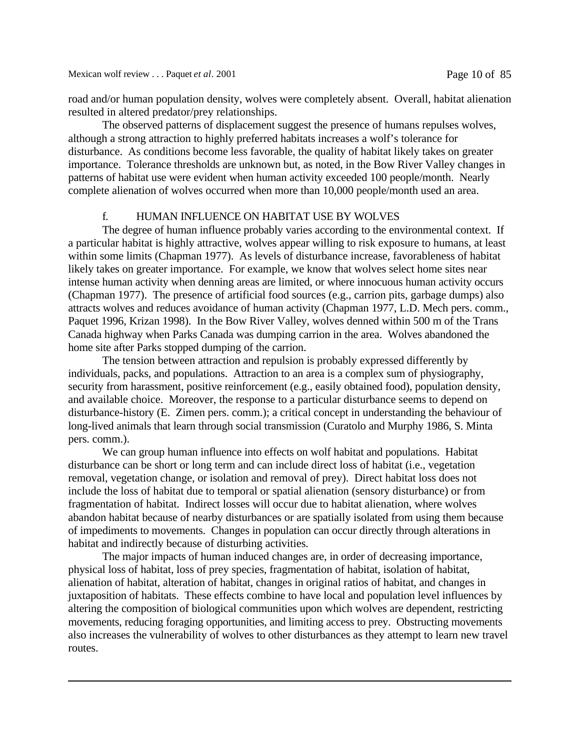road and/or human population density, wolves were completely absent. Overall, habitat alienation resulted in altered predator/prey relationships.

The observed patterns of displacement suggest the presence of humans repulses wolves, although a strong attraction to highly preferred habitats increases a wolf's tolerance for disturbance. As conditions become less favorable, the quality of habitat likely takes on greater importance. Tolerance thresholds are unknown but, as noted, in the Bow River Valley changes in patterns of habitat use were evident when human activity exceeded 100 people/month. Nearly complete alienation of wolves occurred when more than 10,000 people/month used an area.

### f. HUMAN INFLUENCE ON HABITAT USE BY WOLVES

The degree of human influence probably varies according to the environmental context. If a particular habitat is highly attractive, wolves appear willing to risk exposure to humans, at least within some limits (Chapman 1977). As levels of disturbance increase, favorableness of habitat likely takes on greater importance. For example, we know that wolves select home sites near intense human activity when denning areas are limited, or where innocuous human activity occurs (Chapman 1977). The presence of artificial food sources (e.g., carrion pits, garbage dumps) also attracts wolves and reduces avoidance of human activity (Chapman 1977, L.D. Mech pers. comm., Paquet 1996, Krizan 1998). In the Bow River Valley, wolves denned within 500 m of the Trans Canada highway when Parks Canada was dumping carrion in the area. Wolves abandoned the home site after Parks stopped dumping of the carrion.

The tension between attraction and repulsion is probably expressed differently by individuals, packs, and populations. Attraction to an area is a complex sum of physiography, security from harassment, positive reinforcement (e.g., easily obtained food), population density, and available choice. Moreover, the response to a particular disturbance seems to depend on disturbance-history (E. Zimen pers. comm.); a critical concept in understanding the behaviour of long-lived animals that learn through social transmission (Curatolo and Murphy 1986, S. Minta pers. comm.).

We can group human influence into effects on wolf habitat and populations. Habitat disturbance can be short or long term and can include direct loss of habitat (i.e., vegetation removal, vegetation change, or isolation and removal of prey). Direct habitat loss does not include the loss of habitat due to temporal or spatial alienation (sensory disturbance) or from fragmentation of habitat. Indirect losses will occur due to habitat alienation, where wolves abandon habitat because of nearby disturbances or are spatially isolated from using them because of impediments to movements. Changes in population can occur directly through alterations in habitat and indirectly because of disturbing activities.

The major impacts of human induced changes are, in order of decreasing importance, physical loss of habitat, loss of prey species, fragmentation of habitat, isolation of habitat, alienation of habitat, alteration of habitat, changes in original ratios of habitat, and changes in juxtaposition of habitats. These effects combine to have local and population level influences by altering the composition of biological communities upon which wolves are dependent, restricting movements, reducing foraging opportunities, and limiting access to prey. Obstructing movements also increases the vulnerability of wolves to other disturbances as they attempt to learn new travel routes.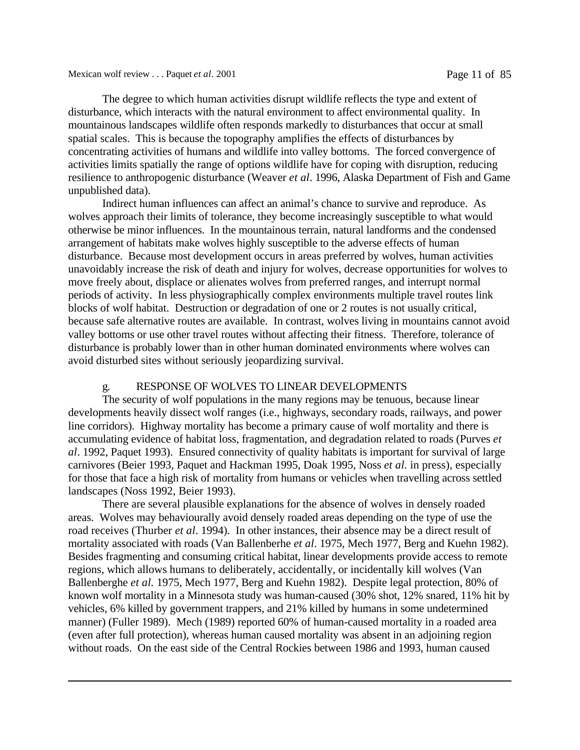The degree to which human activities disrupt wildlife reflects the type and extent of disturbance, which interacts with the natural environment to affect environmental quality. In mountainous landscapes wildlife often responds markedly to disturbances that occur at small spatial scales. This is because the topography amplifies the effects of disturbances by concentrating activities of humans and wildlife into valley bottoms. The forced convergence of activities limits spatially the range of options wildlife have for coping with disruption, reducing resilience to anthropogenic disturbance (Weaver *et al*. 1996, Alaska Department of Fish and Game unpublished data).

Indirect human influences can affect an animal's chance to survive and reproduce. As wolves approach their limits of tolerance, they become increasingly susceptible to what would otherwise be minor influences. In the mountainous terrain, natural landforms and the condensed arrangement of habitats make wolves highly susceptible to the adverse effects of human disturbance. Because most development occurs in areas preferred by wolves, human activities unavoidably increase the risk of death and injury for wolves, decrease opportunities for wolves to move freely about, displace or alienates wolves from preferred ranges, and interrupt normal periods of activity. In less physiographically complex environments multiple travel routes link blocks of wolf habitat. Destruction or degradation of one or 2 routes is not usually critical, because safe alternative routes are available. In contrast, wolves living in mountains cannot avoid valley bottoms or use other travel routes without affecting their fitness. Therefore, tolerance of disturbance is probably lower than in other human dominated environments where wolves can avoid disturbed sites without seriously jeopardizing survival.

### g. RESPONSE OF WOLVES TO LINEAR DEVELOPMENTS

The security of wolf populations in the many regions may be tenuous, because linear developments heavily dissect wolf ranges (i.e., highways, secondary roads, railways, and power line corridors). Highway mortality has become a primary cause of wolf mortality and there is accumulating evidence of habitat loss, fragmentation, and degradation related to roads (Purves *et al*. 1992, Paquet 1993). Ensured connectivity of quality habitats is important for survival of large carnivores (Beier 1993, Paquet and Hackman 1995, Doak 1995, Noss *et al.* in press), especially for those that face a high risk of mortality from humans or vehicles when travelling across settled landscapes (Noss 1992, Beier 1993).

There are several plausible explanations for the absence of wolves in densely roaded areas. Wolves may behaviourally avoid densely roaded areas depending on the type of use the road receives (Thurber *et al*. 1994). In other instances, their absence may be a direct result of mortality associated with roads (Van Ballenberhe *et al*. 1975, Mech 1977, Berg and Kuehn 1982). Besides fragmenting and consuming critical habitat, linear developments provide access to remote regions, which allows humans to deliberately, accidentally, or incidentally kill wolves (Van Ballenberghe *et al.* 1975, Mech 1977, Berg and Kuehn 1982). Despite legal protection, 80% of known wolf mortality in a Minnesota study was human-caused (30% shot, 12% snared, 11% hit by vehicles, 6% killed by government trappers, and 21% killed by humans in some undetermined manner) (Fuller 1989). Mech (1989) reported 60% of human-caused mortality in a roaded area (even after full protection), whereas human caused mortality was absent in an adjoining region without roads. On the east side of the Central Rockies between 1986 and 1993, human caused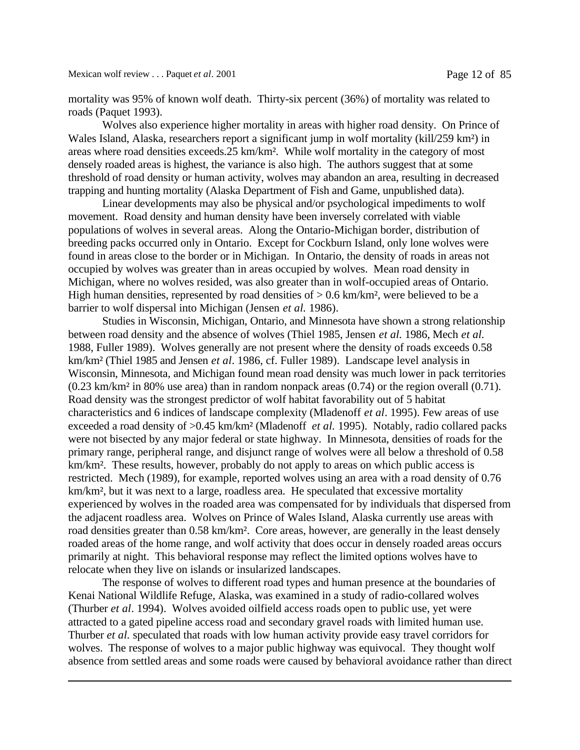mortality was 95% of known wolf death. Thirty-six percent (36%) of mortality was related to roads (Paquet 1993).

Wolves also experience higher mortality in areas with higher road density. On Prince of Wales Island, Alaska, researchers report a significant jump in wolf mortality (kill/259 km²) in areas where road densities exceeds.25 km/km². While wolf mortality in the category of most densely roaded areas is highest, the variance is also high. The authors suggest that at some threshold of road density or human activity, wolves may abandon an area, resulting in decreased trapping and hunting mortality (Alaska Department of Fish and Game, unpublished data).

Linear developments may also be physical and/or psychological impediments to wolf movement. Road density and human density have been inversely correlated with viable populations of wolves in several areas. Along the Ontario-Michigan border, distribution of breeding packs occurred only in Ontario. Except for Cockburn Island, only lone wolves were found in areas close to the border or in Michigan. In Ontario, the density of roads in areas not occupied by wolves was greater than in areas occupied by wolves. Mean road density in Michigan, where no wolves resided, was also greater than in wolf-occupied areas of Ontario. High human densities, represented by road densities of  $> 0.6$  km/km<sup>2</sup>, were believed to be a barrier to wolf dispersal into Michigan (Jensen *et al.* 1986).

Studies in Wisconsin, Michigan, Ontario, and Minnesota have shown a strong relationship between road density and the absence of wolves (Thiel 1985, Jensen *et al.* 1986, Mech *et al.* 1988, Fuller 1989). Wolves generally are not present where the density of roads exceeds 0.58 km/km² (Thiel 1985 and Jensen *et al*. 1986, cf. Fuller 1989). Landscape level analysis in Wisconsin, Minnesota, and Michigan found mean road density was much lower in pack territories (0.23 km/km² in 80% use area) than in random nonpack areas (0.74) or the region overall (0.71). Road density was the strongest predictor of wolf habitat favorability out of 5 habitat characteristics and 6 indices of landscape complexity (Mladenoff *et al*. 1995). Few areas of use exceeded a road density of >0.45 km/km² (Mladenoff *et al.* 1995). Notably, radio collared packs were not bisected by any major federal or state highway. In Minnesota, densities of roads for the primary range, peripheral range, and disjunct range of wolves were all below a threshold of 0.58 km/km². These results, however, probably do not apply to areas on which public access is restricted. Mech (1989), for example, reported wolves using an area with a road density of 0.76 km/km², but it was next to a large, roadless area. He speculated that excessive mortality experienced by wolves in the roaded area was compensated for by individuals that dispersed from the adjacent roadless area. Wolves on Prince of Wales Island, Alaska currently use areas with road densities greater than 0.58 km/km². Core areas, however, are generally in the least densely roaded areas of the home range, and wolf activity that does occur in densely roaded areas occurs primarily at night. This behavioral response may reflect the limited options wolves have to relocate when they live on islands or insularized landscapes.

The response of wolves to different road types and human presence at the boundaries of Kenai National Wildlife Refuge, Alaska, was examined in a study of radio-collared wolves (Thurber *et al*. 1994). Wolves avoided oilfield access roads open to public use, yet were attracted to a gated pipeline access road and secondary gravel roads with limited human use. Thurber *et al.* speculated that roads with low human activity provide easy travel corridors for wolves. The response of wolves to a major public highway was equivocal. They thought wolf absence from settled areas and some roads were caused by behavioral avoidance rather than direct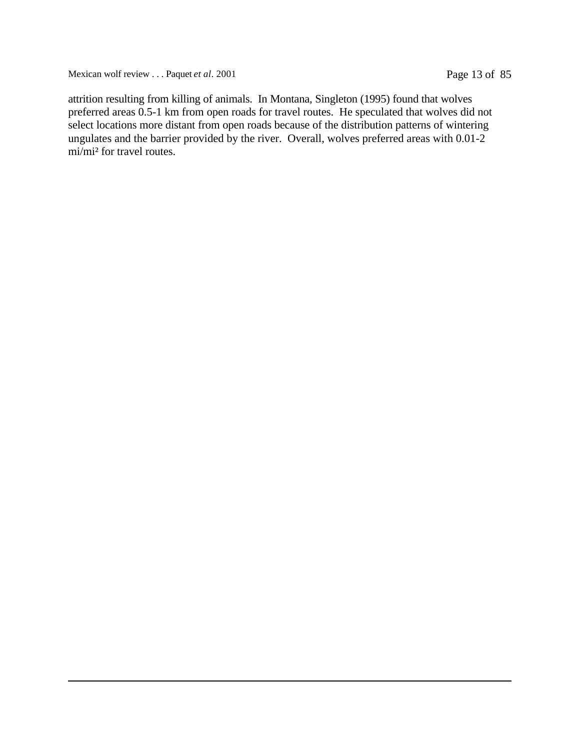Mexican wolf review . . . Paquet *et al.* 2001 Page 13 of 85

attrition resulting from killing of animals. In Montana, Singleton (1995) found that wolves preferred areas 0.5-1 km from open roads for travel routes. He speculated that wolves did not select locations more distant from open roads because of the distribution patterns of wintering ungulates and the barrier provided by the river. Overall, wolves preferred areas with 0.01-2 mi/mi² for travel routes.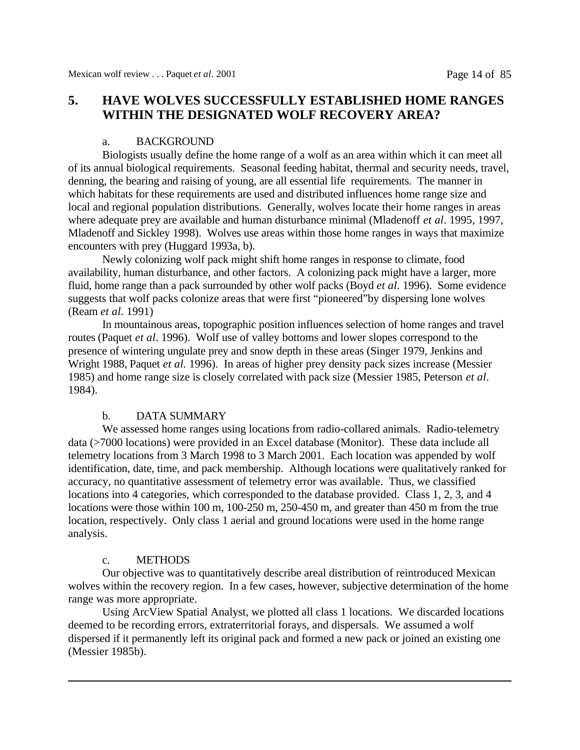### **5. HAVE WOLVES SUCCESSFULLY ESTABLISHED HOME RANGES WITHIN THE DESIGNATED WOLF RECOVERY AREA?**

### a. BACKGROUND

Biologists usually define the home range of a wolf as an area within which it can meet all of its annual biological requirements. Seasonal feeding habitat, thermal and security needs, travel, denning, the bearing and raising of young, are all essential life requirements. The manner in which habitats for these requirements are used and distributed influences home range size and local and regional population distributions. Generally, wolves locate their home ranges in areas where adequate prey are available and human disturbance minimal (Mladenoff *et al*. 1995, 1997, Mladenoff and Sickley 1998). Wolves use areas within those home ranges in ways that maximize encounters with prey (Huggard 1993a, b).

Newly colonizing wolf pack might shift home ranges in response to climate, food availability, human disturbance, and other factors. A colonizing pack might have a larger, more fluid, home range than a pack surrounded by other wolf packs (Boyd *et al.* 1996). Some evidence suggests that wolf packs colonize areas that were first "pioneered"by dispersing lone wolves (Ream *et al.* 1991)

In mountainous areas, topographic position influences selection of home ranges and travel routes (Paquet *et al*. 1996). Wolf use of valley bottoms and lower slopes correspond to the presence of wintering ungulate prey and snow depth in these areas (Singer 1979, Jenkins and Wright 1988, Paquet *et al.* 1996). In areas of higher prey density pack sizes increase (Messier 1985) and home range size is closely correlated with pack size (Messier 1985, Peterson *et al*. 1984).

### b. DATA SUMMARY

We assessed home ranges using locations from radio-collared animals. Radio-telemetry data (>7000 locations) were provided in an Excel database (Monitor). These data include all telemetry locations from 3 March 1998 to 3 March 2001. Each location was appended by wolf identification, date, time, and pack membership. Although locations were qualitatively ranked for accuracy, no quantitative assessment of telemetry error was available. Thus, we classified locations into 4 categories, which corresponded to the database provided. Class 1, 2, 3, and 4 locations were those within 100 m, 100-250 m, 250-450 m, and greater than 450 m from the true location, respectively. Only class 1 aerial and ground locations were used in the home range analysis.

### c. METHODS

Our objective was to quantitatively describe areal distribution of reintroduced Mexican wolves within the recovery region. In a few cases, however, subjective determination of the home range was more appropriate.

Using ArcView Spatial Analyst, we plotted all class 1 locations. We discarded locations deemed to be recording errors, extraterritorial forays, and dispersals. We assumed a wolf dispersed if it permanently left its original pack and formed a new pack or joined an existing one (Messier 1985b).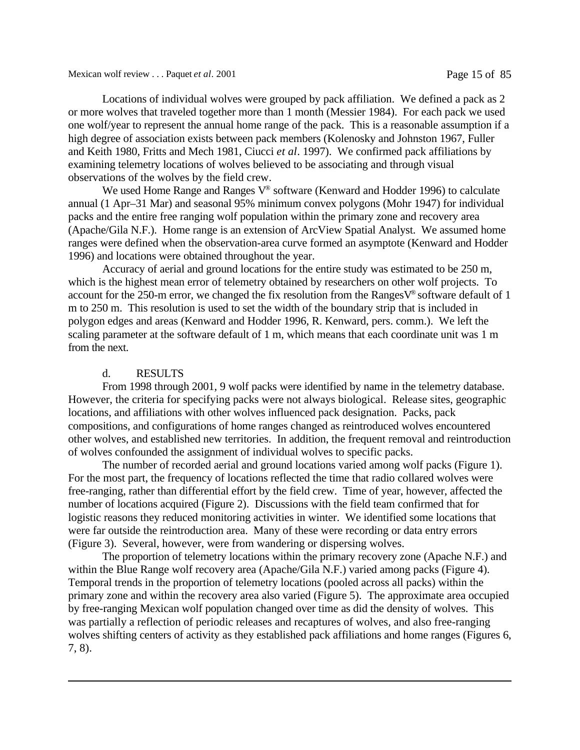Locations of individual wolves were grouped by pack affiliation. We defined a pack as 2 or more wolves that traveled together more than 1 month (Messier 1984). For each pack we used one wolf/year to represent the annual home range of the pack. This is a reasonable assumption if a high degree of association exists between pack members (Kolenosky and Johnston 1967, Fuller and Keith 1980, Fritts and Mech 1981, Ciucci *et al*. 1997). We confirmed pack affiliations by examining telemetry locations of wolves believed to be associating and through visual observations of the wolves by the field crew.

We used Home Range and Ranges V® software (Kenward and Hodder 1996) to calculate annual (1 Apr–31 Mar) and seasonal 95% minimum convex polygons (Mohr 1947) for individual packs and the entire free ranging wolf population within the primary zone and recovery area (Apache/Gila N.F.). Home range is an extension of ArcView Spatial Analyst. We assumed home ranges were defined when the observation-area curve formed an asymptote (Kenward and Hodder 1996) and locations were obtained throughout the year.

Accuracy of aerial and ground locations for the entire study was estimated to be 250 m, which is the highest mean error of telemetry obtained by researchers on other wolf projects. To account for the 250-m error, we changed the fix resolution from the Ranges $V^{\circ}$  software default of 1 m to 250 m. This resolution is used to set the width of the boundary strip that is included in polygon edges and areas (Kenward and Hodder 1996, R. Kenward, pers. comm.). We left the scaling parameter at the software default of 1 m, which means that each coordinate unit was 1 m from the next.

### d. RESULTS

From 1998 through 2001, 9 wolf packs were identified by name in the telemetry database. However, the criteria for specifying packs were not always biological. Release sites, geographic locations, and affiliations with other wolves influenced pack designation. Packs, pack compositions, and configurations of home ranges changed as reintroduced wolves encountered other wolves, and established new territories. In addition, the frequent removal and reintroduction of wolves confounded the assignment of individual wolves to specific packs.

The number of recorded aerial and ground locations varied among wolf packs (Figure 1). For the most part, the frequency of locations reflected the time that radio collared wolves were free-ranging, rather than differential effort by the field crew. Time of year, however, affected the number of locations acquired (Figure 2). Discussions with the field team confirmed that for logistic reasons they reduced monitoring activities in winter. We identified some locations that were far outside the reintroduction area. Many of these were recording or data entry errors (Figure 3). Several, however, were from wandering or dispersing wolves.

The proportion of telemetry locations within the primary recovery zone (Apache N.F.) and within the Blue Range wolf recovery area (Apache/Gila N.F.) varied among packs (Figure 4). Temporal trends in the proportion of telemetry locations (pooled across all packs) within the primary zone and within the recovery area also varied (Figure 5). The approximate area occupied by free-ranging Mexican wolf population changed over time as did the density of wolves. This was partially a reflection of periodic releases and recaptures of wolves, and also free-ranging wolves shifting centers of activity as they established pack affiliations and home ranges (Figures 6, 7, 8).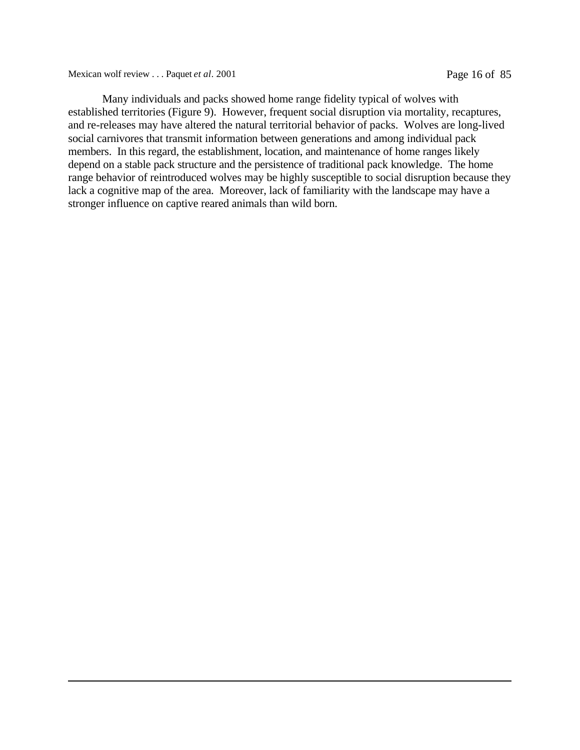Mexican wolf review . . . Paquet *et al.* 2001 Page 16 of 85

Many individuals and packs showed home range fidelity typical of wolves with established territories (Figure 9). However, frequent social disruption via mortality, recaptures, and re-releases may have altered the natural territorial behavior of packs. Wolves are long-lived social carnivores that transmit information between generations and among individual pack members. In this regard, the establishment, location, and maintenance of home ranges likely depend on a stable pack structure and the persistence of traditional pack knowledge. The home range behavior of reintroduced wolves may be highly susceptible to social disruption because they lack a cognitive map of the area. Moreover, lack of familiarity with the landscape may have a stronger influence on captive reared animals than wild born.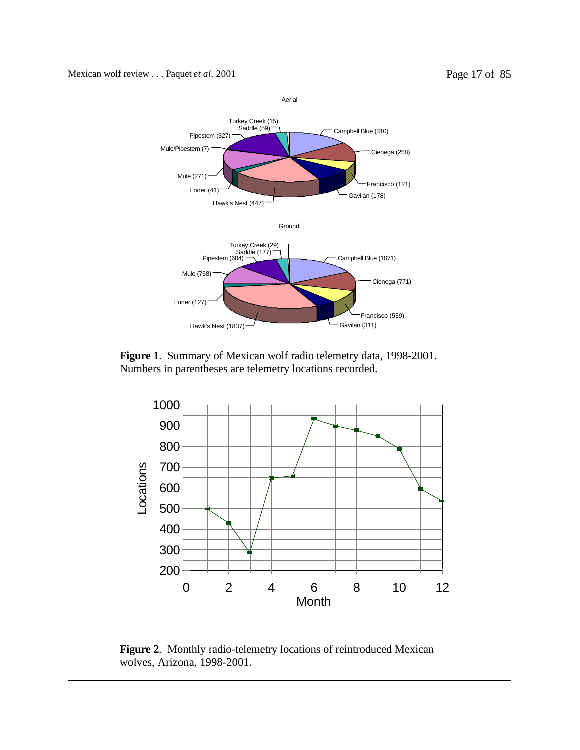

**Figure 1**. Summary of Mexican wolf radio telemetry data, 1998-2001. Numbers in parentheses are telemetry locations recorded.



**Figure 2**. Monthly radio-telemetry locations of reintroduced Mexican wolves, Arizona, 1998-2001.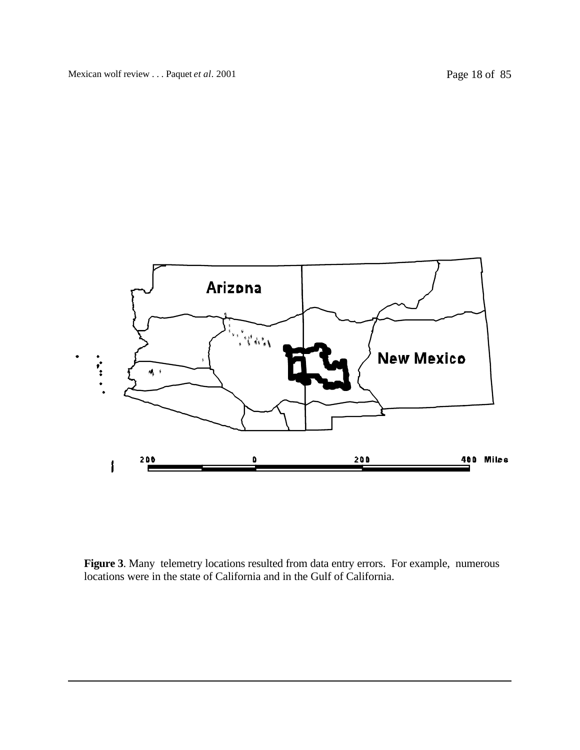

**Figure 3**. Many telemetry locations resulted from data entry errors. For example, numerous locations were in the state of California and in the Gulf of California.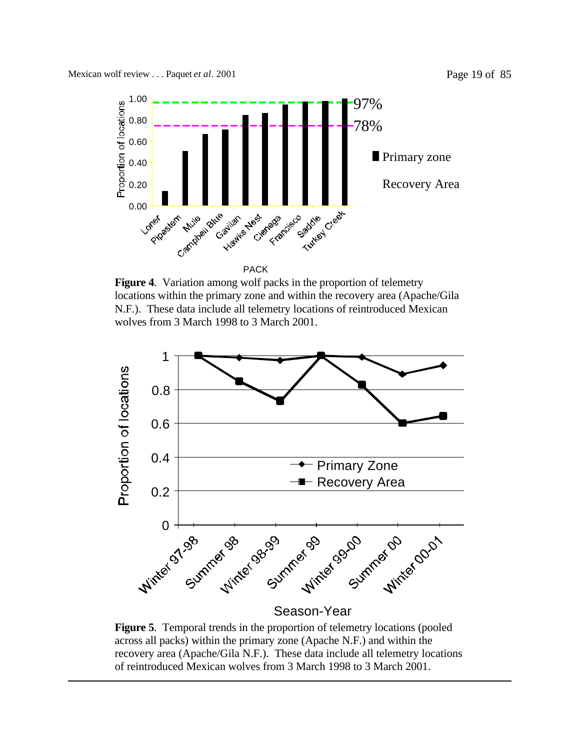

**Figure 4**. Variation among wolf packs in the proportion of telemetry locations within the primary zone and within the recovery area (Apache/Gila N.F.). These data include all telemetry locations of reintroduced Mexican wolves from 3 March 1998 to 3 March 2001.



### Season-Year

**Figure 5**. Temporal trends in the proportion of telemetry locations (pooled across all packs) within the primary zone (Apache N.F.) and within the recovery area (Apache/Gila N.F.). These data include all telemetry locations of reintroduced Mexican wolves from 3 March 1998 to 3 March 2001.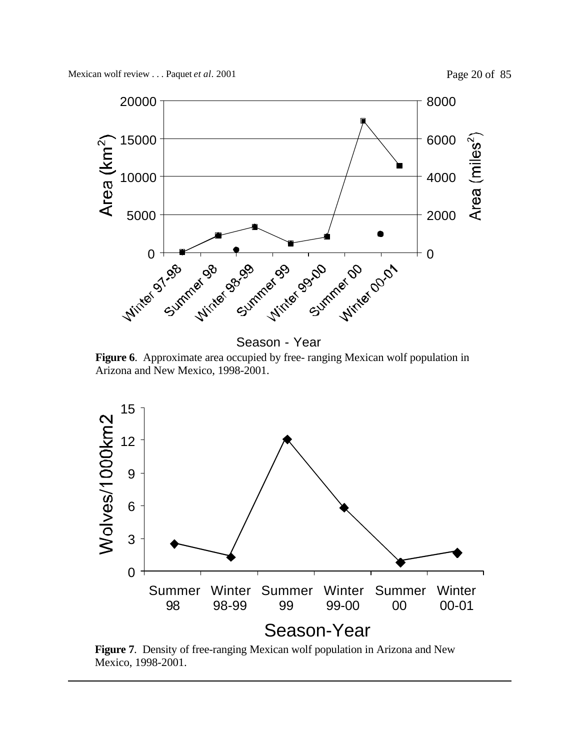

Season - Year

**Figure 6**. Approximate area occupied by free- ranging Mexican wolf population in Arizona and New Mexico, 1998-2001.



**Figure 7**. Density of free-ranging Mexican wolf population in Arizona and New Mexico, 1998-2001.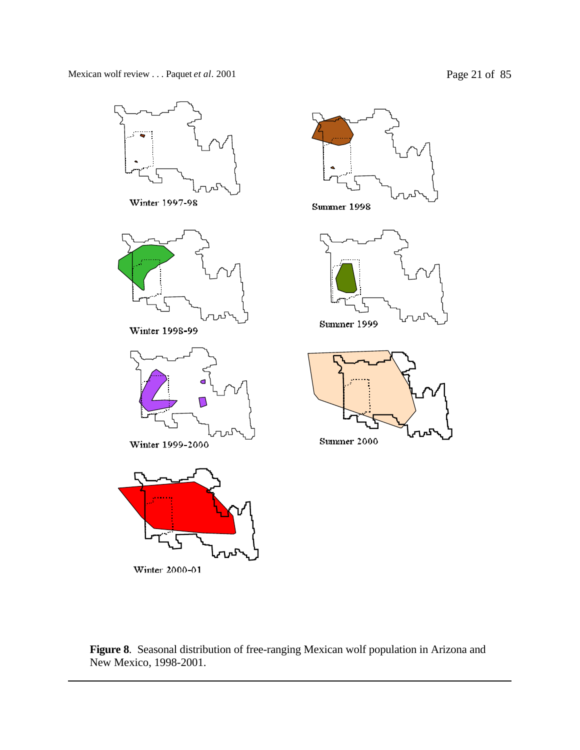

Winter 2000-01



**Summer 1998** 





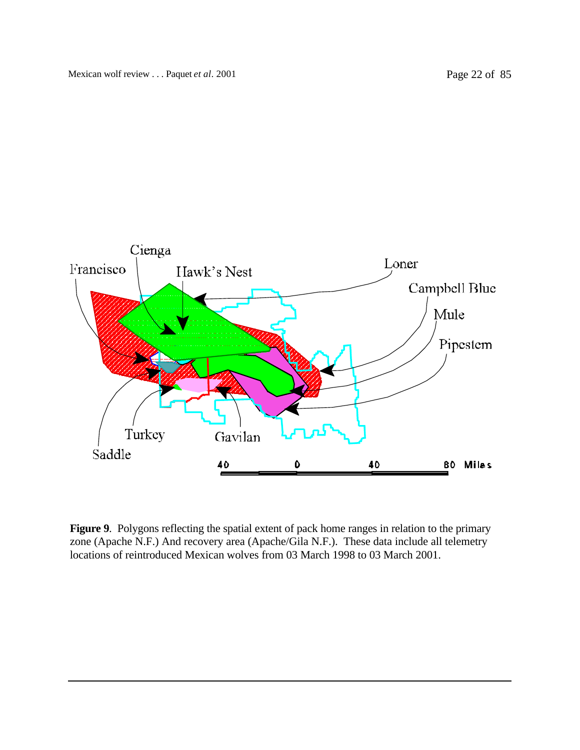

**Figure 9**. Polygons reflecting the spatial extent of pack home ranges in relation to the primary zone (Apache N.F.) And recovery area (Apache/Gila N.F.). These data include all telemetry locations of reintroduced Mexican wolves from 03 March 1998 to 03 March 2001.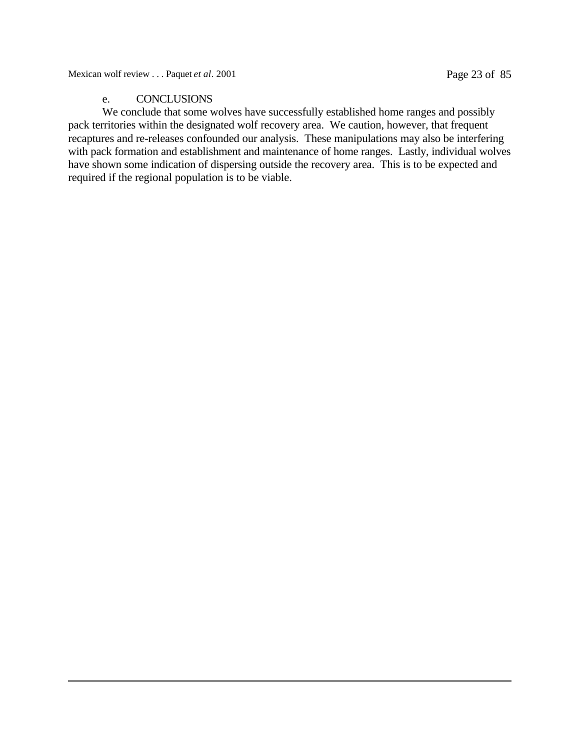### e. CONCLUSIONS

We conclude that some wolves have successfully established home ranges and possibly pack territories within the designated wolf recovery area. We caution, however, that frequent recaptures and re-releases confounded our analysis. These manipulations may also be interfering with pack formation and establishment and maintenance of home ranges. Lastly, individual wolves have shown some indication of dispersing outside the recovery area. This is to be expected and required if the regional population is to be viable.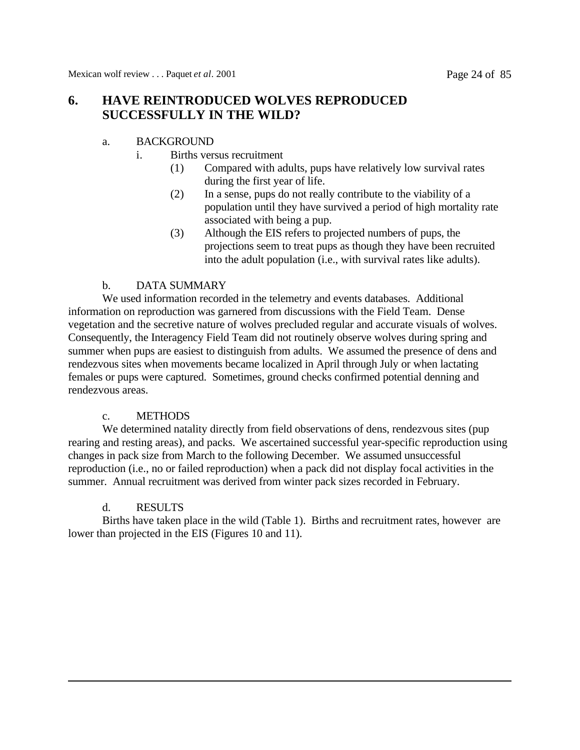## **6. HAVE REINTRODUCED WOLVES REPRODUCED SUCCESSFULLY IN THE WILD?**

### a. BACKGROUND

- i. Births versus recruitment
	- (1) Compared with adults, pups have relatively low survival rates during the first year of life.
	- (2) In a sense, pups do not really contribute to the viability of a population until they have survived a period of high mortality rate associated with being a pup.
	- (3) Although the EIS refers to projected numbers of pups, the projections seem to treat pups as though they have been recruited into the adult population (i.e., with survival rates like adults).

### b. DATA SUMMARY

We used information recorded in the telemetry and events databases. Additional information on reproduction was garnered from discussions with the Field Team. Dense vegetation and the secretive nature of wolves precluded regular and accurate visuals of wolves. Consequently, the Interagency Field Team did not routinely observe wolves during spring and summer when pups are easiest to distinguish from adults. We assumed the presence of dens and rendezvous sites when movements became localized in April through July or when lactating females or pups were captured. Sometimes, ground checks confirmed potential denning and rendezvous areas.

### c. METHODS

We determined natality directly from field observations of dens, rendezvous sites (pup) rearing and resting areas), and packs. We ascertained successful year-specific reproduction using changes in pack size from March to the following December. We assumed unsuccessful reproduction (i.e., no or failed reproduction) when a pack did not display focal activities in the summer. Annual recruitment was derived from winter pack sizes recorded in February.

### d. RESULTS

Births have taken place in the wild (Table 1). Births and recruitment rates, however are lower than projected in the EIS (Figures 10 and 11).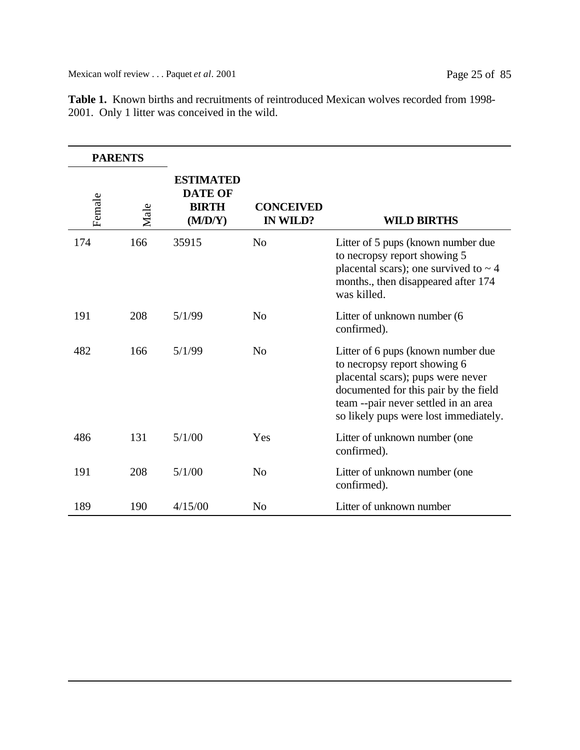| <b>PARENTS</b> |      |                                                               |                              |                                                                                                                                                                                                                                   |
|----------------|------|---------------------------------------------------------------|------------------------------|-----------------------------------------------------------------------------------------------------------------------------------------------------------------------------------------------------------------------------------|
| Female         | Male | <b>ESTIMATED</b><br><b>DATE OF</b><br><b>BIRTH</b><br>(M/D/Y) | <b>CONCEIVED</b><br>IN WILD? | <b>WILD BIRTHS</b>                                                                                                                                                                                                                |
| 174            | 166  | 35915                                                         | N <sub>o</sub>               | Litter of 5 pups (known number due<br>to necropsy report showing 5<br>placental scars); one survived to $\sim$ 4<br>months., then disappeared after 174<br>was killed.                                                            |
| 191            | 208  | 5/1/99                                                        | N <sub>0</sub>               | Litter of unknown number (6<br>confirmed).                                                                                                                                                                                        |
| 482            | 166  | 5/1/99                                                        | N <sub>o</sub>               | Litter of 6 pups (known number due<br>to necropsy report showing 6<br>placental scars); pups were never<br>documented for this pair by the field<br>team --pair never settled in an area<br>so likely pups were lost immediately. |
| 486            | 131  | 5/1/00                                                        | Yes                          | Litter of unknown number (one<br>confirmed).                                                                                                                                                                                      |
| 191            | 208  | 5/1/00                                                        | N <sub>0</sub>               | Litter of unknown number (one<br>confirmed).                                                                                                                                                                                      |
| 189            | 190  | 4/15/00                                                       | N <sub>o</sub>               | Litter of unknown number                                                                                                                                                                                                          |

**Table 1.** Known births and recruitments of reintroduced Mexican wolves recorded from 1998- 2001. Only 1 litter was conceived in the wild.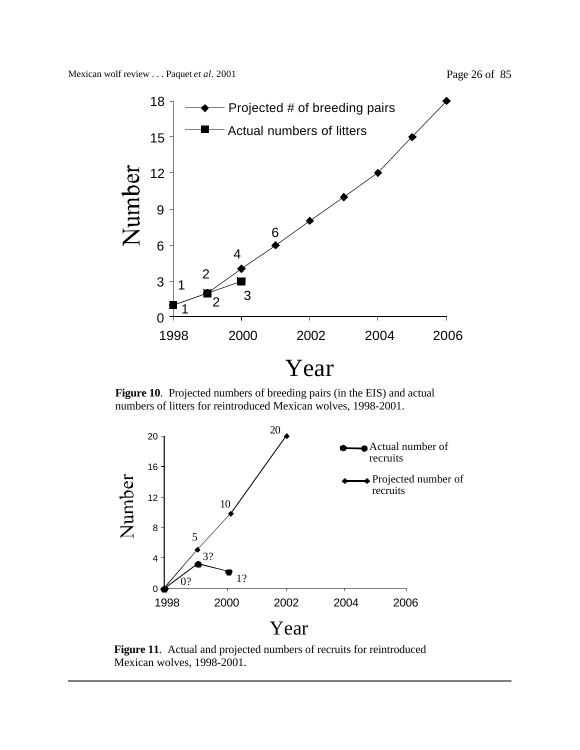

**Figure 10**. Projected numbers of breeding pairs (in the EIS) and actual numbers of litters for reintroduced Mexican wolves, 1998-2001.



**Figure 11**. Actual and projected numbers of recruits for reintroduced Mexican wolves, 1998-2001.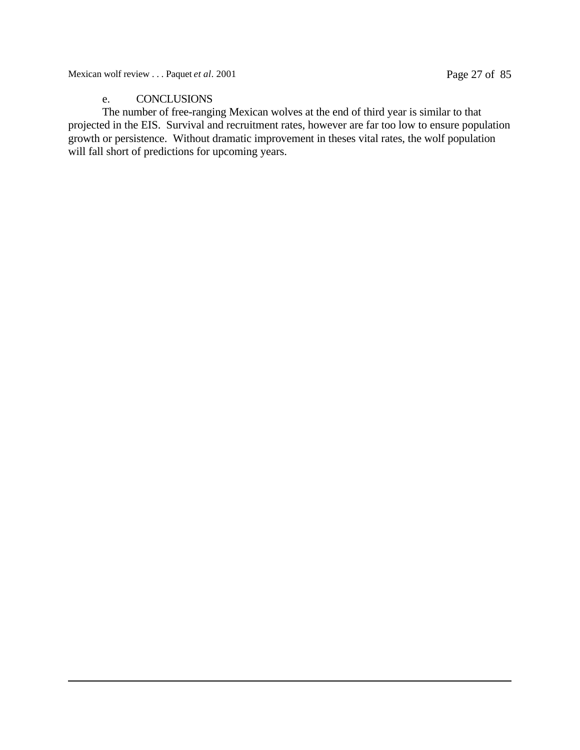Mexican wolf review . . . Paquet *et al.* 2001 Page 27 of 85

### e. CONCLUSIONS

The number of free-ranging Mexican wolves at the end of third year is similar to that projected in the EIS. Survival and recruitment rates, however are far too low to ensure population growth or persistence. Without dramatic improvement in theses vital rates, the wolf population will fall short of predictions for upcoming years.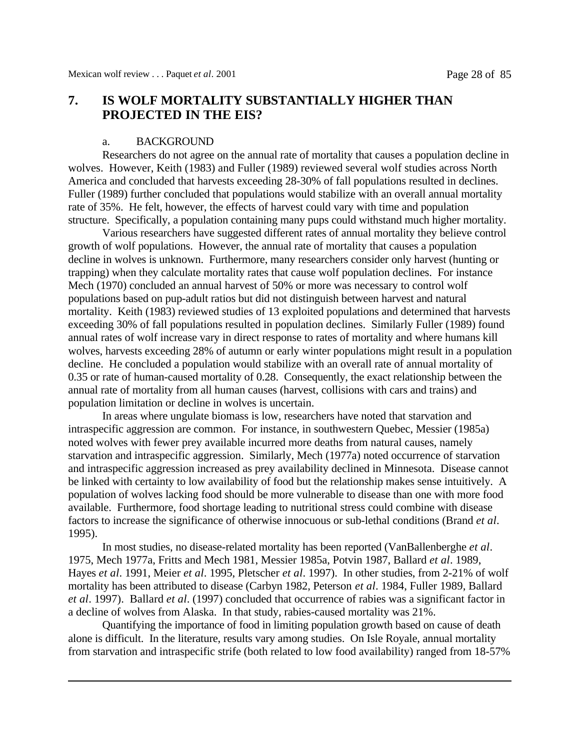### **7. IS WOLF MORTALITY SUBSTANTIALLY HIGHER THAN PROJECTED IN THE EIS?**

### a. BACKGROUND

Researchers do not agree on the annual rate of mortality that causes a population decline in wolves. However, Keith (1983) and Fuller (1989) reviewed several wolf studies across North America and concluded that harvests exceeding 28-30% of fall populations resulted in declines. Fuller (1989) further concluded that populations would stabilize with an overall annual mortality rate of 35%. He felt, however, the effects of harvest could vary with time and population structure. Specifically, a population containing many pups could withstand much higher mortality.

Various researchers have suggested different rates of annual mortality they believe control growth of wolf populations. However, the annual rate of mortality that causes a population decline in wolves is unknown. Furthermore, many researchers consider only harvest (hunting or trapping) when they calculate mortality rates that cause wolf population declines. For instance Mech (1970) concluded an annual harvest of 50% or more was necessary to control wolf populations based on pup-adult ratios but did not distinguish between harvest and natural mortality. Keith (1983) reviewed studies of 13 exploited populations and determined that harvests exceeding 30% of fall populations resulted in population declines. Similarly Fuller (1989) found annual rates of wolf increase vary in direct response to rates of mortality and where humans kill wolves, harvests exceeding 28% of autumn or early winter populations might result in a population decline. He concluded a population would stabilize with an overall rate of annual mortality of 0.35 or rate of human-caused mortality of 0.28. Consequently, the exact relationship between the annual rate of mortality from all human causes (harvest, collisions with cars and trains) and population limitation or decline in wolves is uncertain.

In areas where ungulate biomass is low, researchers have noted that starvation and intraspecific aggression are common. For instance, in southwestern Quebec, Messier (1985a) noted wolves with fewer prey available incurred more deaths from natural causes, namely starvation and intraspecific aggression. Similarly, Mech (1977a) noted occurrence of starvation and intraspecific aggression increased as prey availability declined in Minnesota. Disease cannot be linked with certainty to low availability of food but the relationship makes sense intuitively. A population of wolves lacking food should be more vulnerable to disease than one with more food available. Furthermore, food shortage leading to nutritional stress could combine with disease factors to increase the significance of otherwise innocuous or sub-lethal conditions (Brand *et al*. 1995).

In most studies, no disease-related mortality has been reported (VanBallenberghe *et al*. 1975, Mech 1977a, Fritts and Mech 1981, Messier 1985a, Potvin 1987, Ballard *et al*. 1989, Hayes *et al*. 1991, Meier *et al*. 1995, Pletscher *et al*. 1997). In other studies, from 2-21% of wolf mortality has been attributed to disease (Carbyn 1982, Peterson *et al*. 1984, Fuller 1989, Ballard *et al*. 1997). Ballard *et al*. (1997) concluded that occurrence of rabies was a significant factor in a decline of wolves from Alaska. In that study, rabies-caused mortality was 21%.

Quantifying the importance of food in limiting population growth based on cause of death alone is difficult. In the literature, results vary among studies. On Isle Royale, annual mortality from starvation and intraspecific strife (both related to low food availability) ranged from 18-57%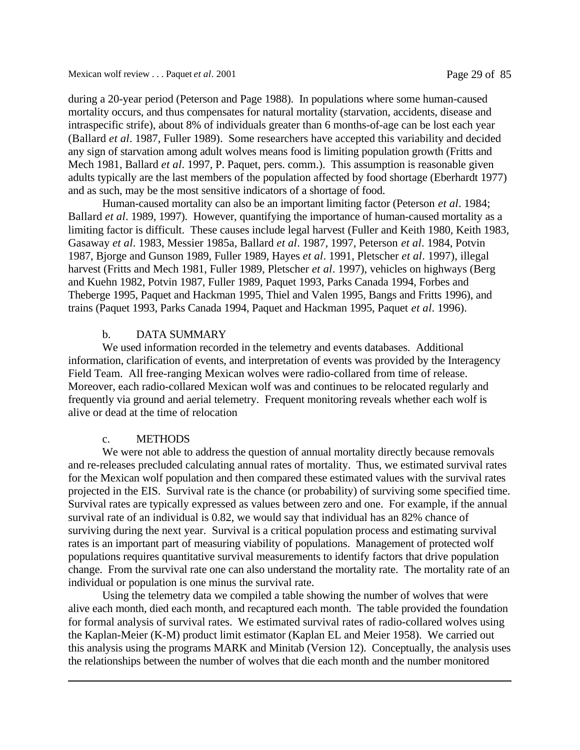during a 20-year period (Peterson and Page 1988). In populations where some human-caused mortality occurs, and thus compensates for natural mortality (starvation, accidents, disease and intraspecific strife), about 8% of individuals greater than 6 months-of-age can be lost each year (Ballard *et al*. 1987, Fuller 1989). Some researchers have accepted this variability and decided any sign of starvation among adult wolves means food is limiting population growth (Fritts and Mech 1981, Ballard *et al*. 1997, P. Paquet, pers. comm.). This assumption is reasonable given adults typically are the last members of the population affected by food shortage (Eberhardt 1977) and as such, may be the most sensitive indicators of a shortage of food.

Human-caused mortality can also be an important limiting factor (Peterson *et al*. 1984; Ballard *et al*. 1989, 1997). However, quantifying the importance of human-caused mortality as a limiting factor is difficult. These causes include legal harvest (Fuller and Keith 1980, Keith 1983, Gasaway *et al*. 1983, Messier 1985a, Ballard *et al*. 1987, 1997, Peterson *et al*. 1984, Potvin 1987, Bjorge and Gunson 1989, Fuller 1989, Hayes *et al*. 1991, Pletscher *et al*. 1997), illegal harvest (Fritts and Mech 1981, Fuller 1989, Pletscher *et al*. 1997), vehicles on highways (Berg and Kuehn 1982, Potvin 1987, Fuller 1989, Paquet 1993, Parks Canada 1994, Forbes and Theberge 1995, Paquet and Hackman 1995, Thiel and Valen 1995, Bangs and Fritts 1996), and trains (Paquet 1993, Parks Canada 1994, Paquet and Hackman 1995, Paquet *et al*. 1996).

### b. DATA SUMMARY

We used information recorded in the telemetry and events databases. Additional information, clarification of events, and interpretation of events was provided by the Interagency Field Team. All free-ranging Mexican wolves were radio-collared from time of release. Moreover, each radio-collared Mexican wolf was and continues to be relocated regularly and frequently via ground and aerial telemetry. Frequent monitoring reveals whether each wolf is alive or dead at the time of relocation

### c. METHODS

We were not able to address the question of annual mortality directly because removals and re-releases precluded calculating annual rates of mortality. Thus, we estimated survival rates for the Mexican wolf population and then compared these estimated values with the survival rates projected in the EIS. Survival rate is the chance (or probability) of surviving some specified time. Survival rates are typically expressed as values between zero and one. For example, if the annual survival rate of an individual is 0.82, we would say that individual has an 82% chance of surviving during the next year. Survival is a critical population process and estimating survival rates is an important part of measuring viability of populations. Management of protected wolf populations requires quantitative survival measurements to identify factors that drive population change. From the survival rate one can also understand the mortality rate. The mortality rate of an individual or population is one minus the survival rate.

Using the telemetry data we compiled a table showing the number of wolves that were alive each month, died each month, and recaptured each month. The table provided the foundation for formal analysis of survival rates. We estimated survival rates of radio-collared wolves using the Kaplan-Meier (K-M) product limit estimator (Kaplan EL and Meier 1958). We carried out this analysis using the programs MARK and Minitab (Version 12). Conceptually, the analysis uses the relationships between the number of wolves that die each month and the number monitored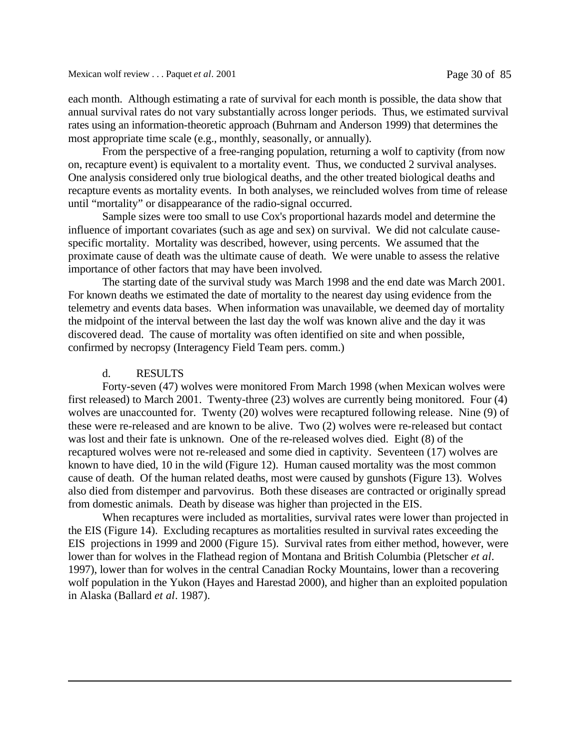each month. Although estimating a rate of survival for each month is possible, the data show that annual survival rates do not vary substantially across longer periods. Thus, we estimated survival rates using an information-theoretic approach (Buhrnam and Anderson 1999) that determines the most appropriate time scale (e.g., monthly, seasonally, or annually).

From the perspective of a free-ranging population, returning a wolf to captivity (from now on, recapture event) is equivalent to a mortality event. Thus, we conducted 2 survival analyses. One analysis considered only true biological deaths, and the other treated biological deaths and recapture events as mortality events. In both analyses, we reincluded wolves from time of release until "mortality" or disappearance of the radio-signal occurred.

Sample sizes were too small to use Cox's proportional hazards model and determine the influence of important covariates (such as age and sex) on survival. We did not calculate causespecific mortality. Mortality was described, however, using percents. We assumed that the proximate cause of death was the ultimate cause of death. We were unable to assess the relative importance of other factors that may have been involved.

The starting date of the survival study was March 1998 and the end date was March 2001. For known deaths we estimated the date of mortality to the nearest day using evidence from the telemetry and events data bases. When information was unavailable, we deemed day of mortality the midpoint of the interval between the last day the wolf was known alive and the day it was discovered dead. The cause of mortality was often identified on site and when possible, confirmed by necropsy (Interagency Field Team pers. comm.)

#### d. RESULTS

Forty-seven (47) wolves were monitored From March 1998 (when Mexican wolves were first released) to March 2001. Twenty-three (23) wolves are currently being monitored. Four (4) wolves are unaccounted for. Twenty (20) wolves were recaptured following release. Nine (9) of these were re-released and are known to be alive. Two (2) wolves were re-released but contact was lost and their fate is unknown. One of the re-released wolves died. Eight (8) of the recaptured wolves were not re-released and some died in captivity. Seventeen (17) wolves are known to have died, 10 in the wild (Figure 12). Human caused mortality was the most common cause of death. Of the human related deaths, most were caused by gunshots (Figure 13). Wolves also died from distemper and parvovirus. Both these diseases are contracted or originally spread from domestic animals. Death by disease was higher than projected in the EIS.

When recaptures were included as mortalities, survival rates were lower than projected in the EIS (Figure 14). Excluding recaptures as mortalities resulted in survival rates exceeding the EIS projections in 1999 and 2000 (Figure 15). Survival rates from either method, however, were lower than for wolves in the Flathead region of Montana and British Columbia (Pletscher *et al*. 1997), lower than for wolves in the central Canadian Rocky Mountains, lower than a recovering wolf population in the Yukon (Hayes and Harestad 2000), and higher than an exploited population in Alaska (Ballard *et al*. 1987).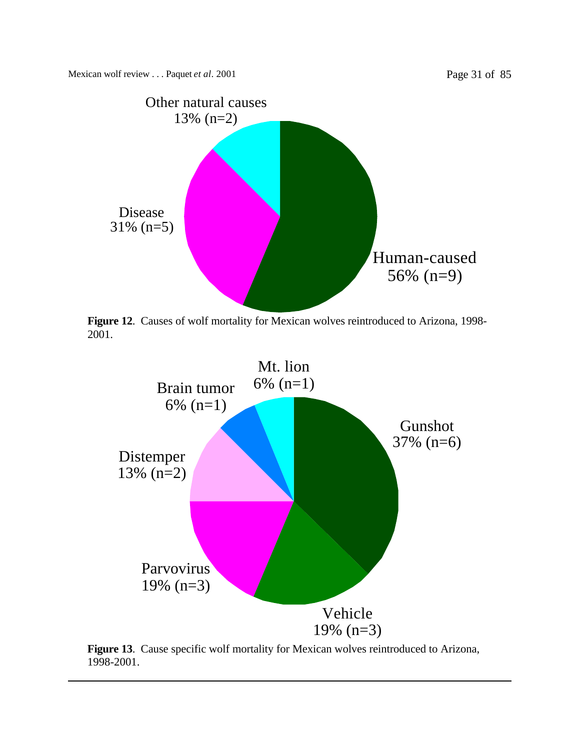

**Figure 12**. Causes of wolf mortality for Mexican wolves reintroduced to Arizona, 1998- 2001.



**Figure 13**. Cause specific wolf mortality for Mexican wolves reintroduced to Arizona, 1998-2001.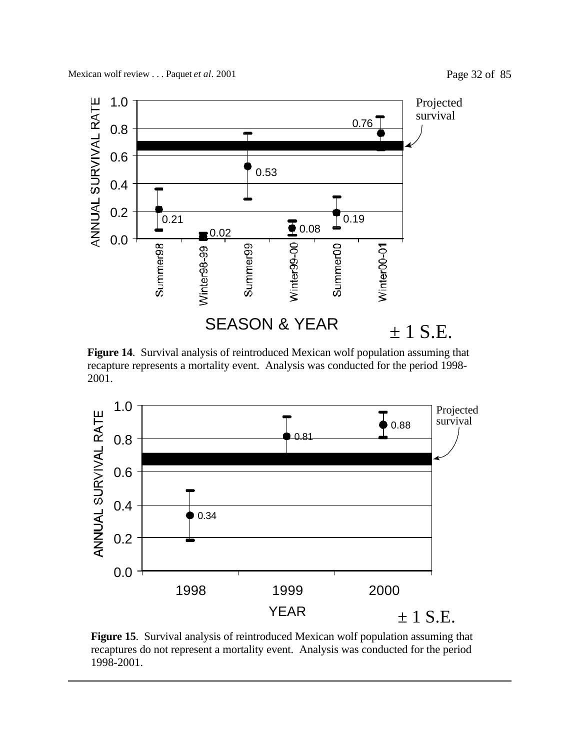

**Figure 14**. Survival analysis of reintroduced Mexican wolf population assuming that recapture represents a mortality event. Analysis was conducted for the period 1998- 2001.



**Figure 15**. Survival analysis of reintroduced Mexican wolf population assuming that recaptures do not represent a mortality event. Analysis was conducted for the period 1998-2001.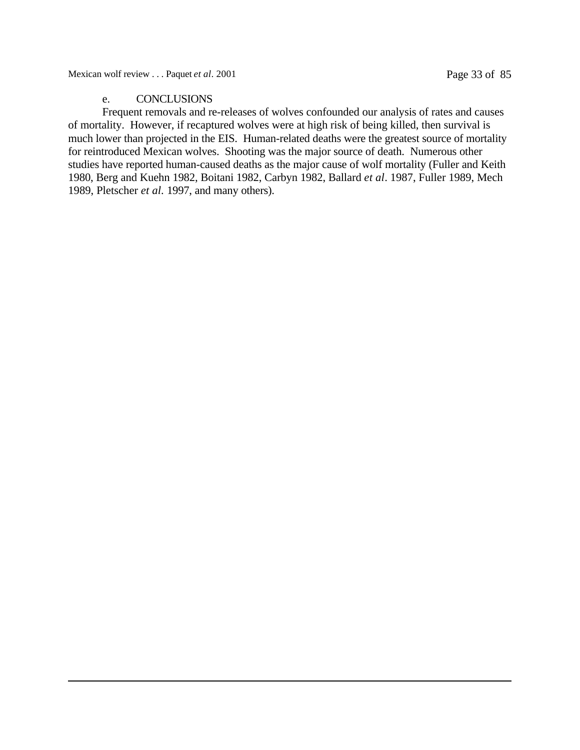Mexican wolf review . . . Paquet *et al.* 2001 Page 33 of 85

## e. CONCLUSIONS

Frequent removals and re-releases of wolves confounded our analysis of rates and causes of mortality. However, if recaptured wolves were at high risk of being killed, then survival is much lower than projected in the EIS. Human-related deaths were the greatest source of mortality for reintroduced Mexican wolves. Shooting was the major source of death. Numerous other studies have reported human-caused deaths as the major cause of wolf mortality (Fuller and Keith 1980, Berg and Kuehn 1982, Boitani 1982, Carbyn 1982, Ballard *et al*. 1987, Fuller 1989, Mech 1989, Pletscher *et al.* 1997, and many others).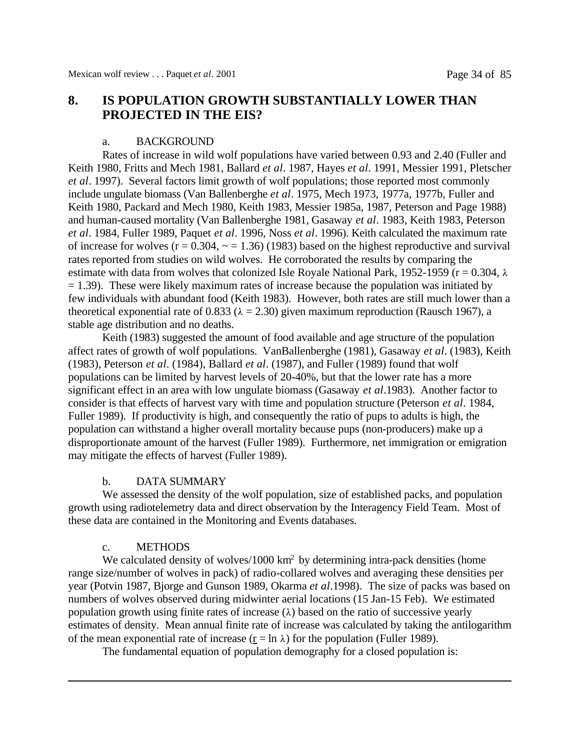# **8. IS POPULATION GROWTH SUBSTANTIALLY LOWER THAN PROJECTED IN THE EIS?**

### a. BACKGROUND

Rates of increase in wild wolf populations have varied between 0.93 and 2.40 (Fuller and Keith 1980, Fritts and Mech 1981, Ballard *et al*. 1987, Hayes *et al*. 1991, Messier 1991, Pletscher *et al*. 1997). Several factors limit growth of wolf populations; those reported most commonly include ungulate biomass (Van Ballenberghe *et al*. 1975, Mech 1973, 1977a, 1977b, Fuller and Keith 1980, Packard and Mech 1980, Keith 1983, Messier 1985a, 1987, Peterson and Page 1988) and human-caused mortality (Van Ballenberghe 1981, Gasaway *et al*. 1983, Keith 1983, Peterson *et al*. 1984, Fuller 1989, Paquet *et al*. 1996, Noss *et al*. 1996). Keith calculated the maximum rate of increase for wolves ( $r = 0.304$ ,  $\sim$  = 1.36) (1983) based on the highest reproductive and survival rates reported from studies on wild wolves. He corroborated the results by comparing the estimate with data from wolves that colonized Isle Royale National Park, 1952-1959 ( $r = 0.304$ ,  $\lambda$  $= 1.39$ ). These were likely maximum rates of increase because the population was initiated by few individuals with abundant food (Keith 1983). However, both rates are still much lower than a theoretical exponential rate of 0.833 ( $\lambda = 2.30$ ) given maximum reproduction (Rausch 1967), a stable age distribution and no deaths.

Keith (1983) suggested the amount of food available and age structure of the population affect rates of growth of wolf populations. VanBallenberghe (1981), Gasaway *et al*. (1983), Keith (1983), Peterson *et al*. (1984), Ballard *et al*. (1987), and Fuller (1989) found that wolf populations can be limited by harvest levels of 20-40%, but that the lower rate has a more significant effect in an area with low ungulate biomass (Gasaway *et al*.1983). Another factor to consider is that effects of harvest vary with time and population structure (Peterson *et al*. 1984, Fuller 1989). If productivity is high, and consequently the ratio of pups to adults is high, the population can withstand a higher overall mortality because pups (non-producers) make up a disproportionate amount of the harvest (Fuller 1989). Furthermore, net immigration or emigration may mitigate the effects of harvest (Fuller 1989).

### b. DATA SUMMARY

We assessed the density of the wolf population, size of established packs, and population growth using radiotelemetry data and direct observation by the Interagency Field Team. Most of these data are contained in the Monitoring and Events databases.

### c. METHODS

We calculated density of wolves/1000 km<sup>2</sup> by determining intra-pack densities (home range size/number of wolves in pack) of radio-collared wolves and averaging these densities per year (Potvin 1987, Bjorge and Gunson 1989, Okarma *et al*.1998). The size of packs was based on numbers of wolves observed during midwinter aerial locations (15 Jan-15 Feb). We estimated population growth using finite rates of increase  $(\lambda)$  based on the ratio of successive yearly estimates of density. Mean annual finite rate of increase was calculated by taking the antilogarithm of the mean exponential rate of increase  $(r = \ln \lambda)$  for the population (Fuller 1989).

The fundamental equation of population demography for a closed population is: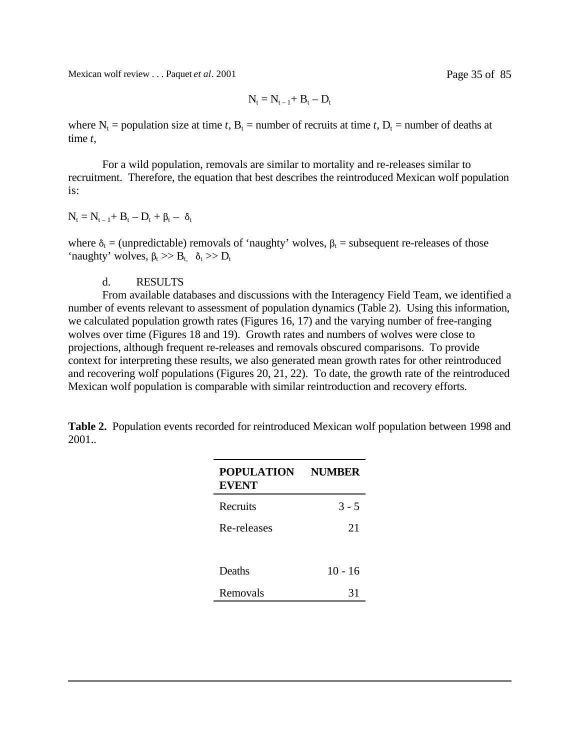Mexican wolf review . . . Paquet *et al*. 2001 Page 35 of 85

$$
N_t=N_{t-1}\!\!+\,B_t-D_t
$$

where  $N_t$  = population size at time *t*,  $B_t$  = number of recruits at time *t*,  $D_t$  = number of deaths at time *t*,

For a wild population, removals are similar to mortality and re-releases similar to recruitment. Therefore, the equation that best describes the reintroduced Mexican wolf population is:

$$
N_t = N_{t-1} + B_t - D_t + \beta_t - \delta_t
$$

where  $\delta_t$  = (unpredictable) removals of 'naughty' wolves,  $\beta_t$  = subsequent re-releases of those 'naughty' wolves,  $\beta_t \gg B_t$ ,  $\delta_t \gg D_t$ 

### d. RESULTS

From available databases and discussions with the Interagency Field Team, we identified a number of events relevant to assessment of population dynamics (Table 2). Using this information, we calculated population growth rates (Figures 16, 17) and the varying number of free-ranging wolves over time (Figures 18 and 19). Growth rates and numbers of wolves were close to projections, although frequent re-releases and removals obscured comparisons. To provide context for interpreting these results, we also generated mean growth rates for other reintroduced and recovering wolf populations (Figures 20, 21, 22). To date, the growth rate of the reintroduced Mexican wolf population is comparable with similar reintroduction and recovery efforts.

**Table 2.** Population events recorded for reintroduced Mexican wolf population between 1998 and 2001..

| <b>POPULATION</b><br><b>EVENT</b> | <b>NUMBER</b> |
|-----------------------------------|---------------|
| Recruits                          | $3 - 5$       |
| Re-releases                       | 21            |
| Deaths                            | $10 - 16$     |
| Removals                          | 31            |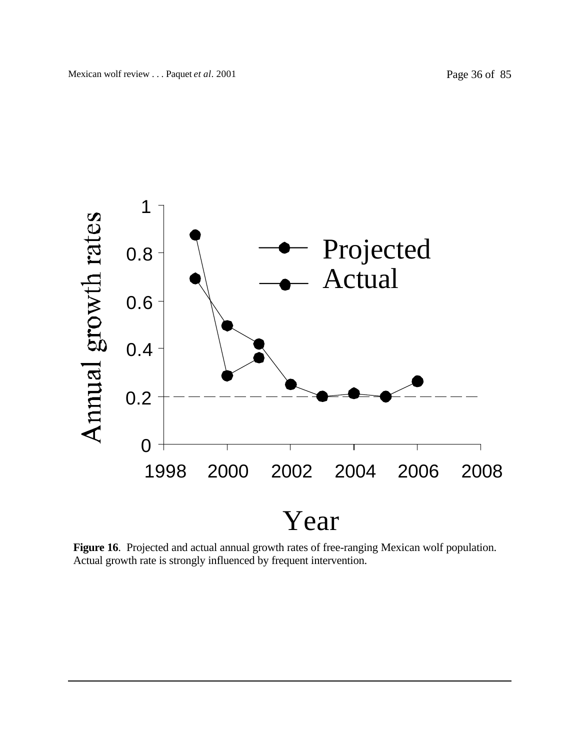

**Figure 16**. Projected and actual annual growth rates of free-ranging Mexican wolf population. Actual growth rate is strongly influenced by frequent intervention.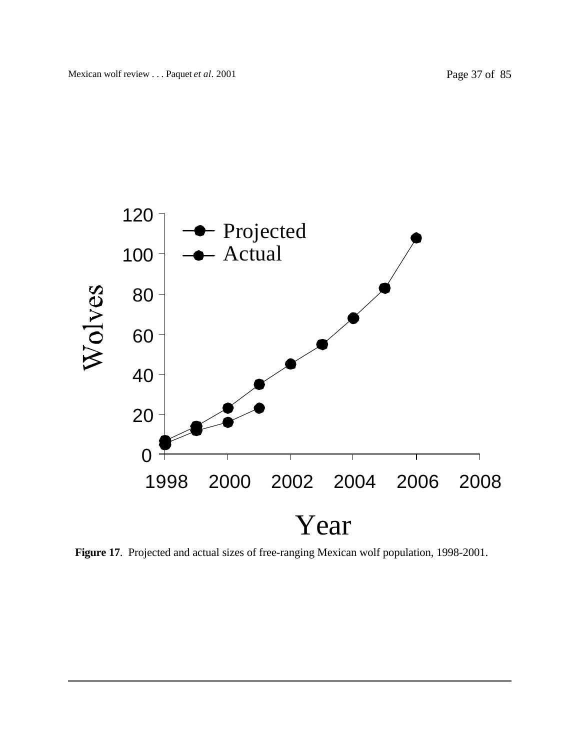

**Figure 17**. Projected and actual sizes of free-ranging Mexican wolf population, 1998-2001.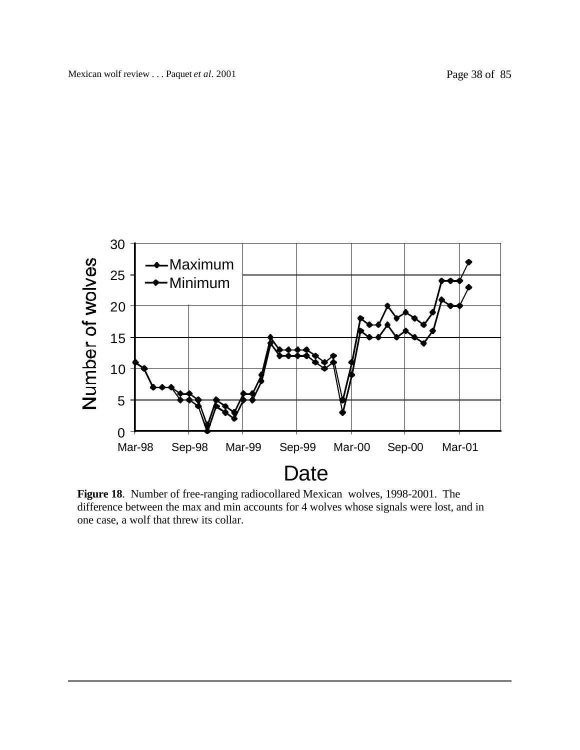

**Figure 18**. Number of free-ranging radiocollared Mexican wolves, 1998-2001. The difference between the max and min accounts for 4 wolves whose signals were lost, and in one case, a wolf that threw its collar.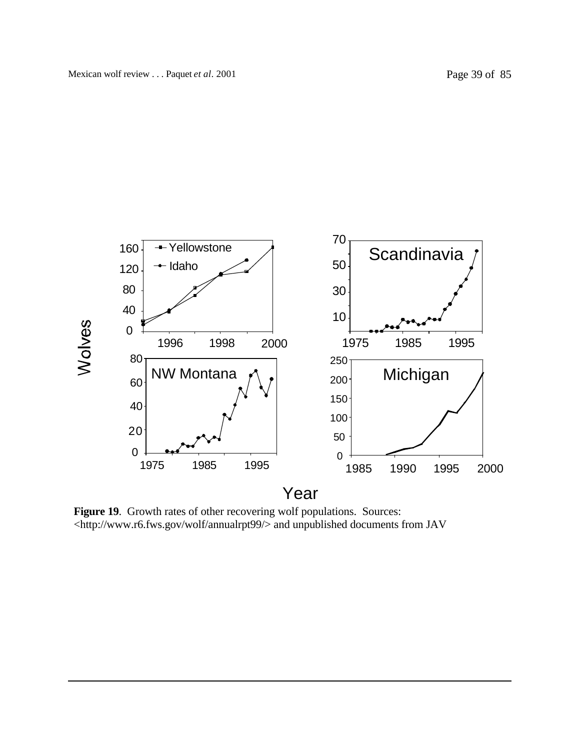

Figure 19. Growth rates of other recovering wolf populations. Sources: <http://www.r6.fws.gov/wolf/annualrpt99/> and unpublished documents from JAV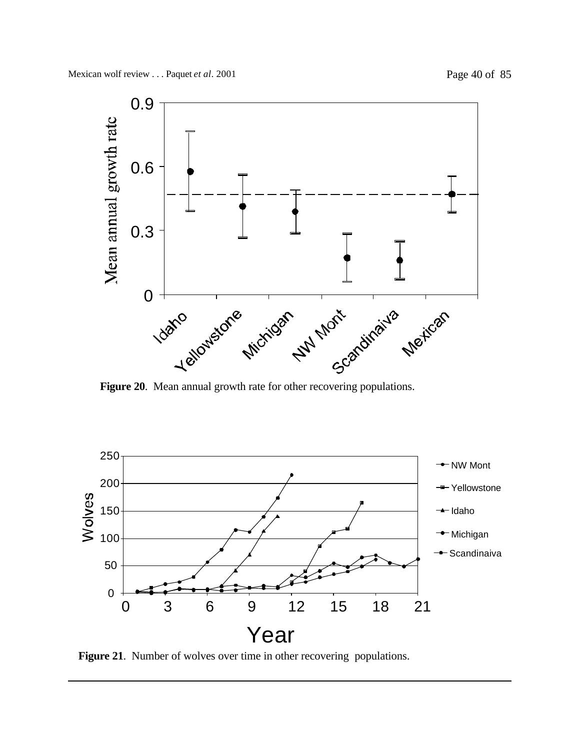

**Figure 20**. Mean annual growth rate for other recovering populations.



**Figure 21**. Number of wolves over time in other recovering populations.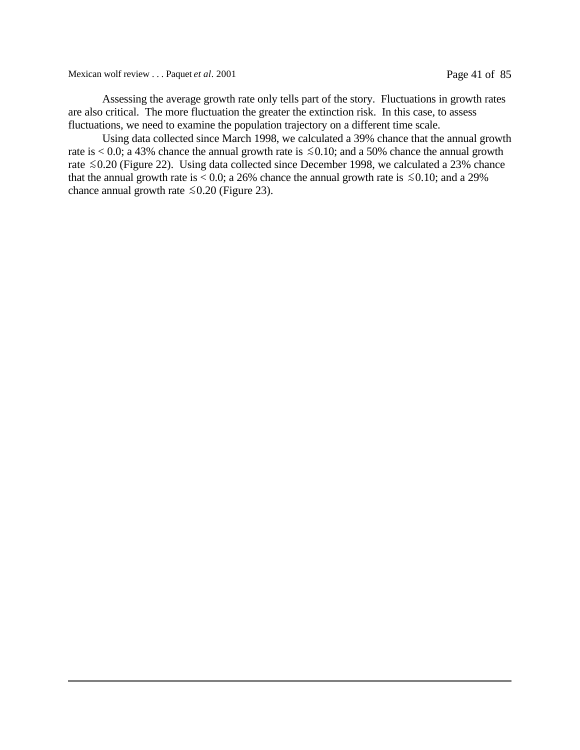Mexican wolf review . . . Paquet *et al.* 2001 Page 41 of 85

Assessing the average growth rate only tells part of the story. Fluctuations in growth rates are also critical. The more fluctuation the greater the extinction risk. In this case, to assess fluctuations, we need to examine the population trajectory on a different time scale.

Using data collected since March 1998, we calculated a 39% chance that the annual growth rate is  $\leq 0.0$ ; a 43% chance the annual growth rate is  $\leq 0.10$ ; and a 50% chance the annual growth rate  $\leq 0.20$  (Figure 22). Using data collected since December 1998, we calculated a 23% chance that the annual growth rate is  $< 0.0$ ; a 26% chance the annual growth rate is  $\le 0.10$ ; and a 29% chance annual growth rate  $\leq 0.20$  (Figure 23).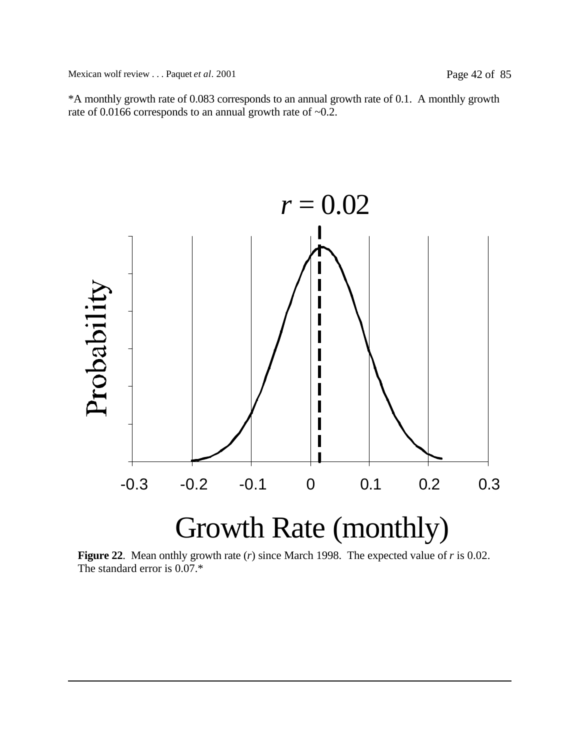\*A monthly growth rate of 0.083 corresponds to an annual growth rate of 0.1. A monthly growth rate of 0.0166 corresponds to an annual growth rate of ~0.2.



**Figure 22**. Mean onthly growth rate (*r*) since March 1998. The expected value of *r* is 0.02. The standard error is 0.07.\*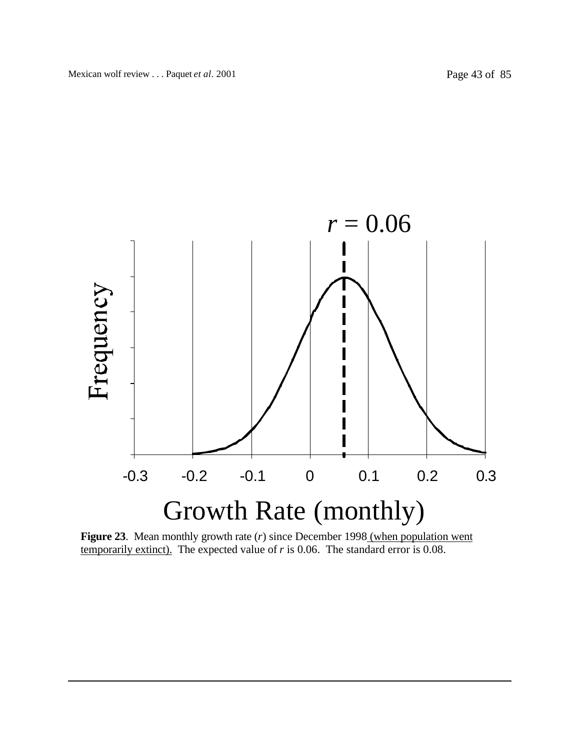



**Figure 23**. Mean monthly growth rate (*r*) since December 1998 (when population went temporarily extinct). The expected value of *r* is 0.06. The standard error is 0.08.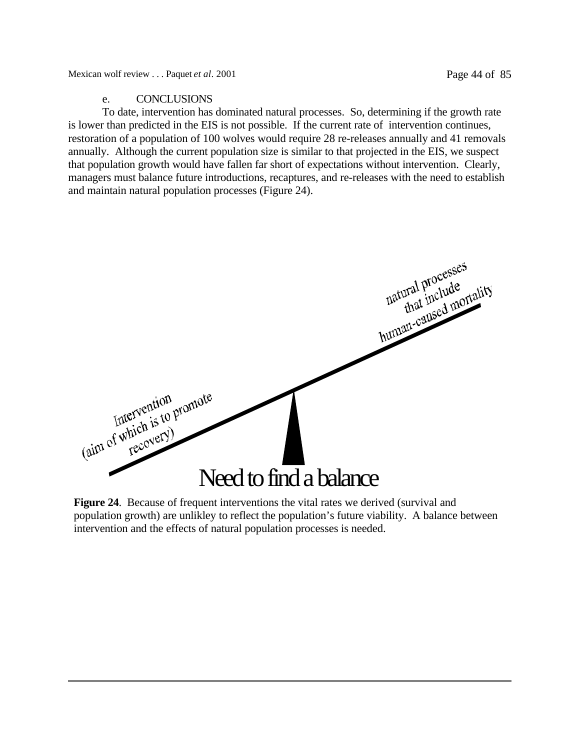## e. CONCLUSIONS

To date, intervention has dominated natural processes. So, determining if the growth rate is lower than predicted in the EIS is not possible. If the current rate of intervention continues, restoration of a population of 100 wolves would require 28 re-releases annually and 41 removals annually. Although the current population size is similar to that projected in the EIS, we suspect that population growth would have fallen far short of expectations without intervention. Clearly, managers must balance future introductions, recaptures, and re-releases with the need to establish and maintain natural population processes (Figure 24).



**Figure 24.** Because of frequent interventions the vital rates we derived (survival and population growth) are unlikley to reflect the population's future viability. A balance between intervention and the effects of natural population processes is needed.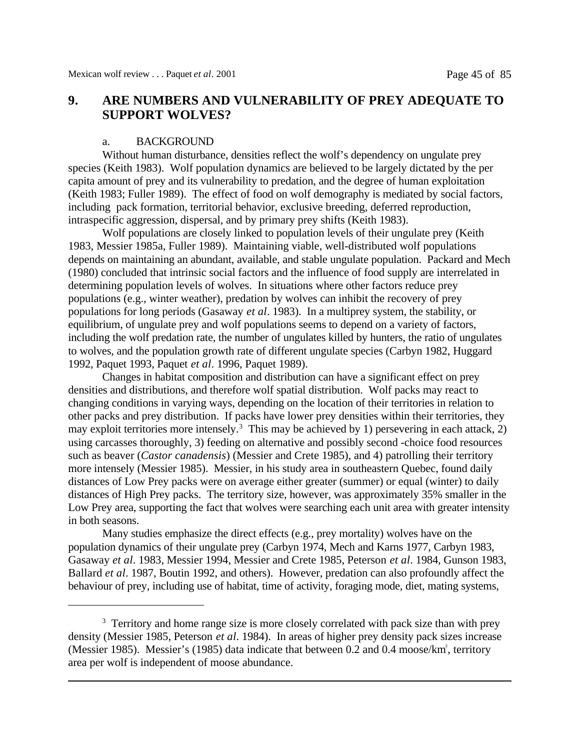# **9. ARE NUMBERS AND VULNERABILITY OF PREY ADEQUATE TO SUPPORT WOLVES?**

#### a. BACKGROUND

Without human disturbance, densities reflect the wolf's dependency on ungulate prey species (Keith 1983). Wolf population dynamics are believed to be largely dictated by the per capita amount of prey and its vulnerability to predation, and the degree of human exploitation (Keith 1983; Fuller 1989). The effect of food on wolf demography is mediated by social factors, including pack formation, territorial behavior, exclusive breeding, deferred reproduction, intraspecific aggression, dispersal, and by primary prey shifts (Keith 1983).

Wolf populations are closely linked to population levels of their ungulate prey (Keith 1983, Messier 1985a, Fuller 1989). Maintaining viable, well-distributed wolf populations depends on maintaining an abundant, available, and stable ungulate population. Packard and Mech (1980) concluded that intrinsic social factors and the influence of food supply are interrelated in determining population levels of wolves. In situations where other factors reduce prey populations (e.g., winter weather), predation by wolves can inhibit the recovery of prey populations for long periods (Gasaway *et al*. 1983). In a multiprey system, the stability, or equilibrium, of ungulate prey and wolf populations seems to depend on a variety of factors, including the wolf predation rate, the number of ungulates killed by hunters, the ratio of ungulates to wolves, and the population growth rate of different ungulate species (Carbyn 1982, Huggard 1992, Paquet 1993, Paquet *et al*. 1996, Paquet 1989).

Changes in habitat composition and distribution can have a significant effect on prey densities and distributions, and therefore wolf spatial distribution. Wolf packs may react to changing conditions in varying ways, depending on the location of their territories in relation to other packs and prey distribution. If packs have lower prey densities within their territories, they may exploit territories more intensely.<sup>3</sup> This may be achieved by 1) persevering in each attack, 2) using carcasses thoroughly, 3) feeding on alternative and possibly second -choice food resources such as beaver (*Castor canadensis*) (Messier and Crete 1985), and 4) patrolling their territory more intensely (Messier 1985). Messier, in his study area in southeastern Quebec, found daily distances of Low Prey packs were on average either greater (summer) or equal (winter) to daily distances of High Prey packs. The territory size, however, was approximately 35% smaller in the Low Prey area, supporting the fact that wolves were searching each unit area with greater intensity in both seasons.

Many studies emphasize the direct effects (e.g., prey mortality) wolves have on the population dynamics of their ungulate prey (Carbyn 1974, Mech and Karns 1977, Carbyn 1983, Gasaway *et al*. 1983, Messier 1994, Messier and Crete 1985, Peterson *et al*. 1984, Gunson 1983, Ballard *et al*. 1987, Boutin 1992, and others). However, predation can also profoundly affect the behaviour of prey, including use of habitat, time of activity, foraging mode, diet, mating systems,

<sup>&</sup>lt;sup>3</sup> Territory and home range size is more closely correlated with pack size than with prey density (Messier 1985, Peterson *et al*. 1984). In areas of higher prey density pack sizes increase (Messier 1985). Messier's (1985) data indicate that between 0.2 and 0.4 moose/km<sup>2</sup>, territory area per wolf is independent of moose abundance.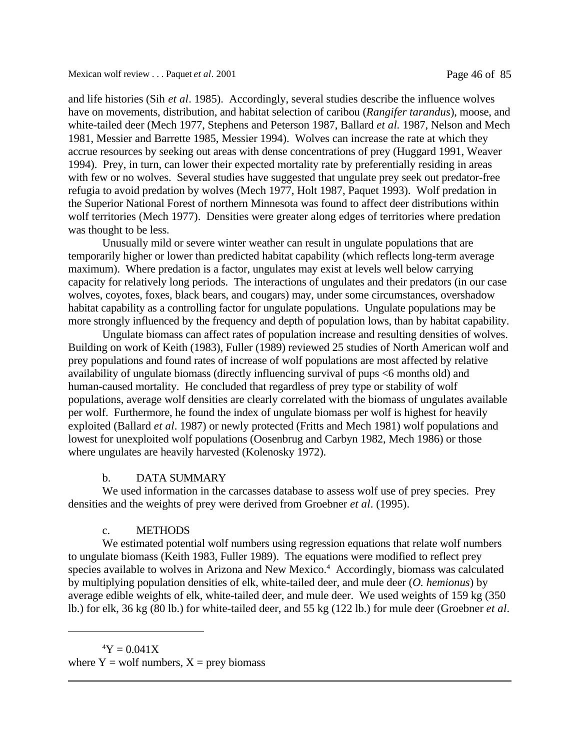and life histories (Sih *et al*. 1985). Accordingly, several studies describe the influence wolves have on movements, distribution, and habitat selection of caribou (*Rangifer tarandus*), moose, and white-tailed deer (Mech 1977, Stephens and Peterson 1987, Ballard *et al.* 1987, Nelson and Mech 1981, Messier and Barrette 1985, Messier 1994). Wolves can increase the rate at which they accrue resources by seeking out areas with dense concentrations of prey (Huggard 1991, Weaver 1994). Prey, in turn, can lower their expected mortality rate by preferentially residing in areas with few or no wolves. Several studies have suggested that ungulate prey seek out predator-free refugia to avoid predation by wolves (Mech 1977, Holt 1987, Paquet 1993). Wolf predation in the Superior National Forest of northern Minnesota was found to affect deer distributions within wolf territories (Mech 1977). Densities were greater along edges of territories where predation was thought to be less.

Unusually mild or severe winter weather can result in ungulate populations that are temporarily higher or lower than predicted habitat capability (which reflects long-term average maximum). Where predation is a factor, ungulates may exist at levels well below carrying capacity for relatively long periods. The interactions of ungulates and their predators (in our case wolves, coyotes, foxes, black bears, and cougars) may, under some circumstances, overshadow habitat capability as a controlling factor for ungulate populations. Ungulate populations may be more strongly influenced by the frequency and depth of population lows, than by habitat capability.

Ungulate biomass can affect rates of population increase and resulting densities of wolves. Building on work of Keith (1983), Fuller (1989) reviewed 25 studies of North American wolf and prey populations and found rates of increase of wolf populations are most affected by relative availability of ungulate biomass (directly influencing survival of pups <6 months old) and human-caused mortality. He concluded that regardless of prey type or stability of wolf populations, average wolf densities are clearly correlated with the biomass of ungulates available per wolf. Furthermore, he found the index of ungulate biomass per wolf is highest for heavily exploited (Ballard *et al*. 1987) or newly protected (Fritts and Mech 1981) wolf populations and lowest for unexploited wolf populations (Oosenbrug and Carbyn 1982, Mech 1986) or those where ungulates are heavily harvested (Kolenosky 1972).

#### b. DATA SUMMARY

We used information in the carcasses database to assess wolf use of prey species. Prey densities and the weights of prey were derived from Groebner *et al*. (1995).

### c. METHODS

We estimated potential wolf numbers using regression equations that relate wolf numbers to ungulate biomass (Keith 1983, Fuller 1989). The equations were modified to reflect prey species available to wolves in Arizona and New Mexico.<sup>4</sup> Accordingly, biomass was calculated by multiplying population densities of elk, white-tailed deer, and mule deer (*O. hemionus*) by average edible weights of elk, white-tailed deer, and mule deer. We used weights of 159 kg (350 lb.) for elk, 36 kg (80 lb.) for white-tailed deer, and 55 kg (122 lb.) for mule deer (Groebner *et al*.

 $4Y = 0.041X$ where  $Y =$  wolf numbers,  $X =$  prey biomass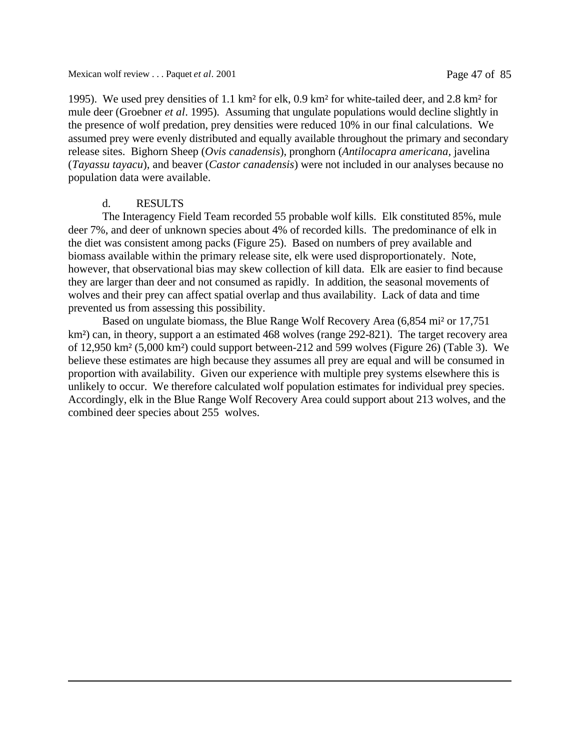1995). We used prey densities of 1.1 km² for elk, 0.9 km² for white-tailed deer, and 2.8 km² for mule deer (Groebner *et al*. 1995). Assuming that ungulate populations would decline slightly in the presence of wolf predation, prey densities were reduced 10% in our final calculations. We assumed prey were evenly distributed and equally available throughout the primary and secondary release sites. Bighorn Sheep (*Ovis canadensis*), pronghorn (*Antilocapra americana,* javelina (*Tayassu tayacu*), and beaver (*Castor canadensis*) were not included in our analyses because no population data were available.

## d. RESULTS

The Interagency Field Team recorded 55 probable wolf kills. Elk constituted 85%, mule deer 7%, and deer of unknown species about 4% of recorded kills. The predominance of elk in the diet was consistent among packs (Figure 25). Based on numbers of prey available and biomass available within the primary release site, elk were used disproportionately. Note, however, that observational bias may skew collection of kill data. Elk are easier to find because they are larger than deer and not consumed as rapidly. In addition, the seasonal movements of wolves and their prey can affect spatial overlap and thus availability. Lack of data and time prevented us from assessing this possibility.

Based on ungulate biomass, the Blue Range Wolf Recovery Area (6,854 mi² or 17,751 km<sup>2</sup>) can, in theory, support a an estimated 468 wolves (range 292-821). The target recovery area of 12,950 km² (5,000 km²) could support between-212 and 599 wolves (Figure 26) (Table 3). We believe these estimates are high because they assumes all prey are equal and will be consumed in proportion with availability. Given our experience with multiple prey systems elsewhere this is unlikely to occur. We therefore calculated wolf population estimates for individual prey species. Accordingly, elk in the Blue Range Wolf Recovery Area could support about 213 wolves, and the combined deer species about 255 wolves.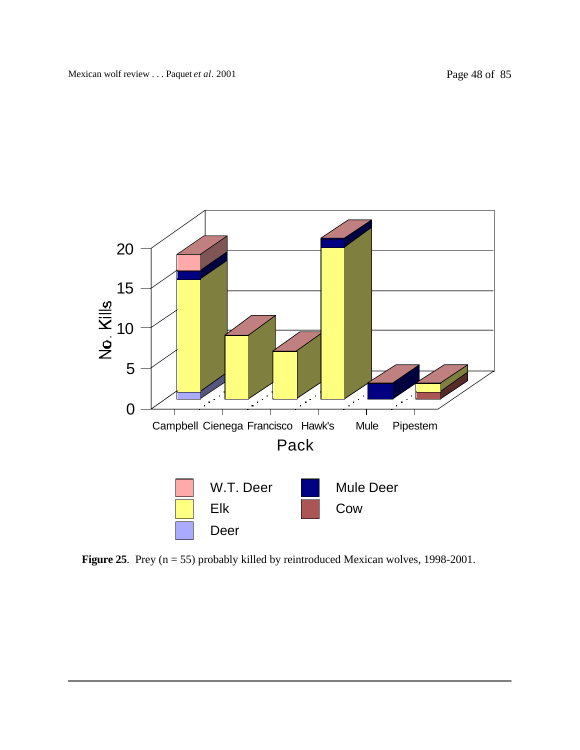

**Figure 25**. Prey (n = 55) probably killed by reintroduced Mexican wolves, 1998-2001.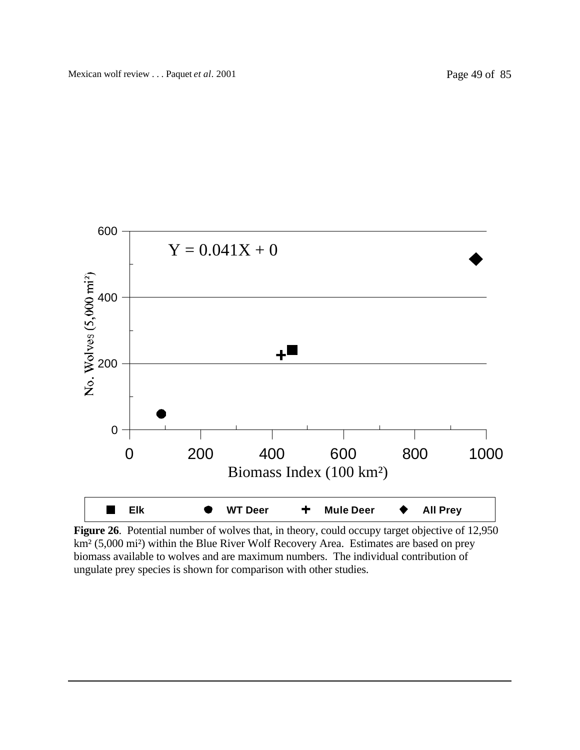

Figure 26. Potential number of wolves that, in theory, could occupy target objective of 12,950 km² (5,000 mi²) within the Blue River Wolf Recovery Area. Estimates are based on prey biomass available to wolves and are maximum numbers. The individual contribution of ungulate prey species is shown for comparison with other studies.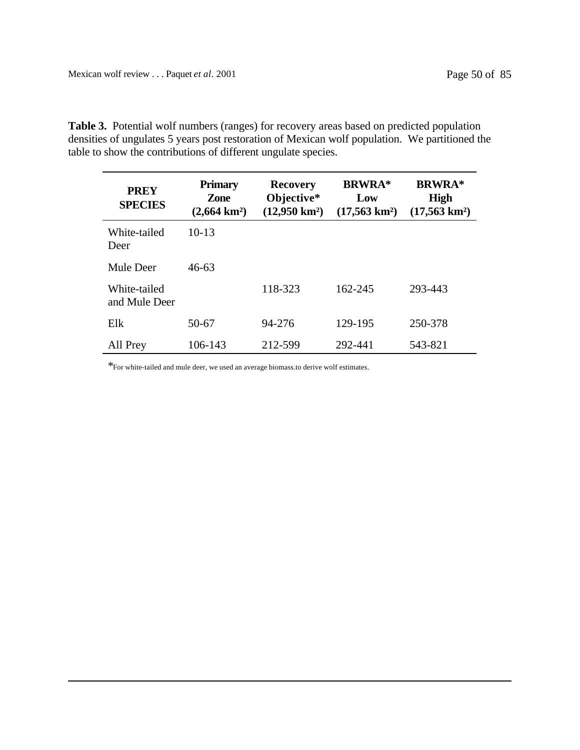**Table 3.** Potential wolf numbers (ranges) for recovery areas based on predicted population densities of ungulates 5 years post restoration of Mexican wolf population. We partitioned the table to show the contributions of different ungulate species.

| <b>PREY</b><br><b>SPECIES</b> | <b>Primary</b><br>Zone<br>$(2,664 \text{ km}^2)$ | <b>Recovery</b><br>Objective*<br>$(12,950 \text{ km}^2)$ | <b>BRWRA*</b><br>Low<br>$(17,563 \text{ km}^2)$ | <b>BRWRA*</b><br><b>High</b><br>$(17,563 \text{ km}^2)$ |
|-------------------------------|--------------------------------------------------|----------------------------------------------------------|-------------------------------------------------|---------------------------------------------------------|
| White-tailed<br>Deer          | $10-13$                                          |                                                          |                                                 |                                                         |
| Mule Deer                     | 46-63                                            |                                                          |                                                 |                                                         |
| White-tailed<br>and Mule Deer |                                                  | 118-323                                                  | 162-245                                         | 293-443                                                 |
| Elk                           | 50-67                                            | 94-276                                                   | 129-195                                         | 250-378                                                 |
| All Prey                      | 106-143                                          | 212-599                                                  | 292-441                                         | 543-821                                                 |

 $*_{\rm For}$  white-tailed and mule deer, we used an average biomass.to derive wolf estimates.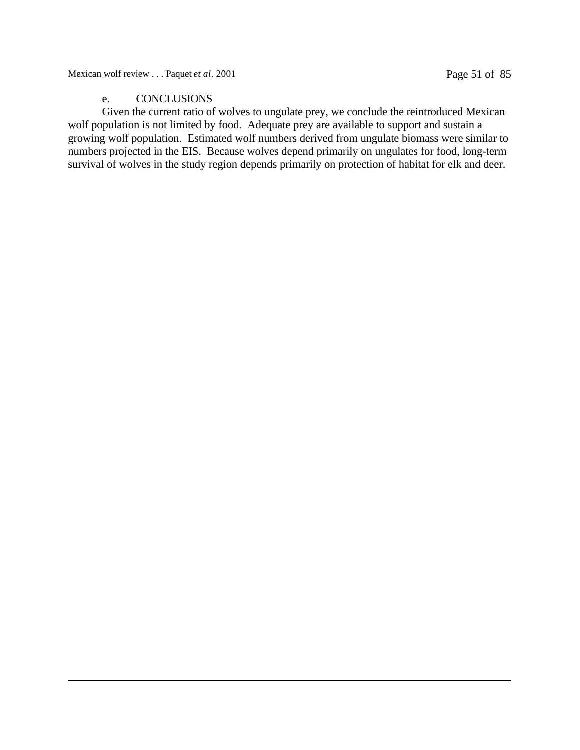Mexican wolf review . . . Paquet *et al.* 2001 Page 51 of 85

## e. CONCLUSIONS

Given the current ratio of wolves to ungulate prey, we conclude the reintroduced Mexican wolf population is not limited by food. Adequate prey are available to support and sustain a growing wolf population. Estimated wolf numbers derived from ungulate biomass were similar to numbers projected in the EIS. Because wolves depend primarily on ungulates for food, long-term survival of wolves in the study region depends primarily on protection of habitat for elk and deer.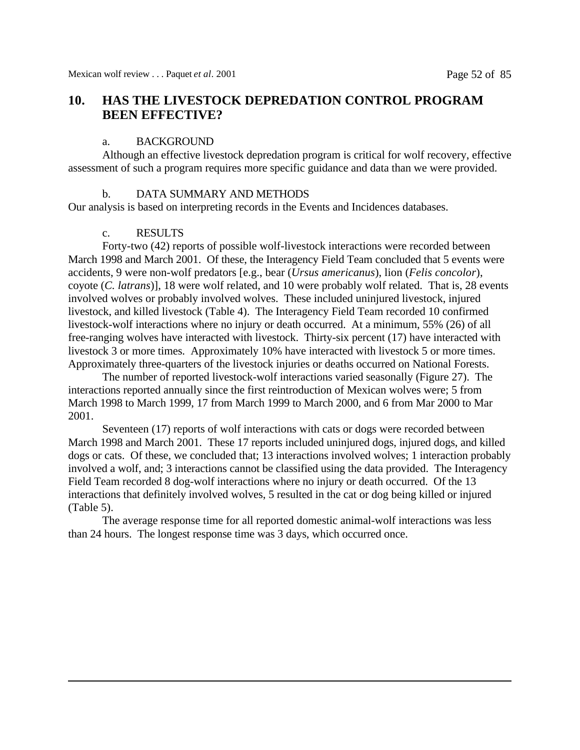# **10. HAS THE LIVESTOCK DEPREDATION CONTROL PROGRAM BEEN EFFECTIVE?**

### a. BACKGROUND

Although an effective livestock depredation program is critical for wolf recovery, effective assessment of such a program requires more specific guidance and data than we were provided.

### b. DATA SUMMARY AND METHODS

Our analysis is based on interpreting records in the Events and Incidences databases.

### c. RESULTS

Forty-two (42) reports of possible wolf-livestock interactions were recorded between March 1998 and March 2001. Of these, the Interagency Field Team concluded that 5 events were accidents, 9 were non-wolf predators [e.g., bear (*Ursus americanus*), lion (*Felis concolor*), coyote (*C. latrans*)], 18 were wolf related, and 10 were probably wolf related. That is, 28 events involved wolves or probably involved wolves. These included uninjured livestock, injured livestock, and killed livestock (Table 4). The Interagency Field Team recorded 10 confirmed livestock-wolf interactions where no injury or death occurred. At a minimum, 55% (26) of all free-ranging wolves have interacted with livestock. Thirty-six percent (17) have interacted with livestock 3 or more times. Approximately 10% have interacted with livestock 5 or more times. Approximately three-quarters of the livestock injuries or deaths occurred on National Forests.

The number of reported livestock-wolf interactions varied seasonally (Figure 27). The interactions reported annually since the first reintroduction of Mexican wolves were; 5 from March 1998 to March 1999, 17 from March 1999 to March 2000, and 6 from Mar 2000 to Mar 2001.

Seventeen (17) reports of wolf interactions with cats or dogs were recorded between March 1998 and March 2001. These 17 reports included uninjured dogs, injured dogs, and killed dogs or cats. Of these, we concluded that; 13 interactions involved wolves; 1 interaction probably involved a wolf, and; 3 interactions cannot be classified using the data provided. The Interagency Field Team recorded 8 dog-wolf interactions where no injury or death occurred. Of the 13 interactions that definitely involved wolves, 5 resulted in the cat or dog being killed or injured (Table 5).

The average response time for all reported domestic animal-wolf interactions was less than 24 hours. The longest response time was 3 days, which occurred once.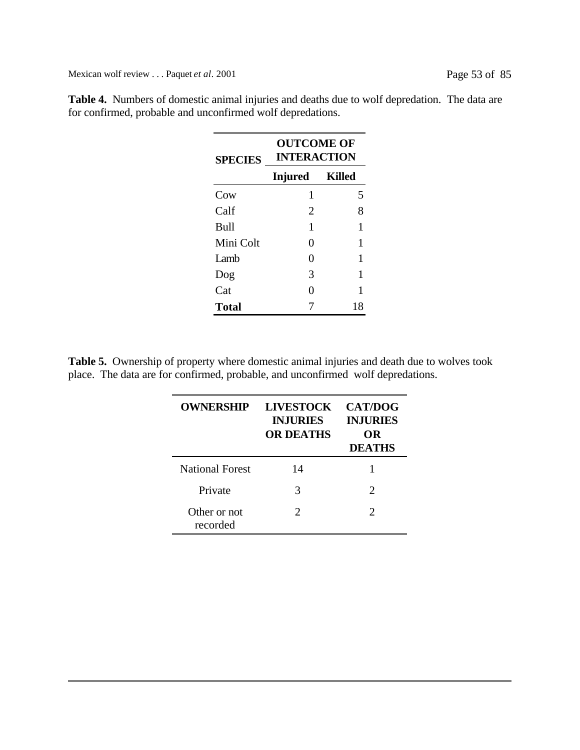Mexican wolf review . . . Paquet *et al.* 2001 Page 53 of 85

| <b>SPECIES</b> | <b>OUTCOME OF</b><br><b>INTERACTION</b> |        |  |
|----------------|-----------------------------------------|--------|--|
|                | <b>Injured</b>                          | Killed |  |
| Cow            | 1                                       | 5      |  |
| Calf           | 2                                       | 8      |  |
| <b>Bull</b>    | 1                                       | 1      |  |
| Mini Colt      | 0                                       | 1      |  |
| I amb          | 0                                       | 1      |  |
| Dog            | 3                                       | 1      |  |
| Cat            | 0                                       | 1      |  |
| <b>Total</b>   | 18                                      |        |  |

**Table 4.** Numbers of domestic animal injuries and deaths due to wolf depredation. The data are for confirmed, probable and unconfirmed wolf depredations.

**Table 5.** Ownership of property where domestic animal injuries and death due to wolves took place. The data are for confirmed, probable, and unconfirmed wolf depredations.

| <b>OWNERSHIP</b>         | <b>LIVESTOCK</b><br><b>INJURIES</b><br><b>OR DEATHS</b> | <b>CAT/DOG</b><br><b>INJURIES</b><br>OR<br><b>DEATHS</b> |
|--------------------------|---------------------------------------------------------|----------------------------------------------------------|
| <b>National Forest</b>   | 14                                                      |                                                          |
| Private                  | 3                                                       | $\mathcal{D}_{\cdot}$                                    |
| Other or not<br>recorded | $\mathcal{D}_{\cdot}$                                   | $\mathcal{D}_{\mathcal{L}}$                              |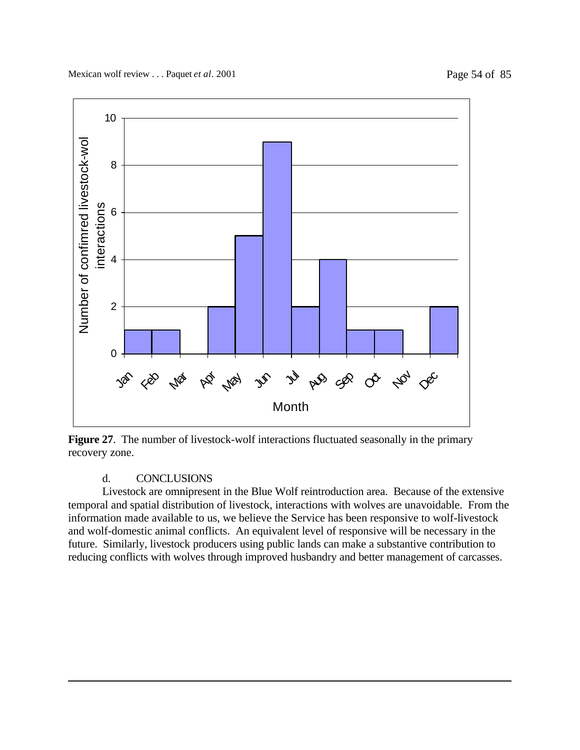

**Figure 27**. The number of livestock-wolf interactions fluctuated seasonally in the primary recovery zone.

## d. CONCLUSIONS

Livestock are omnipresent in the Blue Wolf reintroduction area. Because of the extensive temporal and spatial distribution of livestock, interactions with wolves are unavoidable. From the information made available to us, we believe the Service has been responsive to wolf-livestock and wolf-domestic animal conflicts. An equivalent level of responsive will be necessary in the future. Similarly, livestock producers using public lands can make a substantive contribution to reducing conflicts with wolves through improved husbandry and better management of carcasses.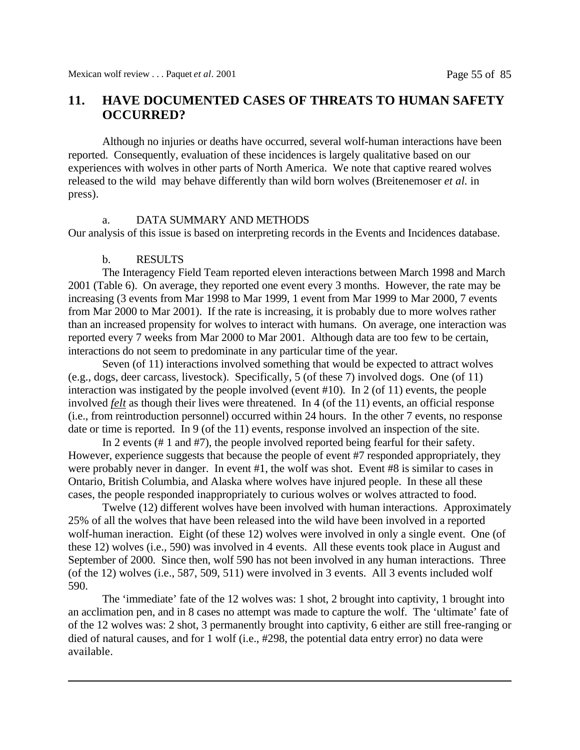# **11. HAVE DOCUMENTED CASES OF THREATS TO HUMAN SAFETY OCCURRED?**

Although no injuries or deaths have occurred, several wolf-human interactions have been reported. Consequently, evaluation of these incidences is largely qualitative based on our experiences with wolves in other parts of North America. We note that captive reared wolves released to the wild may behave differently than wild born wolves (Breitenemoser *et al.* in press).

### a. DATA SUMMARY AND METHODS

Our analysis of this issue is based on interpreting records in the Events and Incidences database.

#### b. RESULTS

The Interagency Field Team reported eleven interactions between March 1998 and March 2001 (Table 6). On average, they reported one event every 3 months. However, the rate may be increasing (3 events from Mar 1998 to Mar 1999, 1 event from Mar 1999 to Mar 2000, 7 events from Mar 2000 to Mar 2001). If the rate is increasing, it is probably due to more wolves rather than an increased propensity for wolves to interact with humans. On average, one interaction was reported every 7 weeks from Mar 2000 to Mar 2001. Although data are too few to be certain, interactions do not seem to predominate in any particular time of the year.

Seven (of 11) interactions involved something that would be expected to attract wolves (e.g., dogs, deer carcass, livestock). Specifically, 5 (of these 7) involved dogs. One (of 11) interaction was instigated by the people involved (event #10). In 2 (of 11) events, the people involved *felt* as though their lives were threatened. In 4 (of the 11) events, an official response (i.e., from reintroduction personnel) occurred within 24 hours. In the other 7 events, no response date or time is reported. In 9 (of the 11) events, response involved an inspection of the site.

In 2 events (# 1 and #7), the people involved reported being fearful for their safety. However, experience suggests that because the people of event #7 responded appropriately, they were probably never in danger. In event #1, the wolf was shot. Event #8 is similar to cases in Ontario, British Columbia, and Alaska where wolves have injured people. In these all these cases, the people responded inappropriately to curious wolves or wolves attracted to food.

Twelve (12) different wolves have been involved with human interactions. Approximately 25% of all the wolves that have been released into the wild have been involved in a reported wolf-human ineraction. Eight (of these 12) wolves were involved in only a single event. One (of these 12) wolves (i.e., 590) was involved in 4 events. All these events took place in August and September of 2000. Since then, wolf 590 has not been involved in any human interactions. Three (of the 12) wolves (i.e., 587, 509, 511) were involved in 3 events. All 3 events included wolf 590.

The 'immediate' fate of the 12 wolves was: 1 shot, 2 brought into captivity, 1 brought into an acclimation pen, and in 8 cases no attempt was made to capture the wolf. The 'ultimate' fate of of the 12 wolves was: 2 shot, 3 permanently brought into captivity, 6 either are still free-ranging or died of natural causes, and for 1 wolf (i.e., #298, the potential data entry error) no data were available.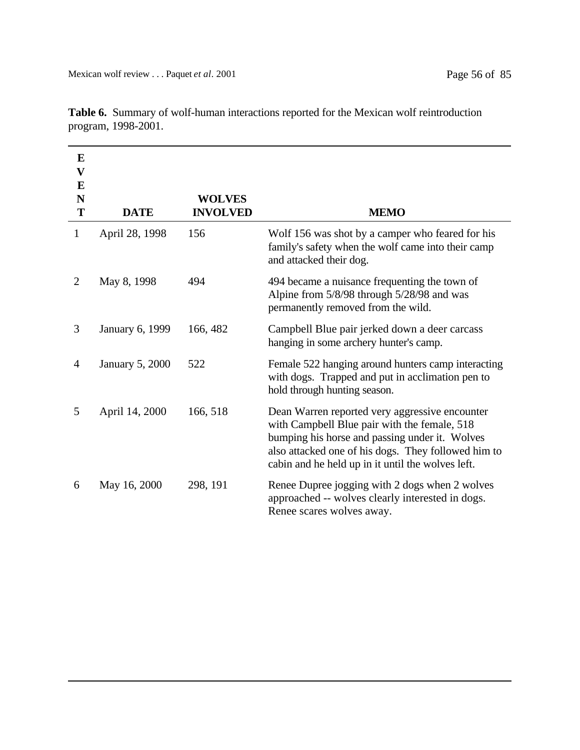| E<br>$\mathbf V$<br>E<br>N<br>T | <b>DATE</b>            | <b>WOLVES</b><br><b>INVOLVED</b> | <b>MEMO</b>                                                                                                                                                                                                                                                  |
|---------------------------------|------------------------|----------------------------------|--------------------------------------------------------------------------------------------------------------------------------------------------------------------------------------------------------------------------------------------------------------|
| $\mathbf{1}$                    | April 28, 1998         | 156                              | Wolf 156 was shot by a camper who feared for his<br>family's safety when the wolf came into their camp<br>and attacked their dog.                                                                                                                            |
| $\overline{2}$                  | May 8, 1998            | 494                              | 494 became a nuisance frequenting the town of<br>Alpine from 5/8/98 through 5/28/98 and was<br>permanently removed from the wild.                                                                                                                            |
| 3                               | January 6, 1999        | 166, 482                         | Campbell Blue pair jerked down a deer carcass<br>hanging in some archery hunter's camp.                                                                                                                                                                      |
| $\overline{4}$                  | <b>January 5, 2000</b> | 522                              | Female 522 hanging around hunters camp interacting<br>with dogs. Trapped and put in acclimation pen to<br>hold through hunting season.                                                                                                                       |
| 5                               | April 14, 2000         | 166, 518                         | Dean Warren reported very aggressive encounter<br>with Campbell Blue pair with the female, 518<br>bumping his horse and passing under it. Wolves<br>also attacked one of his dogs. They followed him to<br>cabin and he held up in it until the wolves left. |
| 6                               | May 16, 2000           | 298, 191                         | Renee Dupree jogging with 2 dogs when 2 wolves<br>approached -- wolves clearly interested in dogs.<br>Renee scares wolves away.                                                                                                                              |

**Table 6.** Summary of wolf-human interactions reported for the Mexican wolf reintroduction program, 1998-2001.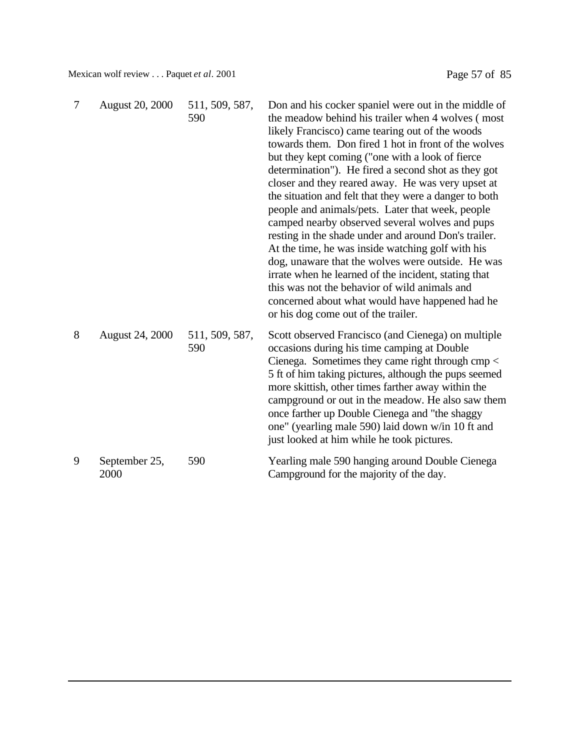Mexican wolf review . . . Paquet *et al.* 2001 Page 57 of 85

| $\overline{7}$ | <b>August 20, 2000</b> | 511, 509, 587,<br>590 | Don and his cocker spaniel were out in the middle of<br>the meadow behind his trailer when 4 wolves (most<br>likely Francisco) came tearing out of the woods<br>towards them. Don fired 1 hot in front of the wolves<br>but they kept coming ("one with a look of fierce"<br>determination"). He fired a second shot as they got<br>closer and they reared away. He was very upset at<br>the situation and felt that they were a danger to both<br>people and animals/pets. Later that week, people<br>camped nearby observed several wolves and pups<br>resting in the shade under and around Don's trailer.<br>At the time, he was inside watching golf with his<br>dog, unaware that the wolves were outside. He was<br>irrate when he learned of the incident, stating that<br>this was not the behavior of wild animals and<br>concerned about what would have happened had he<br>or his dog come out of the trailer. |
|----------------|------------------------|-----------------------|----------------------------------------------------------------------------------------------------------------------------------------------------------------------------------------------------------------------------------------------------------------------------------------------------------------------------------------------------------------------------------------------------------------------------------------------------------------------------------------------------------------------------------------------------------------------------------------------------------------------------------------------------------------------------------------------------------------------------------------------------------------------------------------------------------------------------------------------------------------------------------------------------------------------------|
| 8              | <b>August 24, 2000</b> | 511, 509, 587,<br>590 | Scott observed Francisco (and Cienega) on multiple<br>occasions during his time camping at Double<br>Cienega. Sometimes they came right through $\text{cmp} <$<br>5 ft of him taking pictures, although the pups seemed<br>more skittish, other times farther away within the<br>campground or out in the meadow. He also saw them<br>once farther up Double Cienega and "the shaggy<br>one" (yearling male 590) laid down w/in 10 ft and<br>just looked at him while he took pictures.                                                                                                                                                                                                                                                                                                                                                                                                                                    |
| 9              | September 25,<br>2000  | 590                   | Yearling male 590 hanging around Double Cienega<br>Campground for the majority of the day.                                                                                                                                                                                                                                                                                                                                                                                                                                                                                                                                                                                                                                                                                                                                                                                                                                 |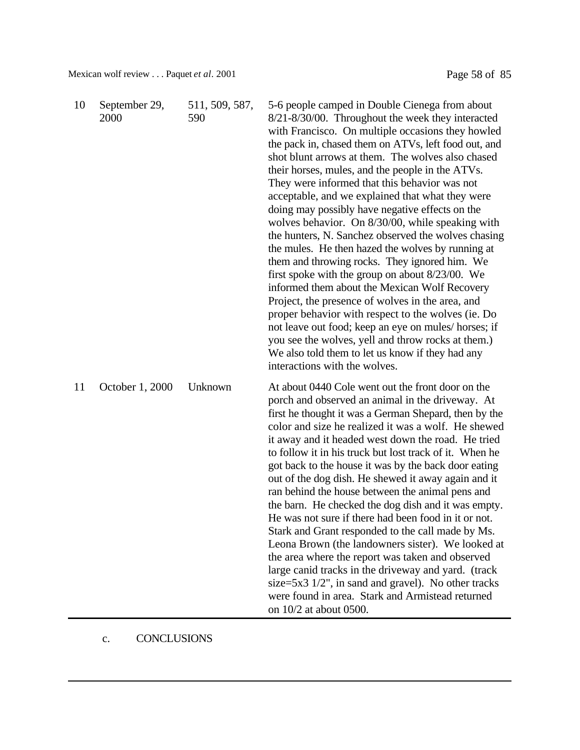Mexican wolf review . . . Paquet *et al.* 2001 Page 58 of 85

| 10 | September 29,<br>2000 | 511, 509, 587,<br>590 | 5-6 people camped in Double Cienega from about<br>8/21-8/30/00. Throughout the week they interacted<br>with Francisco. On multiple occasions they howled<br>the pack in, chased them on ATVs, left food out, and<br>shot blunt arrows at them. The wolves also chased<br>their horses, mules, and the people in the ATVs.<br>They were informed that this behavior was not<br>acceptable, and we explained that what they were<br>doing may possibly have negative effects on the<br>wolves behavior. On 8/30/00, while speaking with<br>the hunters, N. Sanchez observed the wolves chasing<br>the mules. He then hazed the wolves by running at<br>them and throwing rocks. They ignored him. We<br>first spoke with the group on about $8/23/00$ . We<br>informed them about the Mexican Wolf Recovery<br>Project, the presence of wolves in the area, and<br>proper behavior with respect to the wolves (ie. Do<br>not leave out food; keep an eye on mules/horses; if<br>you see the wolves, yell and throw rocks at them.)<br>We also told them to let us know if they had any<br>interactions with the wolves. |
|----|-----------------------|-----------------------|-----------------------------------------------------------------------------------------------------------------------------------------------------------------------------------------------------------------------------------------------------------------------------------------------------------------------------------------------------------------------------------------------------------------------------------------------------------------------------------------------------------------------------------------------------------------------------------------------------------------------------------------------------------------------------------------------------------------------------------------------------------------------------------------------------------------------------------------------------------------------------------------------------------------------------------------------------------------------------------------------------------------------------------------------------------------------------------------------------------------------|
| 11 | October 1, 2000       | Unknown               | At about 0440 Cole went out the front door on the<br>porch and observed an animal in the driveway. At<br>first he thought it was a German Shepard, then by the<br>color and size he realized it was a wolf. He shewed<br>it away and it headed west down the road. He tried<br>to follow it in his truck but lost track of it. When he<br>got back to the house it was by the back door eating<br>out of the dog dish. He shewed it away again and it<br>ran behind the house between the animal pens and<br>the barn. He checked the dog dish and it was empty.<br>He was not sure if there had been food in it or not.<br>Stark and Grant responded to the call made by Ms.<br>Leona Brown (the landowners sister). We looked at<br>the area where the report was taken and observed<br>large canid tracks in the driveway and yard. (track<br>size= $5x3 \frac{1}{2}$ , in sand and gravel). No other tracks<br>were found in area. Stark and Armistead returned<br>on 10/2 at about 0500.                                                                                                                         |

# c. CONCLUSIONS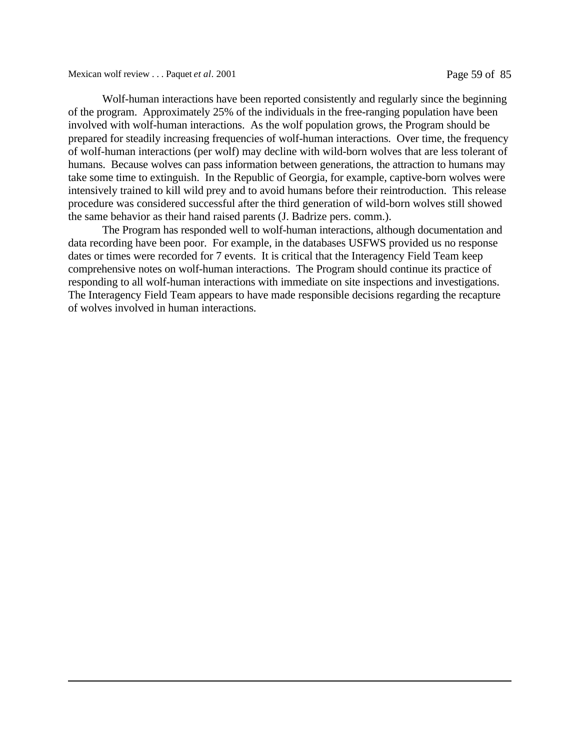Mexican wolf review . . . Paquet *et al*. 2001 Page 59 of 85

Wolf-human interactions have been reported consistently and regularly since the beginning of the program. Approximately 25% of the individuals in the free-ranging population have been involved with wolf-human interactions. As the wolf population grows, the Program should be prepared for steadily increasing frequencies of wolf-human interactions. Over time, the frequency of wolf-human interactions (per wolf) may decline with wild-born wolves that are less tolerant of humans. Because wolves can pass information between generations, the attraction to humans may take some time to extinguish. In the Republic of Georgia, for example, captive-born wolves were intensively trained to kill wild prey and to avoid humans before their reintroduction. This release procedure was considered successful after the third generation of wild-born wolves still showed the same behavior as their hand raised parents (J. Badrize pers. comm.).

The Program has responded well to wolf-human interactions, although documentation and data recording have been poor. For example, in the databases USFWS provided us no response dates or times were recorded for 7 events. It is critical that the Interagency Field Team keep comprehensive notes on wolf-human interactions. The Program should continue its practice of responding to all wolf-human interactions with immediate on site inspections and investigations. The Interagency Field Team appears to have made responsible decisions regarding the recapture of wolves involved in human interactions.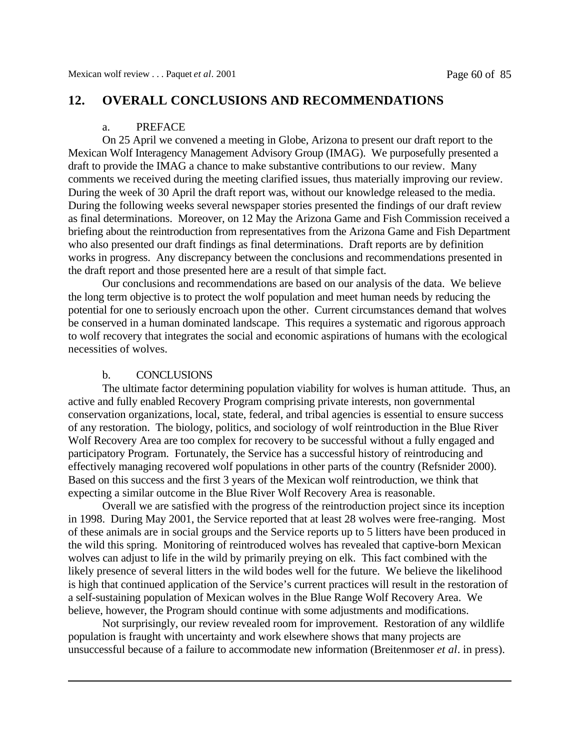# **12. OVERALL CONCLUSIONS AND RECOMMENDATIONS**

#### a. PREFACE

On 25 April we convened a meeting in Globe, Arizona to present our draft report to the Mexican Wolf Interagency Management Advisory Group (IMAG). We purposefully presented a draft to provide the IMAG a chance to make substantive contributions to our review. Many comments we received during the meeting clarified issues, thus materially improving our review. During the week of 30 April the draft report was, without our knowledge released to the media. During the following weeks several newspaper stories presented the findings of our draft review as final determinations. Moreover, on 12 May the Arizona Game and Fish Commission received a briefing about the reintroduction from representatives from the Arizona Game and Fish Department who also presented our draft findings as final determinations. Draft reports are by definition works in progress. Any discrepancy between the conclusions and recommendations presented in the draft report and those presented here are a result of that simple fact.

Our conclusions and recommendations are based on our analysis of the data. We believe the long term objective is to protect the wolf population and meet human needs by reducing the potential for one to seriously encroach upon the other. Current circumstances demand that wolves be conserved in a human dominated landscape. This requires a systematic and rigorous approach to wolf recovery that integrates the social and economic aspirations of humans with the ecological necessities of wolves.

#### b. CONCLUSIONS

The ultimate factor determining population viability for wolves is human attitude. Thus, an active and fully enabled Recovery Program comprising private interests, non governmental conservation organizations, local, state, federal, and tribal agencies is essential to ensure success of any restoration. The biology, politics, and sociology of wolf reintroduction in the Blue River Wolf Recovery Area are too complex for recovery to be successful without a fully engaged and participatory Program. Fortunately, the Service has a successful history of reintroducing and effectively managing recovered wolf populations in other parts of the country (Refsnider 2000). Based on this success and the first 3 years of the Mexican wolf reintroduction, we think that expecting a similar outcome in the Blue River Wolf Recovery Area is reasonable.

Overall we are satisfied with the progress of the reintroduction project since its inception in 1998. During May 2001, the Service reported that at least 28 wolves were free-ranging. Most of these animals are in social groups and the Service reports up to 5 litters have been produced in the wild this spring. Monitoring of reintroduced wolves has revealed that captive-born Mexican wolves can adjust to life in the wild by primarily preying on elk. This fact combined with the likely presence of several litters in the wild bodes well for the future. We believe the likelihood is high that continued application of the Service's current practices will result in the restoration of a self-sustaining population of Mexican wolves in the Blue Range Wolf Recovery Area. We believe, however, the Program should continue with some adjustments and modifications.

Not surprisingly, our review revealed room for improvement. Restoration of any wildlife population is fraught with uncertainty and work elsewhere shows that many projects are unsuccessful because of a failure to accommodate new information (Breitenmoser *et al*. in press).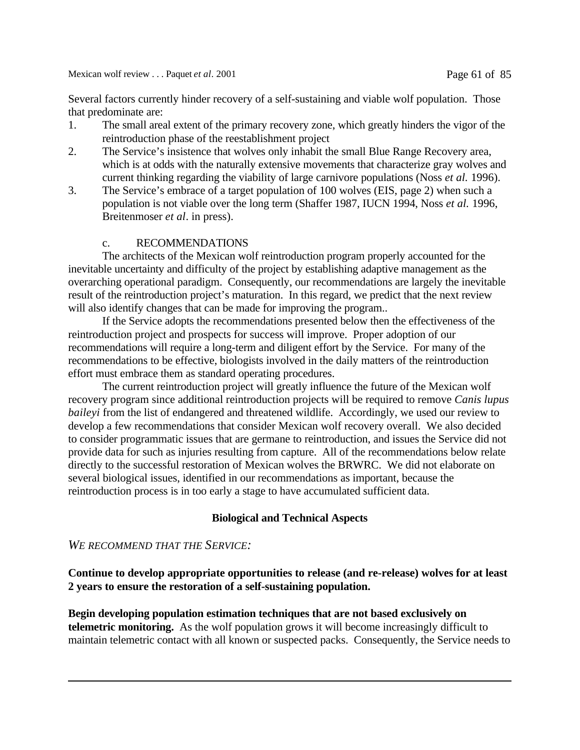Mexican wolf review . . . Paquet *et al.* 2001 **Page 61 of 85** 

Several factors currently hinder recovery of a self-sustaining and viable wolf population. Those that predominate are:

- 1. The small areal extent of the primary recovery zone, which greatly hinders the vigor of the reintroduction phase of the reestablishment project
- 2. The Service's insistence that wolves only inhabit the small Blue Range Recovery area, which is at odds with the naturally extensive movements that characterize gray wolves and current thinking regarding the viability of large carnivore populations (Noss *et al.* 1996).
- 3. The Service's embrace of a target population of 100 wolves (EIS, page 2) when such a population is not viable over the long term (Shaffer 1987, IUCN 1994, Noss *et al.* 1996, Breitenmoser *et al*. in press).

## c. RECOMMENDATIONS

The architects of the Mexican wolf reintroduction program properly accounted for the inevitable uncertainty and difficulty of the project by establishing adaptive management as the overarching operational paradigm. Consequently, our recommendations are largely the inevitable result of the reintroduction project's maturation. In this regard, we predict that the next review will also identify changes that can be made for improving the program...

If the Service adopts the recommendations presented below then the effectiveness of the reintroduction project and prospects for success will improve. Proper adoption of our recommendations will require a long-term and diligent effort by the Service. For many of the recommendations to be effective, biologists involved in the daily matters of the reintroduction effort must embrace them as standard operating procedures.

The current reintroduction project will greatly influence the future of the Mexican wolf recovery program since additional reintroduction projects will be required to remove *Canis lupus baileyi* from the list of endangered and threatened wildlife. Accordingly, we used our review to develop a few recommendations that consider Mexican wolf recovery overall. We also decided to consider programmatic issues that are germane to reintroduction, and issues the Service did not provide data for such as injuries resulting from capture. All of the recommendations below relate directly to the successful restoration of Mexican wolves the BRWRC. We did not elaborate on several biological issues, identified in our recommendations as important, because the reintroduction process is in too early a stage to have accumulated sufficient data.

## **Biological and Technical Aspects**

### *WE RECOMMEND THAT THE SERVICE:*

**Continue to develop appropriate opportunities to release (and re-release) wolves for at least 2 years to ensure the restoration of a self-sustaining population.**

**Begin developing population estimation techniques that are not based exclusively on telemetric monitoring.** As the wolf population grows it will become increasingly difficult to maintain telemetric contact with all known or suspected packs. Consequently, the Service needs to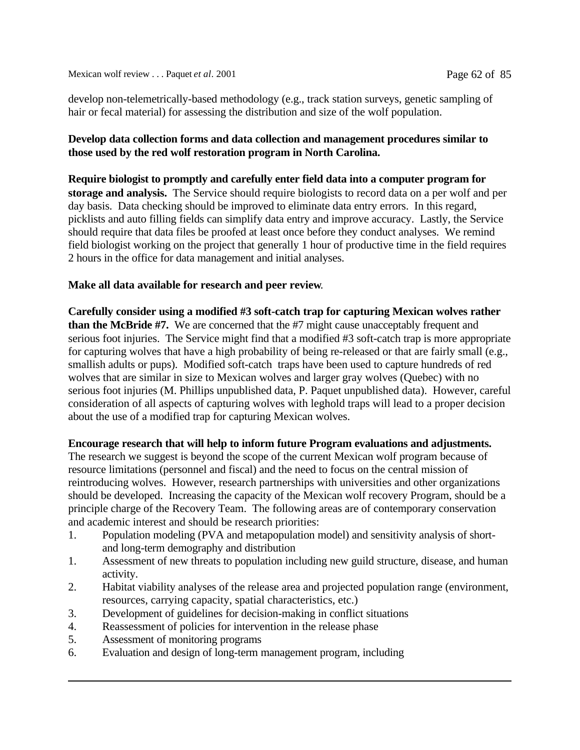develop non-telemetrically-based methodology (e.g., track station surveys, genetic sampling of hair or fecal material) for assessing the distribution and size of the wolf population.

## **Develop data collection forms and data collection and management procedures similar to those used by the red wolf restoration program in North Carolina.**

**Require biologist to promptly and carefully enter field data into a computer program for storage and analysis.** The Service should require biologists to record data on a per wolf and per day basis. Data checking should be improved to eliminate data entry errors. In this regard, picklists and auto filling fields can simplify data entry and improve accuracy. Lastly, the Service should require that data files be proofed at least once before they conduct analyses. We remind field biologist working on the project that generally 1 hour of productive time in the field requires 2 hours in the office for data management and initial analyses.

## **Make all data available for research and peer review**.

**Carefully consider using a modified #3 soft-catch trap for capturing Mexican wolves rather than the McBride #7.** We are concerned that the #7 might cause unacceptably frequent and serious foot injuries. The Service might find that a modified #3 soft-catch trap is more appropriate for capturing wolves that have a high probability of being re-released or that are fairly small (e.g., smallish adults or pups). Modified soft-catch traps have been used to capture hundreds of red wolves that are similar in size to Mexican wolves and larger gray wolves (Quebec) with no serious foot injuries (M. Phillips unpublished data, P. Paquet unpublished data). However, careful consideration of all aspects of capturing wolves with leghold traps will lead to a proper decision about the use of a modified trap for capturing Mexican wolves.

## **Encourage research that will help to inform future Program evaluations and adjustments.**

The research we suggest is beyond the scope of the current Mexican wolf program because of resource limitations (personnel and fiscal) and the need to focus on the central mission of reintroducing wolves. However, research partnerships with universities and other organizations should be developed. Increasing the capacity of the Mexican wolf recovery Program, should be a principle charge of the Recovery Team. The following areas are of contemporary conservation and academic interest and should be research priorities:

- 1. Population modeling (PVA and metapopulation model) and sensitivity analysis of shortand long-term demography and distribution
- 1. Assessment of new threats to population including new guild structure, disease, and human activity.
- 2. Habitat viability analyses of the release area and projected population range (environment, resources, carrying capacity, spatial characteristics, etc.)
- 3. Development of guidelines for decision-making in conflict situations
- 4. Reassessment of policies for intervention in the release phase
- 5. Assessment of monitoring programs
- 6. Evaluation and design of long-term management program, including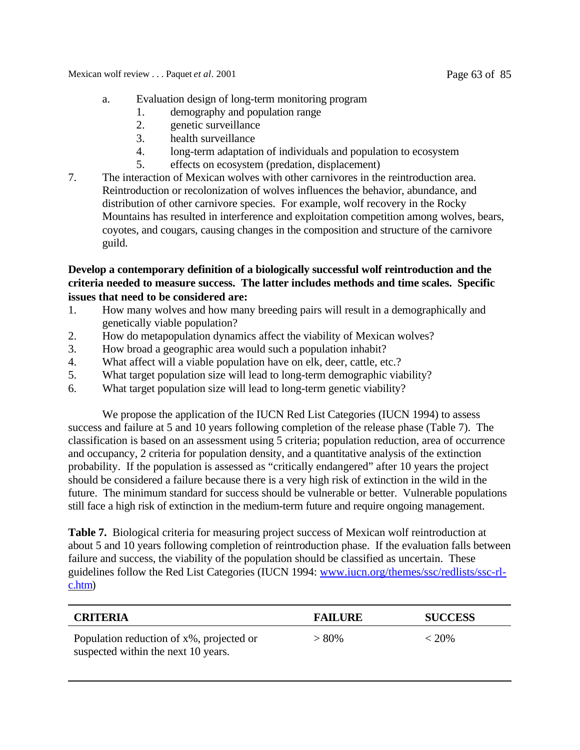Mexican wolf review . . . Paquet *et al*. 2001 Page 63 of 85

- a. Evaluation design of long-term monitoring program
	- 1. demography and population range
	- 2. genetic surveillance
	- 3. health surveillance
	- 4. long-term adaptation of individuals and population to ecosystem
	- 5. effects on ecosystem (predation, displacement)
- 7. The interaction of Mexican wolves with other carnivores in the reintroduction area. Reintroduction or recolonization of wolves influences the behavior, abundance, and distribution of other carnivore species. For example, wolf recovery in the Rocky Mountains has resulted in interference and exploitation competition among wolves, bears, coyotes, and cougars, causing changes in the composition and structure of the carnivore guild.

## **Develop a contemporary definition of a biologically successful wolf reintroduction and the criteria needed to measure success. The latter includes methods and time scales. Specific issues that need to be considered are:**

- 1. How many wolves and how many breeding pairs will result in a demographically and genetically viable population?
- 2. How do metapopulation dynamics affect the viability of Mexican wolves?
- 3. How broad a geographic area would such a population inhabit?
- 4. What affect will a viable population have on elk, deer, cattle, etc.?
- 5. What target population size will lead to long-term demographic viability?
- 6. What target population size will lead to long-term genetic viability?

We propose the application of the IUCN Red List Categories (IUCN 1994) to assess success and failure at 5 and 10 years following completion of the release phase (Table 7). The classification is based on an assessment using 5 criteria; population reduction, area of occurrence and occupancy, 2 criteria for population density, and a quantitative analysis of the extinction probability. If the population is assessed as "critically endangered" after 10 years the project should be considered a failure because there is a very high risk of extinction in the wild in the future. The minimum standard for success should be vulnerable or better. Vulnerable populations still face a high risk of extinction in the medium-term future and require ongoing management.

**Table 7.** Biological criteria for measuring project success of Mexican wolf reintroduction at about 5 and 10 years following completion of reintroduction phase. If the evaluation falls between failure and success, the viability of the population should be classified as uncertain. These guidelines follow the Red List Categories (IUCN 1994: www.iucn.org/themes/ssc/redlists/ssc-rlc.htm)

| <b>CRITERIA</b>                                                                 | <b>FAILURE</b> | <b>SUCCESS</b> |
|---------------------------------------------------------------------------------|----------------|----------------|
| Population reduction of x%, projected or<br>suspected within the next 10 years. | $> 80\%$       | $< 20\%$       |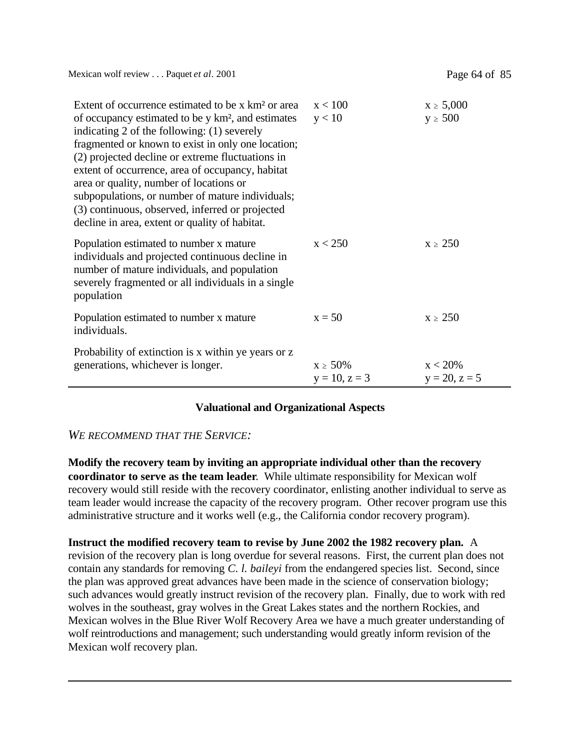Mexican wolf review . . . Paquet *et al.* 2001 **Page 64 of 85** 

| Extent of occurrence estimated to be x km <sup>2</sup> or area<br>of occupancy estimated to be y km <sup>2</sup> , and estimates<br>indicating 2 of the following: (1) severely<br>fragmented or known to exist in only one location;<br>(2) projected decline or extreme fluctuations in<br>extent of occurrence, area of occupancy, habitat<br>area or quality, number of locations or<br>subpopulations, or number of mature individuals;<br>(3) continuous, observed, inferred or projected<br>decline in area, extent or quality of habitat. | x < 100<br>y < 10                   | $x \ge 5,000$<br>$y \ge 500$  |
|---------------------------------------------------------------------------------------------------------------------------------------------------------------------------------------------------------------------------------------------------------------------------------------------------------------------------------------------------------------------------------------------------------------------------------------------------------------------------------------------------------------------------------------------------|-------------------------------------|-------------------------------|
| Population estimated to number x mature<br>individuals and projected continuous decline in<br>number of mature individuals, and population<br>severely fragmented or all individuals in a single<br>population                                                                                                                                                                                                                                                                                                                                    | x < 250                             | $x \geq 250$                  |
| Population estimated to number x mature<br>individuals.                                                                                                                                                                                                                                                                                                                                                                                                                                                                                           | $x = 50$                            | $x \geq 250$                  |
| Probability of extinction is x within ye years or z<br>generations, whichever is longer.                                                                                                                                                                                                                                                                                                                                                                                                                                                          | $x \geq 50\%$<br>$y = 10$ , $z = 3$ | $x < 20\%$<br>$y = 20, z = 5$ |

## **Valuational and Organizational Aspects**

### *WE RECOMMEND THAT THE SERVICE:*

**Modify the recovery team by inviting an appropriate individual other than the recovery coordinator to serve as the team leader**. While ultimate responsibility for Mexican wolf recovery would still reside with the recovery coordinator, enlisting another individual to serve as team leader would increase the capacity of the recovery program. Other recover program use this administrative structure and it works well (e.g., the California condor recovery program).

**Instruct the modified recovery team to revise by June 2002 the 1982 recovery plan.** A revision of the recovery plan is long overdue for several reasons. First, the current plan does not contain any standards for removing *C. l. baileyi* from the endangered species list. Second, since the plan was approved great advances have been made in the science of conservation biology; such advances would greatly instruct revision of the recovery plan. Finally, due to work with red wolves in the southeast, gray wolves in the Great Lakes states and the northern Rockies, and Mexican wolves in the Blue River Wolf Recovery Area we have a much greater understanding of wolf reintroductions and management; such understanding would greatly inform revision of the Mexican wolf recovery plan.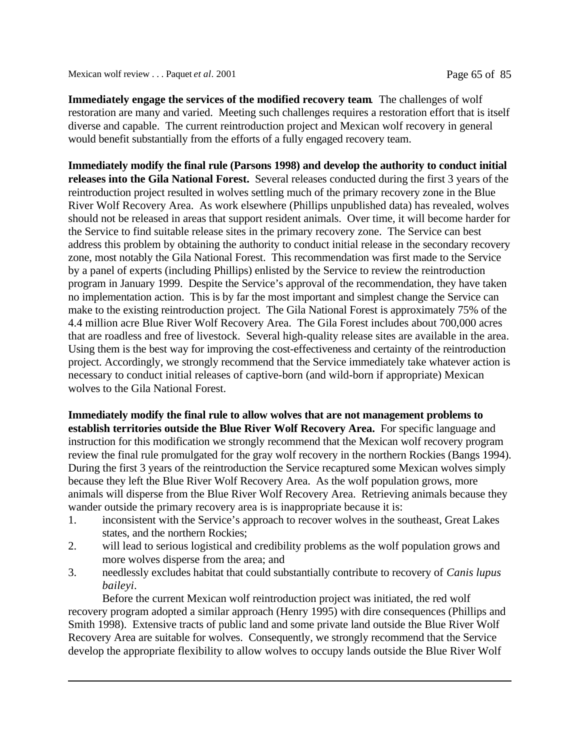**Immediately engage the services of the modified recovery team**. The challenges of wolf restoration are many and varied. Meeting such challenges requires a restoration effort that is itself diverse and capable. The current reintroduction project and Mexican wolf recovery in general would benefit substantially from the efforts of a fully engaged recovery team.

**Immediately modify the final rule (Parsons 1998) and develop the authority to conduct initial releases into the Gila National Forest.** Several releases conducted during the first 3 years of the reintroduction project resulted in wolves settling much of the primary recovery zone in the Blue River Wolf Recovery Area. As work elsewhere (Phillips unpublished data) has revealed, wolves should not be released in areas that support resident animals. Over time, it will become harder for the Service to find suitable release sites in the primary recovery zone. The Service can best address this problem by obtaining the authority to conduct initial release in the secondary recovery zone, most notably the Gila National Forest. This recommendation was first made to the Service by a panel of experts (including Phillips) enlisted by the Service to review the reintroduction program in January 1999. Despite the Service's approval of the recommendation, they have taken no implementation action. This is by far the most important and simplest change the Service can make to the existing reintroduction project. The Gila National Forest is approximately 75% of the 4.4 million acre Blue River Wolf Recovery Area. The Gila Forest includes about 700,000 acres that are roadless and free of livestock. Several high-quality release sites are available in the area. Using them is the best way for improving the cost-effectiveness and certainty of the reintroduction project. Accordingly, we strongly recommend that the Service immediately take whatever action is necessary to conduct initial releases of captive-born (and wild-born if appropriate) Mexican wolves to the Gila National Forest.

**Immediately modify the final rule to allow wolves that are not management problems to establish territories outside the Blue River Wolf Recovery Area.** For specific language and instruction for this modification we strongly recommend that the Mexican wolf recovery program review the final rule promulgated for the gray wolf recovery in the northern Rockies (Bangs 1994). During the first 3 years of the reintroduction the Service recaptured some Mexican wolves simply because they left the Blue River Wolf Recovery Area. As the wolf population grows, more animals will disperse from the Blue River Wolf Recovery Area. Retrieving animals because they wander outside the primary recovery area is is inappropriate because it is:

- 1. inconsistent with the Service's approach to recover wolves in the southeast, Great Lakes states, and the northern Rockies;
- 2. will lead to serious logistical and credibility problems as the wolf population grows and more wolves disperse from the area; and
- 3. needlessly excludes habitat that could substantially contribute to recovery of *Canis lupus baileyi*.

Before the current Mexican wolf reintroduction project was initiated, the red wolf recovery program adopted a similar approach (Henry 1995) with dire consequences (Phillips and Smith 1998). Extensive tracts of public land and some private land outside the Blue River Wolf Recovery Area are suitable for wolves. Consequently, we strongly recommend that the Service develop the appropriate flexibility to allow wolves to occupy lands outside the Blue River Wolf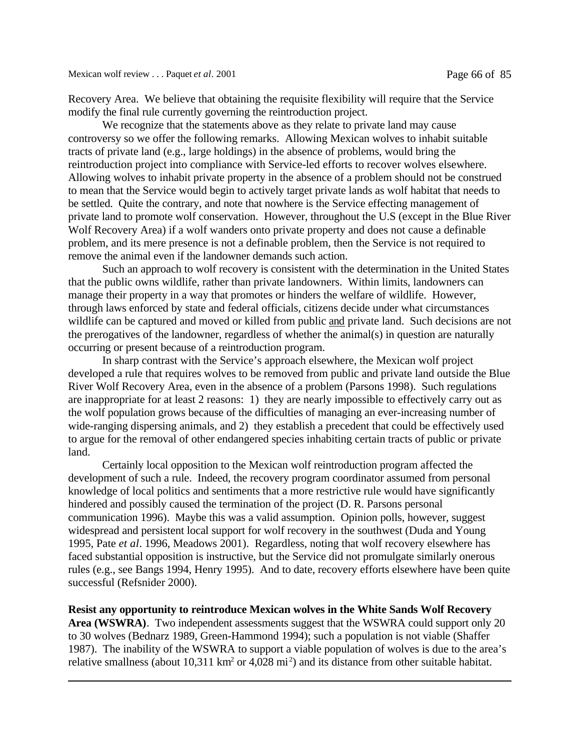Recovery Area. We believe that obtaining the requisite flexibility will require that the Service modify the final rule currently governing the reintroduction project.

We recognize that the statements above as they relate to private land may cause controversy so we offer the following remarks. Allowing Mexican wolves to inhabit suitable tracts of private land (e.g., large holdings) in the absence of problems, would bring the reintroduction project into compliance with Service-led efforts to recover wolves elsewhere. Allowing wolves to inhabit private property in the absence of a problem should not be construed to mean that the Service would begin to actively target private lands as wolf habitat that needs to be settled. Quite the contrary, and note that nowhere is the Service effecting management of private land to promote wolf conservation. However, throughout the U.S (except in the Blue River Wolf Recovery Area) if a wolf wanders onto private property and does not cause a definable problem, and its mere presence is not a definable problem, then the Service is not required to remove the animal even if the landowner demands such action.

Such an approach to wolf recovery is consistent with the determination in the United States that the public owns wildlife, rather than private landowners. Within limits, landowners can manage their property in a way that promotes or hinders the welfare of wildlife. However, through laws enforced by state and federal officials, citizens decide under what circumstances wildlife can be captured and moved or killed from public and private land. Such decisions are not the prerogatives of the landowner, regardless of whether the animal(s) in question are naturally occurring or present because of a reintroduction program.

In sharp contrast with the Service's approach elsewhere, the Mexican wolf project developed a rule that requires wolves to be removed from public and private land outside the Blue River Wolf Recovery Area, even in the absence of a problem (Parsons 1998). Such regulations are inappropriate for at least 2 reasons: 1) they are nearly impossible to effectively carry out as the wolf population grows because of the difficulties of managing an ever-increasing number of wide-ranging dispersing animals, and 2) they establish a precedent that could be effectively used to argue for the removal of other endangered species inhabiting certain tracts of public or private land.

Certainly local opposition to the Mexican wolf reintroduction program affected the development of such a rule. Indeed, the recovery program coordinator assumed from personal knowledge of local politics and sentiments that a more restrictive rule would have significantly hindered and possibly caused the termination of the project (D. R. Parsons personal communication 1996). Maybe this was a valid assumption. Opinion polls, however, suggest widespread and persistent local support for wolf recovery in the southwest (Duda and Young 1995, Pate *et al*. 1996, Meadows 2001). Regardless, noting that wolf recovery elsewhere has faced substantial opposition is instructive, but the Service did not promulgate similarly onerous rules (e.g., see Bangs 1994, Henry 1995). And to date, recovery efforts elsewhere have been quite successful (Refsnider 2000).

**Resist any opportunity to reintroduce Mexican wolves in the White Sands Wolf Recovery Area (WSWRA)**. Two independent assessments suggest that the WSWRA could support only 20 to 30 wolves (Bednarz 1989, Green-Hammond 1994); such a population is not viable (Shaffer 1987). The inability of the WSWRA to support a viable population of wolves is due to the area's relative smallness (about  $10,311 \text{ km}^2 \text{ or } 4,028 \text{ mi}^2$ ) and its distance from other suitable habitat.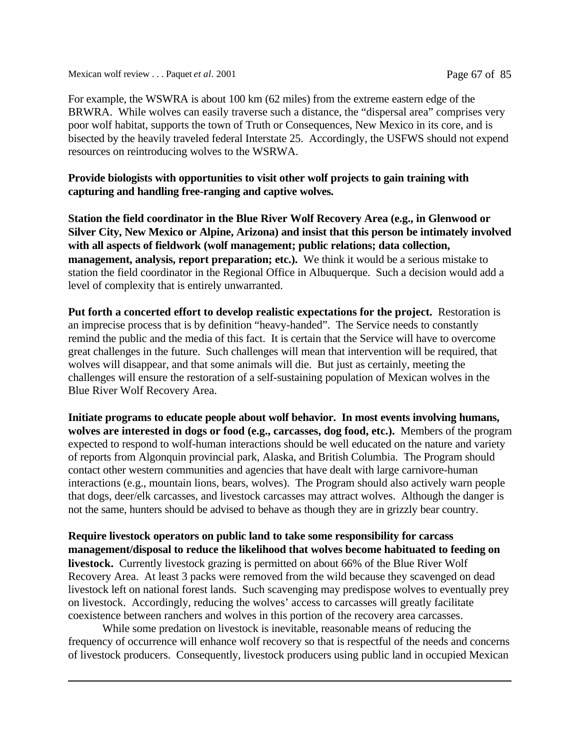Mexican wolf review . . . Paquet *et al*. 2001 Page 67 of 85

For example, the WSWRA is about 100 km (62 miles) from the extreme eastern edge of the BRWRA. While wolves can easily traverse such a distance, the "dispersal area" comprises very poor wolf habitat, supports the town of Truth or Consequences, New Mexico in its core, and is bisected by the heavily traveled federal Interstate 25. Accordingly, the USFWS should not expend resources on reintroducing wolves to the WSRWA.

## **Provide biologists with opportunities to visit other wolf projects to gain training with capturing and handling free-ranging and captive wolves.**

**Station the field coordinator in the Blue River Wolf Recovery Area (e.g., in Glenwood or Silver City, New Mexico or Alpine, Arizona) and insist that this person be intimately involved with all aspects of fieldwork (wolf management; public relations; data collection, management, analysis, report preparation; etc.).** We think it would be a serious mistake to station the field coordinator in the Regional Office in Albuquerque. Such a decision would add a level of complexity that is entirely unwarranted.

**Put forth a concerted effort to develop realistic expectations for the project.** Restoration is an imprecise process that is by definition "heavy-handed". The Service needs to constantly remind the public and the media of this fact. It is certain that the Service will have to overcome great challenges in the future. Such challenges will mean that intervention will be required, that wolves will disappear, and that some animals will die. But just as certainly, meeting the challenges will ensure the restoration of a self-sustaining population of Mexican wolves in the Blue River Wolf Recovery Area.

**Initiate programs to educate people about wolf behavior. In most events involving humans, wolves are interested in dogs or food (e.g., carcasses, dog food, etc.).** Members of the program expected to respond to wolf-human interactions should be well educated on the nature and variety of reports from Algonquin provincial park, Alaska, and British Columbia. The Program should contact other western communities and agencies that have dealt with large carnivore-human interactions (e.g., mountain lions, bears, wolves). The Program should also actively warn people that dogs, deer/elk carcasses, and livestock carcasses may attract wolves. Although the danger is not the same, hunters should be advised to behave as though they are in grizzly bear country.

**Require livestock operators on public land to take some responsibility for carcass management/disposal to reduce the likelihood that wolves become habituated to feeding on livestock.** Currently livestock grazing is permitted on about 66% of the Blue River Wolf Recovery Area. At least 3 packs were removed from the wild because they scavenged on dead livestock left on national forest lands. Such scavenging may predispose wolves to eventually prey on livestock. Accordingly, reducing the wolves' access to carcasses will greatly facilitate coexistence between ranchers and wolves in this portion of the recovery area carcasses.

While some predation on livestock is inevitable, reasonable means of reducing the frequency of occurrence will enhance wolf recovery so that is respectful of the needs and concerns of livestock producers. Consequently, livestock producers using public land in occupied Mexican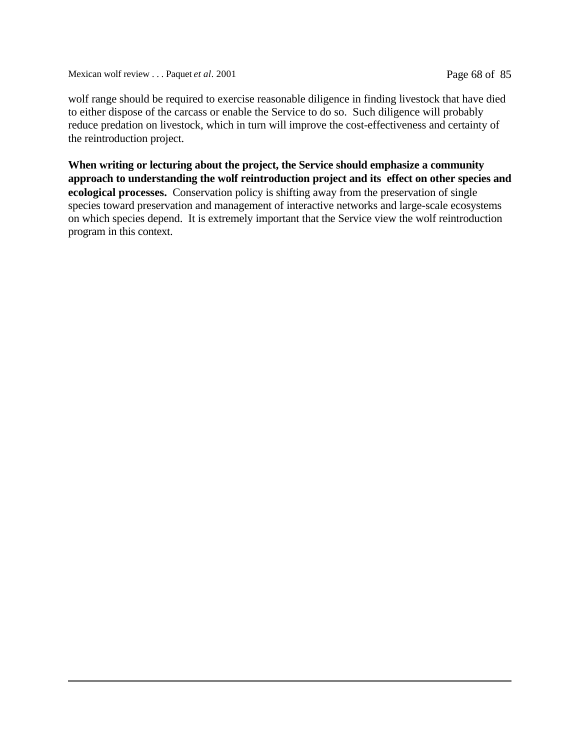Mexican wolf review . . . Paquet *et al.* 2001 Page 68 of 85

wolf range should be required to exercise reasonable diligence in finding livestock that have died to either dispose of the carcass or enable the Service to do so. Such diligence will probably reduce predation on livestock, which in turn will improve the cost-effectiveness and certainty of the reintroduction project.

**When writing or lecturing about the project, the Service should emphasize a community approach to understanding the wolf reintroduction project and its effect on other species and ecological processes.** Conservation policy is shifting away from the preservation of single species toward preservation and management of interactive networks and large-scale ecosystems on which species depend. It is extremely important that the Service view the wolf reintroduction program in this context.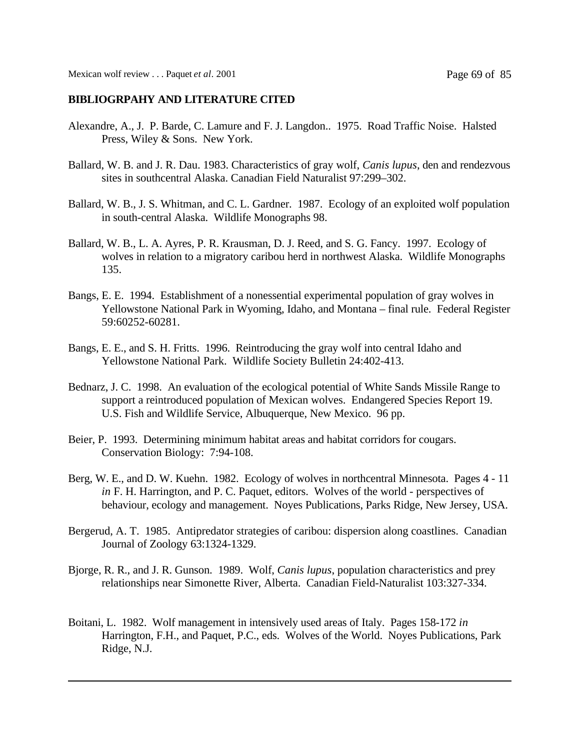## **BIBLIOGRPAHY AND LITERATURE CITED**

- Alexandre, A., J. P. Barde, C. Lamure and F. J. Langdon.. 1975. Road Traffic Noise. Halsted Press, Wiley & Sons. New York.
- Ballard, W. B. and J. R. Dau. 1983. Characteristics of gray wolf, *Canis lupus*, den and rendezvous sites in southcentral Alaska. Canadian Field Naturalist 97:299–302.
- Ballard, W. B., J. S. Whitman, and C. L. Gardner. 1987. Ecology of an exploited wolf population in south-central Alaska. Wildlife Monographs 98.
- Ballard, W. B., L. A. Ayres, P. R. Krausman, D. J. Reed, and S. G. Fancy. 1997. Ecology of wolves in relation to a migratory caribou herd in northwest Alaska. Wildlife Monographs 135.
- Bangs, E. E. 1994. Establishment of a nonessential experimental population of gray wolves in Yellowstone National Park in Wyoming, Idaho, and Montana – final rule. Federal Register 59:60252-60281.
- Bangs, E. E., and S. H. Fritts. 1996. Reintroducing the gray wolf into central Idaho and Yellowstone National Park. Wildlife Society Bulletin 24:402-413.
- Bednarz, J. C. 1998. An evaluation of the ecological potential of White Sands Missile Range to support a reintroduced population of Mexican wolves. Endangered Species Report 19. U.S. Fish and Wildlife Service, Albuquerque, New Mexico. 96 pp.
- Beier, P. 1993. Determining minimum habitat areas and habitat corridors for cougars. Conservation Biology: 7:94-108.
- Berg, W. E., and D. W. Kuehn. 1982. Ecology of wolves in northcentral Minnesota. Pages 4 11 *in* F. H. Harrington, and P. C. Paquet, editors. Wolves of the world - perspectives of behaviour, ecology and management. Noyes Publications, Parks Ridge, New Jersey, USA.
- Bergerud, A. T. 1985. Antipredator strategies of caribou: dispersion along coastlines. Canadian Journal of Zoology 63:1324-1329.
- Bjorge, R. R., and J. R. Gunson. 1989. Wolf, *Canis lupus*, population characteristics and prey relationships near Simonette River, Alberta. Canadian Field-Naturalist 103:327-334.
- Boitani, L. 1982. Wolf management in intensively used areas of Italy. Pages 158-172 *in* Harrington, F.H., and Paquet, P.C., eds. Wolves of the World. Noyes Publications, Park Ridge, N.J.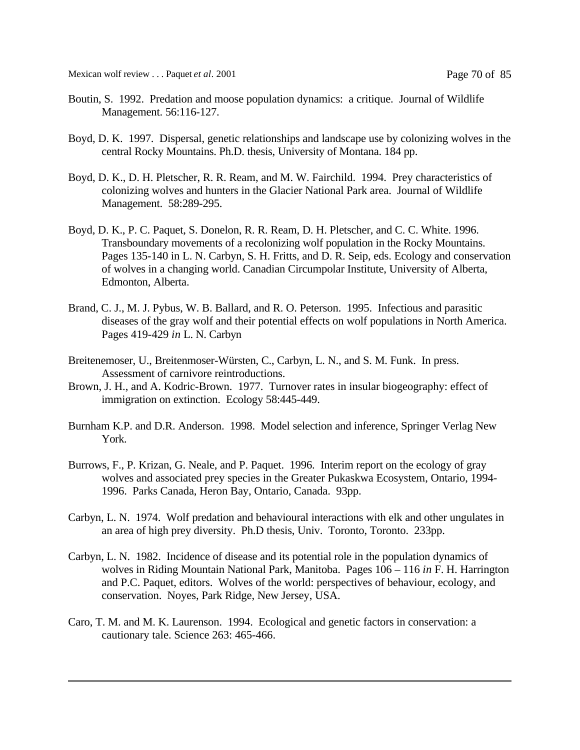Mexican wolf review . . . Paquet *et al.* 2001 **Page 70 of 85** 

- Boutin, S. 1992. Predation and moose population dynamics: a critique. Journal of Wildlife Management. 56:116-127.
- Boyd, D. K. 1997. Dispersal, genetic relationships and landscape use by colonizing wolves in the central Rocky Mountains. Ph.D. thesis, University of Montana. 184 pp.
- Boyd, D. K., D. H. Pletscher, R. R. Ream, and M. W. Fairchild. 1994. Prey characteristics of colonizing wolves and hunters in the Glacier National Park area. Journal of Wildlife Management. 58:289-295.
- Boyd, D. K., P. C. Paquet, S. Donelon, R. R. Ream, D. H. Pletscher, and C. C. White. 1996. Transboundary movements of a recolonizing wolf population in the Rocky Mountains. Pages 135-140 in L. N. Carbyn, S. H. Fritts, and D. R. Seip, eds. Ecology and conservation of wolves in a changing world. Canadian Circumpolar Institute, University of Alberta, Edmonton, Alberta.
- Brand, C. J., M. J. Pybus, W. B. Ballard, and R. O. Peterson. 1995. Infectious and parasitic diseases of the gray wolf and their potential effects on wolf populations in North America. Pages 419-429 *in* L. N. Carbyn
- Breitenemoser, U., Breitenmoser-Würsten, C., Carbyn, L. N., and S. M. Funk. In press. Assessment of carnivore reintroductions.
- Brown, J. H., and A. Kodric-Brown. 1977. Turnover rates in insular biogeography: effect of immigration on extinction. Ecology 58:445-449.
- Burnham K.P. and D.R. Anderson. 1998. Model selection and inference, Springer Verlag New York.
- Burrows, F., P. Krizan, G. Neale, and P. Paquet. 1996. Interim report on the ecology of gray wolves and associated prey species in the Greater Pukaskwa Ecosystem, Ontario, 1994- 1996. Parks Canada, Heron Bay, Ontario, Canada. 93pp.
- Carbyn, L. N. 1974. Wolf predation and behavioural interactions with elk and other ungulates in an area of high prey diversity. Ph.D thesis, Univ. Toronto, Toronto. 233pp.
- Carbyn, L. N. 1982. Incidence of disease and its potential role in the population dynamics of wolves in Riding Mountain National Park, Manitoba. Pages 106 – 116 *in* F. H. Harrington and P.C. Paquet, editors. Wolves of the world: perspectives of behaviour, ecology, and conservation. Noyes, Park Ridge, New Jersey, USA.
- Caro, T. M. and M. K. Laurenson. 1994. Ecological and genetic factors in conservation: a cautionary tale. Science 263: 465-466.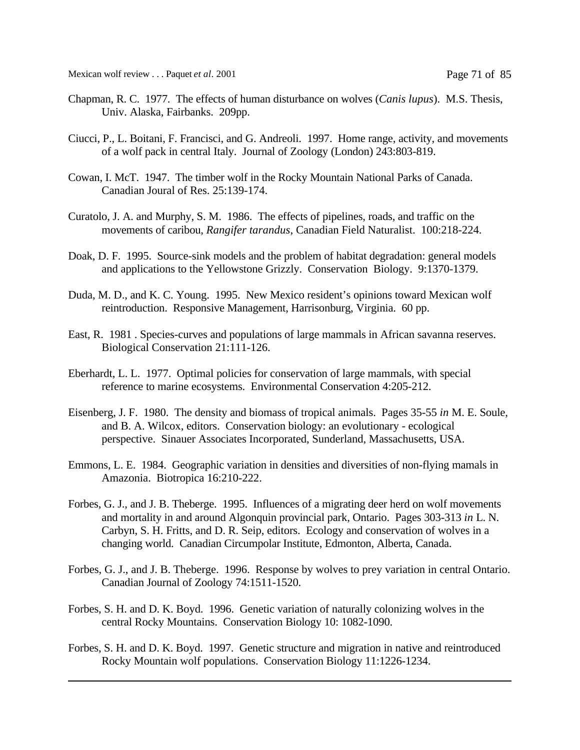- Chapman, R. C. 1977. The effects of human disturbance on wolves (*Canis lupus*). M.S. Thesis, Univ. Alaska, Fairbanks. 209pp.
- Ciucci, P., L. Boitani, F. Francisci, and G. Andreoli. 1997. Home range, activity, and movements of a wolf pack in central Italy. Journal of Zoology (London) 243:803-819.
- Cowan, I. McT. 1947. The timber wolf in the Rocky Mountain National Parks of Canada. Canadian Joural of Res. 25:139-174.
- Curatolo, J. A. and Murphy, S. M. 1986. The effects of pipelines, roads, and traffic on the movements of caribou, *Rangifer tarandus*, Canadian Field Naturalist. 100:218-224.
- Doak, D. F. 1995. Source-sink models and the problem of habitat degradation: general models and applications to the Yellowstone Grizzly. Conservation Biology. 9:1370-1379.
- Duda, M. D., and K. C. Young. 1995. New Mexico resident's opinions toward Mexican wolf reintroduction. Responsive Management, Harrisonburg, Virginia. 60 pp.
- East, R. 1981 . Species-curves and populations of large mammals in African savanna reserves. Biological Conservation 21:111-126.
- Eberhardt, L. L. 1977. Optimal policies for conservation of large mammals, with special reference to marine ecosystems. Environmental Conservation 4:205-212.
- Eisenberg, J. F. 1980. The density and biomass of tropical animals. Pages 35-55 *in* M. E. Soule, and B. A. Wilcox, editors. Conservation biology: an evolutionary - ecological perspective. Sinauer Associates Incorporated, Sunderland, Massachusetts, USA.
- Emmons, L. E. 1984. Geographic variation in densities and diversities of non-flying mamals in Amazonia. Biotropica 16:210-222.
- Forbes, G. J., and J. B. Theberge. 1995. Influences of a migrating deer herd on wolf movements and mortality in and around Algonquin provincial park, Ontario. Pages 303-313 *in* L. N. Carbyn, S. H. Fritts, and D. R. Seip, editors. Ecology and conservation of wolves in a changing world. Canadian Circumpolar Institute, Edmonton, Alberta, Canada.
- Forbes, G. J., and J. B. Theberge. 1996. Response by wolves to prey variation in central Ontario. Canadian Journal of Zoology 74:1511-1520.
- Forbes, S. H. and D. K. Boyd. 1996. Genetic variation of naturally colonizing wolves in the central Rocky Mountains. Conservation Biology 10: 1082-1090.
- Forbes, S. H. and D. K. Boyd. 1997. Genetic structure and migration in native and reintroduced Rocky Mountain wolf populations. Conservation Biology 11:1226-1234.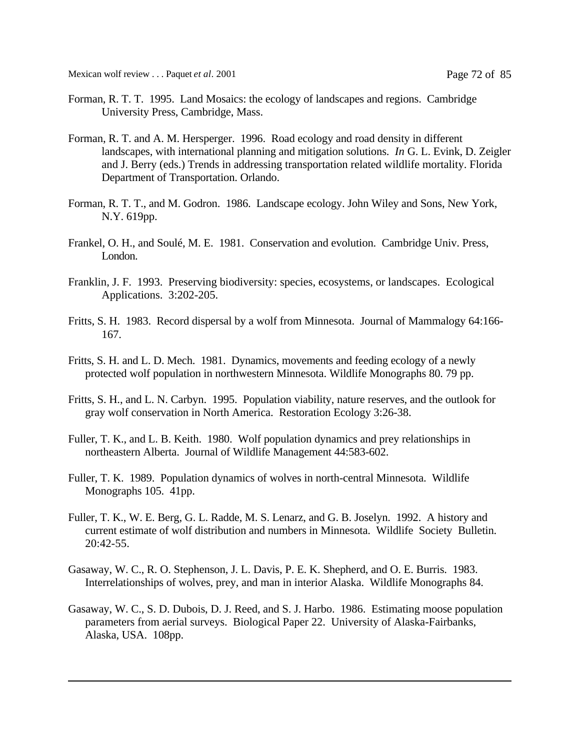Mexican wolf review . . . Paquet *et al.* 2001 **Page 72 of 85** 

- Forman, R. T. T. 1995. Land Mosaics: the ecology of landscapes and regions. Cambridge University Press, Cambridge, Mass.
- Forman, R. T. and A. M. Hersperger. 1996. Road ecology and road density in different landscapes, with international planning and mitigation solutions. *In* G. L. Evink, D. Zeigler and J. Berry (eds.) Trends in addressing transportation related wildlife mortality. Florida Department of Transportation. Orlando.
- Forman, R. T. T., and M. Godron. 1986. Landscape ecology. John Wiley and Sons, New York, N.Y. 619pp.
- Frankel, O. H., and Soulé, M. E. 1981. Conservation and evolution. Cambridge Univ. Press, London.
- Franklin, J. F. 1993. Preserving biodiversity: species, ecosystems, or landscapes. Ecological Applications. 3:202-205.
- Fritts, S. H. 1983. Record dispersal by a wolf from Minnesota. Journal of Mammalogy 64:166- 167.
- Fritts, S. H. and L. D. Mech. 1981. Dynamics, movements and feeding ecology of a newly protected wolf population in northwestern Minnesota. Wildlife Monographs 80. 79 pp.
- Fritts, S. H., and L. N. Carbyn. 1995. Population viability, nature reserves, and the outlook for gray wolf conservation in North America. Restoration Ecology 3:26-38.
- Fuller, T. K., and L. B. Keith. 1980. Wolf population dynamics and prey relationships in northeastern Alberta. Journal of Wildlife Management 44:583-602.
- Fuller, T. K. 1989. Population dynamics of wolves in north-central Minnesota. Wildlife Monographs 105. 41pp.
- Fuller, T. K., W. E. Berg, G. L. Radde, M. S. Lenarz, and G. B. Joselyn. 1992. A history and current estimate of wolf distribution and numbers in Minnesota. Wildlife Society Bulletin.  $20:42-55$ .
- Gasaway, W. C., R. O. Stephenson, J. L. Davis, P. E. K. Shepherd, and O. E. Burris. 1983. Interrelationships of wolves, prey, and man in interior Alaska. Wildlife Monographs 84.
- Gasaway, W. C., S. D. Dubois, D. J. Reed, and S. J. Harbo. 1986. Estimating moose population parameters from aerial surveys. Biological Paper 22. University of Alaska-Fairbanks, Alaska, USA. 108pp.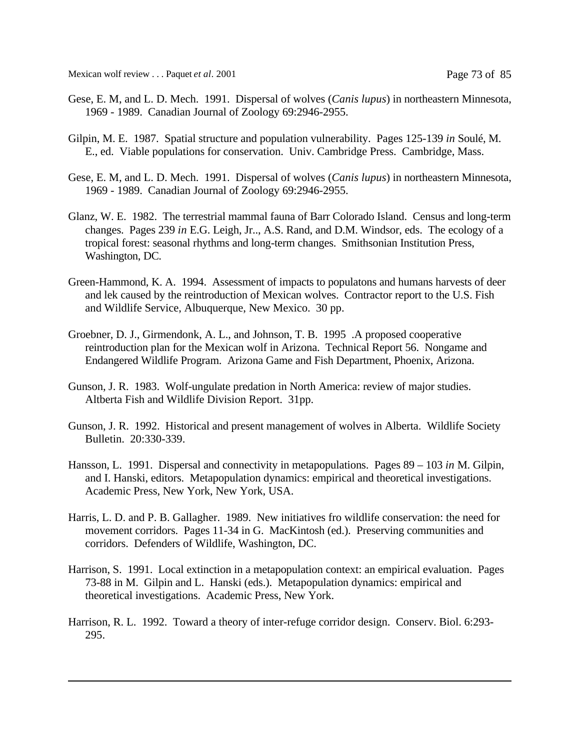- Gese, E. M, and L. D. Mech. 1991. Dispersal of wolves (*Canis lupus*) in northeastern Minnesota, 1969 - 1989. Canadian Journal of Zoology 69:2946-2955.
- Gilpin, M. E. 1987. Spatial structure and population vulnerability. Pages 125-139 *in* Soulé, M. E., ed. Viable populations for conservation. Univ. Cambridge Press. Cambridge, Mass.
- Gese, E. M, and L. D. Mech. 1991. Dispersal of wolves (*Canis lupus*) in northeastern Minnesota, 1969 - 1989. Canadian Journal of Zoology 69:2946-2955.
- Glanz, W. E. 1982. The terrestrial mammal fauna of Barr Colorado Island. Census and long-term changes. Pages 239 *in* E.G. Leigh, Jr.., A.S. Rand, and D.M. Windsor, eds. The ecology of a tropical forest: seasonal rhythms and long-term changes. Smithsonian Institution Press, Washington, DC.
- Green-Hammond, K. A. 1994. Assessment of impacts to populatons and humans harvests of deer and lek caused by the reintroduction of Mexican wolves. Contractor report to the U.S. Fish and Wildlife Service, Albuquerque, New Mexico. 30 pp.
- Groebner, D. J., Girmendonk, A. L., and Johnson, T. B. 1995 .A proposed cooperative reintroduction plan for the Mexican wolf in Arizona. Technical Report 56. Nongame and Endangered Wildlife Program. Arizona Game and Fish Department, Phoenix, Arizona.
- Gunson, J. R. 1983. Wolf-ungulate predation in North America: review of major studies. Altberta Fish and Wildlife Division Report. 31pp.
- Gunson, J. R. 1992. Historical and present management of wolves in Alberta. Wildlife Society Bulletin. 20:330-339.
- Hansson, L. 1991. Dispersal and connectivity in metapopulations. Pages 89 103 *in* M. Gilpin, and I. Hanski, editors. Metapopulation dynamics: empirical and theoretical investigations. Academic Press, New York, New York, USA.
- Harris, L. D. and P. B. Gallagher. 1989. New initiatives fro wildlife conservation: the need for movement corridors. Pages 11-34 in G. MacKintosh (ed.). Preserving communities and corridors. Defenders of Wildlife, Washington, DC.
- Harrison, S. 1991. Local extinction in a metapopulation context: an empirical evaluation. Pages 73-88 in M. Gilpin and L. Hanski (eds.). Metapopulation dynamics: empirical and theoretical investigations. Academic Press, New York.
- Harrison, R. L. 1992. Toward a theory of inter-refuge corridor design. Conserv. Biol. 6:293- 295.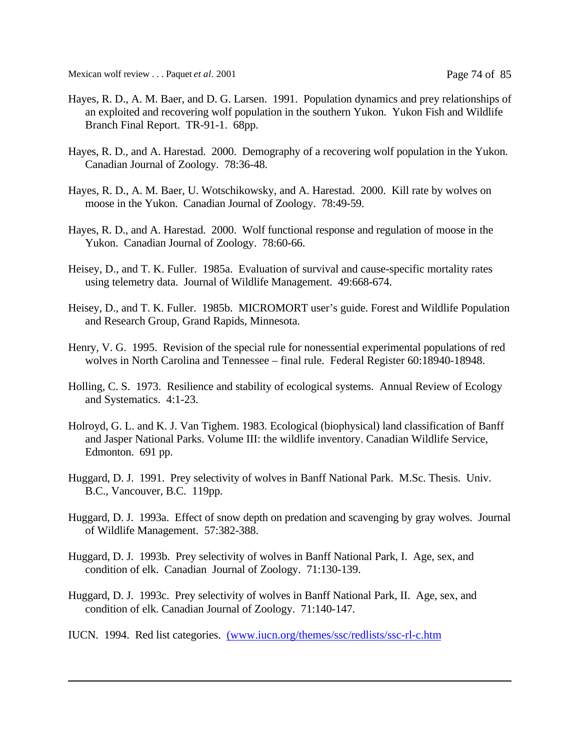Mexican wolf review . . . Paquet *et al.* 2001 **Page 74 of 85** 

- Hayes, R. D., A. M. Baer, and D. G. Larsen. 1991. Population dynamics and prey relationships of an exploited and recovering wolf population in the southern Yukon. Yukon Fish and Wildlife Branch Final Report. TR-91-1. 68pp.
- Hayes, R. D., and A. Harestad. 2000. Demography of a recovering wolf population in the Yukon. Canadian Journal of Zoology. 78:36-48.
- Hayes, R. D., A. M. Baer, U. Wotschikowsky, and A. Harestad. 2000. Kill rate by wolves on moose in the Yukon. Canadian Journal of Zoology. 78:49-59.
- Hayes, R. D., and A. Harestad. 2000. Wolf functional response and regulation of moose in the Yukon. Canadian Journal of Zoology. 78:60-66.
- Heisey, D., and T. K. Fuller. 1985a. Evaluation of survival and cause-specific mortality rates using telemetry data. Journal of Wildlife Management. 49:668-674.
- Heisey, D., and T. K. Fuller. 1985b. MICROMORT user's guide. Forest and Wildlife Population and Research Group, Grand Rapids, Minnesota.
- Henry, V. G. 1995. Revision of the special rule for nonessential experimental populations of red wolves in North Carolina and Tennessee – final rule. Federal Register 60:18940-18948.
- Holling, C. S. 1973. Resilience and stability of ecological systems. Annual Review of Ecology and Systematics. 4:1-23.
- Holroyd, G. L. and K. J. Van Tighem. 1983. Ecological (biophysical) land classification of Banff and Jasper National Parks. Volume III: the wildlife inventory. Canadian Wildlife Service, Edmonton. 691 pp.
- Huggard, D. J. 1991. Prey selectivity of wolves in Banff National Park. M.Sc. Thesis. Univ. B.C., Vancouver, B.C. 119pp.
- Huggard, D. J. 1993a. Effect of snow depth on predation and scavenging by gray wolves. Journal of Wildlife Management. 57:382-388.
- Huggard, D. J. 1993b. Prey selectivity of wolves in Banff National Park, I. Age, sex, and condition of elk. Canadian Journal of Zoology. 71:130-139.
- Huggard, D. J. 1993c. Prey selectivity of wolves in Banff National Park, II. Age, sex, and condition of elk. Canadian Journal of Zoology. 71:140-147.
- IUCN. 1994. Red list categories. (www.iucn.org/themes/ssc/redlists/ssc-rl-c.htm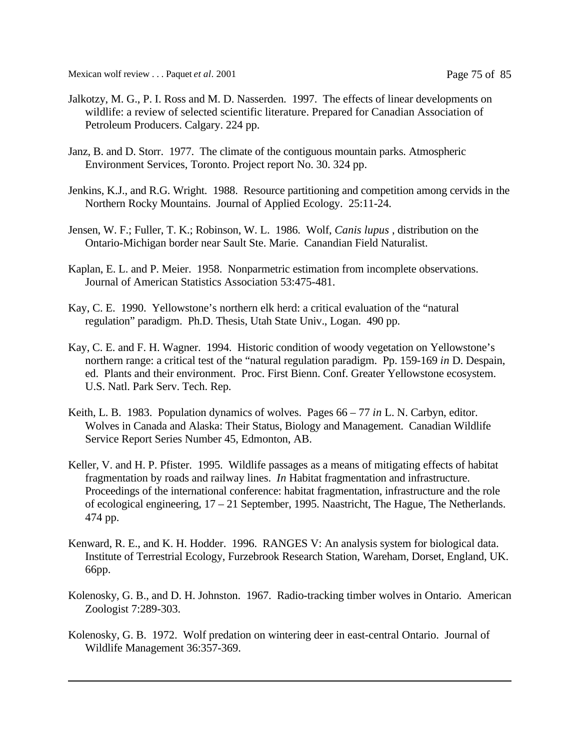Mexican wolf review . . . Paquet *et al*. 2001 Page 75 of 85

- Jalkotzy, M. G., P. I. Ross and M. D. Nasserden. 1997. The effects of linear developments on wildlife: a review of selected scientific literature. Prepared for Canadian Association of Petroleum Producers. Calgary. 224 pp.
- Janz, B. and D. Storr. 1977. The climate of the contiguous mountain parks. Atmospheric Environment Services, Toronto. Project report No. 30. 324 pp.
- Jenkins, K.J., and R.G. Wright. 1988. Resource partitioning and competition among cervids in the Northern Rocky Mountains. Journal of Applied Ecology. 25:11-24.
- Jensen, W. F.; Fuller, T. K.; Robinson, W. L. 1986. Wolf, *Canis lupus* , distribution on the Ontario-Michigan border near Sault Ste. Marie. Canandian Field Naturalist.
- Kaplan, E. L. and P. Meier. 1958. Nonparmetric estimation from incomplete observations. Journal of American Statistics Association 53:475-481.
- Kay, C. E. 1990. Yellowstone's northern elk herd: a critical evaluation of the "natural regulation" paradigm. Ph.D. Thesis, Utah State Univ., Logan. 490 pp.
- Kay, C. E. and F. H. Wagner. 1994. Historic condition of woody vegetation on Yellowstone's northern range: a critical test of the "natural regulation paradigm. Pp. 159-169 *in* D. Despain, ed. Plants and their environment. Proc. First Bienn. Conf. Greater Yellowstone ecosystem. U.S. Natl. Park Serv. Tech. Rep.
- Keith, L. B. 1983. Population dynamics of wolves. Pages 66 77 *in* L. N. Carbyn, editor. Wolves in Canada and Alaska: Their Status, Biology and Management. Canadian Wildlife Service Report Series Number 45, Edmonton, AB.
- Keller, V. and H. P. Pfister. 1995. Wildlife passages as a means of mitigating effects of habitat fragmentation by roads and railway lines. *In* Habitat fragmentation and infrastructure. Proceedings of the international conference: habitat fragmentation, infrastructure and the role of ecological engineering, 17 – 21 September, 1995. Naastricht, The Hague, The Netherlands. 474 pp.
- Kenward, R. E., and K. H. Hodder. 1996. RANGES V: An analysis system for biological data. Institute of Terrestrial Ecology, Furzebrook Research Station, Wareham, Dorset, England, UK. 66pp.
- Kolenosky, G. B., and D. H. Johnston. 1967. Radio-tracking timber wolves in Ontario. American Zoologist 7:289-303.
- Kolenosky, G. B. 1972. Wolf predation on wintering deer in east-central Ontario. Journal of Wildlife Management 36:357-369.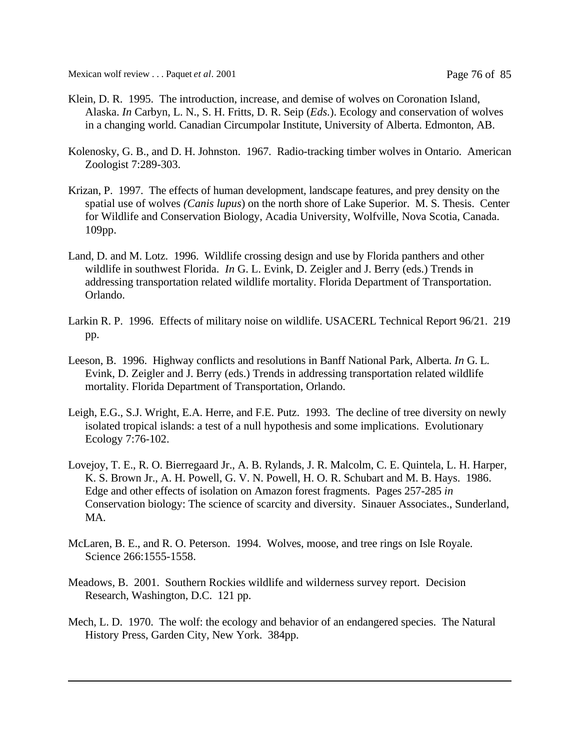Mexican wolf review . . . Paquet *et al*. 2001 Page 76 of 85

- Klein, D. R. 1995. The introduction, increase, and demise of wolves on Coronation Island, Alaska. *In* Carbyn, L. N., S. H. Fritts, D. R. Seip (*Eds.*). Ecology and conservation of wolves in a changing world. Canadian Circumpolar Institute, University of Alberta. Edmonton, AB.
- Kolenosky, G. B., and D. H. Johnston. 1967. Radio-tracking timber wolves in Ontario. American Zoologist 7:289-303.
- Krizan, P. 1997. The effects of human development, landscape features, and prey density on the spatial use of wolves *(Canis lupus*) on the north shore of Lake Superior. M. S. Thesis. Center for Wildlife and Conservation Biology, Acadia University, Wolfville, Nova Scotia, Canada. 109pp.
- Land, D. and M. Lotz. 1996. Wildlife crossing design and use by Florida panthers and other wildlife in southwest Florida. *In* G. L. Evink, D. Zeigler and J. Berry (eds.) Trends in addressing transportation related wildlife mortality. Florida Department of Transportation. Orlando.
- Larkin R. P. 1996. Effects of military noise on wildlife. USACERL Technical Report 96/21. 219 pp.
- Leeson, B. 1996. Highway conflicts and resolutions in Banff National Park, Alberta. *In* G. L. Evink, D. Zeigler and J. Berry (eds.) Trends in addressing transportation related wildlife mortality. Florida Department of Transportation, Orlando.
- Leigh, E.G., S.J. Wright, E.A. Herre, and F.E. Putz. 1993. The decline of tree diversity on newly isolated tropical islands: a test of a null hypothesis and some implications. Evolutionary Ecology 7:76-102.
- Lovejoy, T. E., R. O. Bierregaard Jr., A. B. Rylands, J. R. Malcolm, C. E. Quintela, L. H. Harper, K. S. Brown Jr., A. H. Powell, G. V. N. Powell, H. O. R. Schubart and M. B. Hays. 1986. Edge and other effects of isolation on Amazon forest fragments. Pages 257-285 *in* Conservation biology: The science of scarcity and diversity. Sinauer Associates., Sunderland, MA.
- McLaren, B. E., and R. O. Peterson. 1994. Wolves, moose, and tree rings on Isle Royale. Science 266:1555-1558.
- Meadows, B. 2001. Southern Rockies wildlife and wilderness survey report. Decision Research, Washington, D.C. 121 pp.
- Mech, L. D. 1970. The wolf: the ecology and behavior of an endangered species. The Natural History Press, Garden City, New York. 384pp.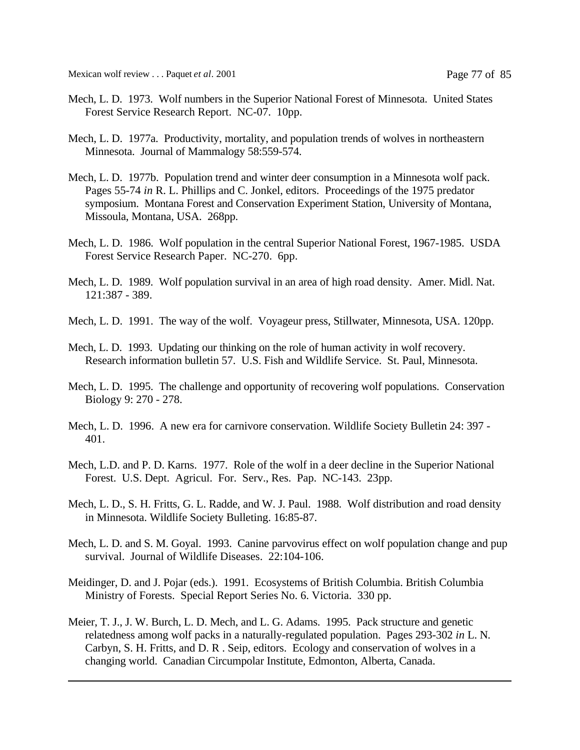Mexican wolf review . . . Paquet *et al*. 2001 Page 77 of 85

- Mech, L. D. 1973. Wolf numbers in the Superior National Forest of Minnesota. United States Forest Service Research Report. NC-07. 10pp.
- Mech, L. D. 1977a. Productivity, mortality, and population trends of wolves in northeastern Minnesota. Journal of Mammalogy 58:559-574.
- Mech, L. D. 1977b. Population trend and winter deer consumption in a Minnesota wolf pack. Pages 55-74 *in* R. L. Phillips and C. Jonkel, editors. Proceedings of the 1975 predator symposium. Montana Forest and Conservation Experiment Station, University of Montana, Missoula, Montana, USA. 268pp.
- Mech, L. D. 1986. Wolf population in the central Superior National Forest, 1967-1985. USDA Forest Service Research Paper. NC-270. 6pp.
- Mech, L. D. 1989. Wolf population survival in an area of high road density. Amer. Midl. Nat. 121:387 - 389.
- Mech, L. D. 1991. The way of the wolf. Voyageur press, Stillwater, Minnesota, USA. 120pp.
- Mech, L. D. 1993. Updating our thinking on the role of human activity in wolf recovery. Research information bulletin 57. U.S. Fish and Wildlife Service. St. Paul, Minnesota.
- Mech, L. D. 1995. The challenge and opportunity of recovering wolf populations. Conservation Biology 9: 270 - 278.
- Mech, L. D. 1996. A new era for carnivore conservation. Wildlife Society Bulletin 24: 397 401.
- Mech, L.D. and P. D. Karns. 1977. Role of the wolf in a deer decline in the Superior National Forest. U.S. Dept. Agricul. For. Serv., Res. Pap. NC-143. 23pp.
- Mech, L. D., S. H. Fritts, G. L. Radde, and W. J. Paul. 1988. Wolf distribution and road density in Minnesota. Wildlife Society Bulleting. 16:85-87.
- Mech, L. D. and S. M. Goyal. 1993. Canine parvovirus effect on wolf population change and pup survival. Journal of Wildlife Diseases. 22:104-106.
- Meidinger, D. and J. Pojar (eds.). 1991. Ecosystems of British Columbia. British Columbia Ministry of Forests. Special Report Series No. 6. Victoria. 330 pp.
- Meier, T. J., J. W. Burch, L. D. Mech, and L. G. Adams. 1995. Pack structure and genetic relatedness among wolf packs in a naturally-regulated population. Pages 293-302 *in* L. N. Carbyn, S. H. Fritts, and D. R . Seip, editors. Ecology and conservation of wolves in a changing world. Canadian Circumpolar Institute, Edmonton, Alberta, Canada.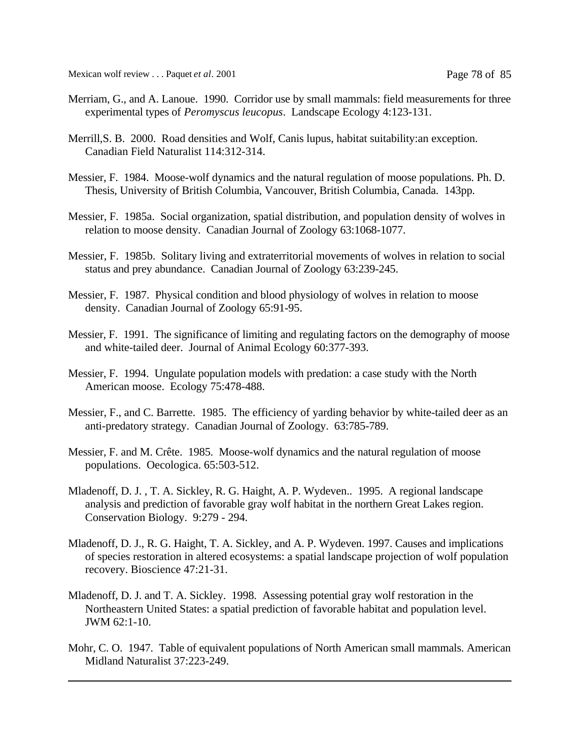Mexican wolf review . . . Paquet *et al.* 2001 **Page 78 of 85** 

- Merriam, G., and A. Lanoue. 1990. Corridor use by small mammals: field measurements for three experimental types of *Peromyscus leucopus*. Landscape Ecology 4:123-131.
- Merrill,S. B. 2000. Road densities and Wolf, Canis lupus, habitat suitability:an exception. Canadian Field Naturalist 114:312-314.
- Messier, F. 1984. Moose-wolf dynamics and the natural regulation of moose populations. Ph. D. Thesis, University of British Columbia, Vancouver, British Columbia, Canada. 143pp.
- Messier, F. 1985a. Social organization, spatial distribution, and population density of wolves in relation to moose density. Canadian Journal of Zoology 63:1068-1077.
- Messier, F. 1985b. Solitary living and extraterritorial movements of wolves in relation to social status and prey abundance. Canadian Journal of Zoology 63:239-245.
- Messier, F. 1987. Physical condition and blood physiology of wolves in relation to moose density. Canadian Journal of Zoology 65:91-95.
- Messier, F. 1991. The significance of limiting and regulating factors on the demography of moose and white-tailed deer. Journal of Animal Ecology 60:377-393.
- Messier, F. 1994. Ungulate population models with predation: a case study with the North American moose. Ecology 75:478-488.
- Messier, F., and C. Barrette. 1985. The efficiency of yarding behavior by white-tailed deer as an anti-predatory strategy. Canadian Journal of Zoology. 63:785-789.
- Messier, F. and M. Crête. 1985. Moose-wolf dynamics and the natural regulation of moose populations. Oecologica. 65:503-512.
- Mladenoff, D. J. , T. A. Sickley, R. G. Haight, A. P. Wydeven.. 1995. A regional landscape analysis and prediction of favorable gray wolf habitat in the northern Great Lakes region. Conservation Biology. 9:279 - 294.
- Mladenoff, D. J., R. G. Haight, T. A. Sickley, and A. P. Wydeven. 1997. Causes and implications of species restoration in altered ecosystems: a spatial landscape projection of wolf population recovery. Bioscience 47:21-31.
- Mladenoff, D. J. and T. A. Sickley. 1998. Assessing potential gray wolf restoration in the Northeastern United States: a spatial prediction of favorable habitat and population level. JWM 62:1-10.
- Mohr, C. O. 1947. Table of equivalent populations of North American small mammals. American Midland Naturalist 37:223-249.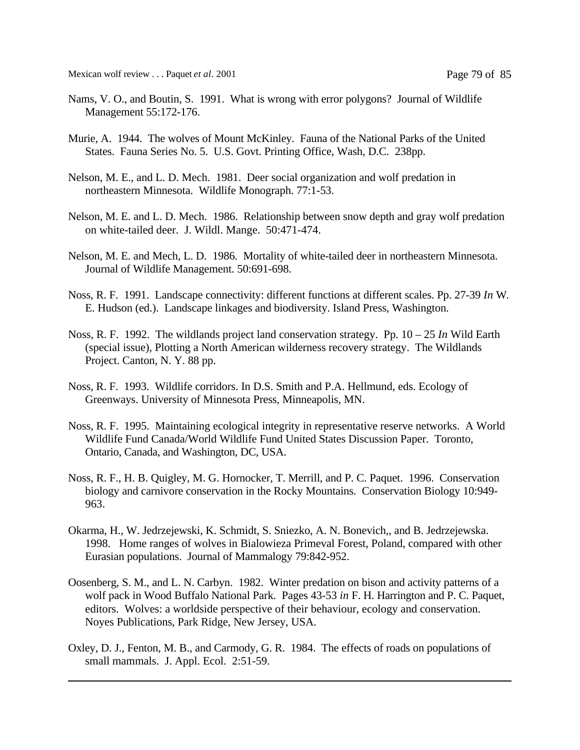- Nams, V. O., and Boutin, S. 1991. What is wrong with error polygons? Journal of Wildlife Management 55:172-176.
- Murie, A. 1944. The wolves of Mount McKinley. Fauna of the National Parks of the United States. Fauna Series No. 5. U.S. Govt. Printing Office, Wash, D.C. 238pp.
- Nelson, M. E., and L. D. Mech. 1981. Deer social organization and wolf predation in northeastern Minnesota. Wildlife Monograph. 77:1-53.
- Nelson, M. E. and L. D. Mech. 1986. Relationship between snow depth and gray wolf predation on white-tailed deer. J. Wildl. Mange. 50:471-474.
- Nelson, M. E. and Mech, L. D. 1986. Mortality of white-tailed deer in northeastern Minnesota. Journal of Wildlife Management. 50:691-698.
- Noss, R. F. 1991. Landscape connectivity: different functions at different scales. Pp. 27-39 *In* W. E. Hudson (ed.). Landscape linkages and biodiversity. Island Press, Washington.
- Noss, R. F. 1992. The wildlands project land conservation strategy. Pp. 10 25 *In* Wild Earth (special issue), Plotting a North American wilderness recovery strategy. The Wildlands Project. Canton, N. Y. 88 pp.
- Noss, R. F. 1993. Wildlife corridors. In D.S. Smith and P.A. Hellmund, eds. Ecology of Greenways. University of Minnesota Press, Minneapolis, MN.
- Noss, R. F. 1995. Maintaining ecological integrity in representative reserve networks. A World Wildlife Fund Canada/World Wildlife Fund United States Discussion Paper. Toronto, Ontario, Canada, and Washington, DC, USA.
- Noss, R. F., H. B. Quigley, M. G. Hornocker, T. Merrill, and P. C. Paquet. 1996. Conservation biology and carnivore conservation in the Rocky Mountains. Conservation Biology 10:949- 963.
- Okarma, H., W. Jedrzejewski, K. Schmidt, S. Sniezko, A. N. Bonevich,, and B. Jedrzejewska. 1998. Home ranges of wolves in Bialowieza Primeval Forest, Poland, compared with other Eurasian populations. Journal of Mammalogy 79:842-952.
- Oosenberg, S. M., and L. N. Carbyn. 1982. Winter predation on bison and activity patterns of a wolf pack in Wood Buffalo National Park. Pages 43-53 *in* F. H. Harrington and P. C. Paquet, editors. Wolves: a worldside perspective of their behaviour, ecology and conservation. Noyes Publications, Park Ridge, New Jersey, USA.
- Oxley, D. J., Fenton, M. B., and Carmody, G. R. 1984. The effects of roads on populations of small mammals. J. Appl. Ecol. 2:51-59.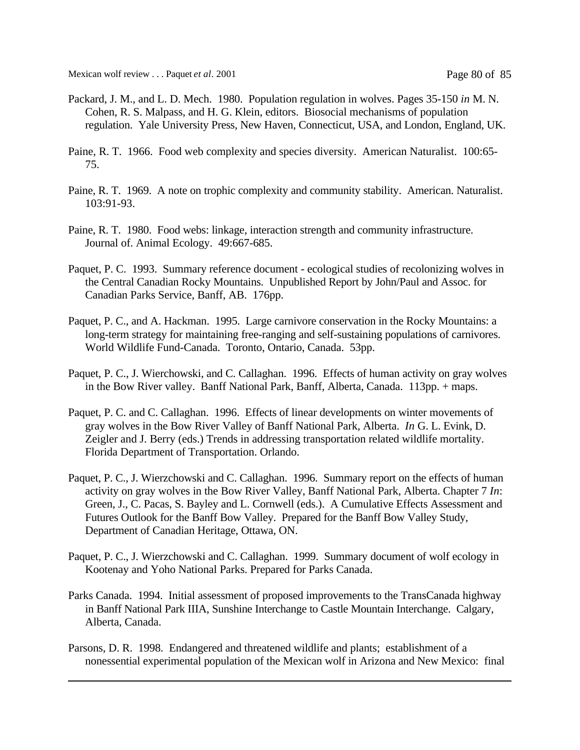- Packard, J. M., and L. D. Mech. 1980. Population regulation in wolves. Pages 35-150 *in* M. N. Cohen, R. S. Malpass, and H. G. Klein, editors. Biosocial mechanisms of population regulation. Yale University Press, New Haven, Connecticut, USA, and London, England, UK.
- Paine, R. T. 1966. Food web complexity and species diversity. American Naturalist. 100:65- 75.
- Paine, R. T. 1969. A note on trophic complexity and community stability. American. Naturalist. 103:91-93.
- Paine, R. T. 1980. Food webs: linkage, interaction strength and community infrastructure. Journal of. Animal Ecology. 49:667-685.
- Paquet, P. C. 1993. Summary reference document ecological studies of recolonizing wolves in the Central Canadian Rocky Mountains. Unpublished Report by John/Paul and Assoc. for Canadian Parks Service, Banff, AB. 176pp.
- Paquet, P. C., and A. Hackman. 1995. Large carnivore conservation in the Rocky Mountains: a long-term strategy for maintaining free-ranging and self-sustaining populations of carnivores. World Wildlife Fund-Canada. Toronto, Ontario, Canada. 53pp.
- Paquet, P. C., J. Wierchowski, and C. Callaghan. 1996. Effects of human activity on gray wolves in the Bow River valley. Banff National Park, Banff, Alberta, Canada. 113pp. + maps.
- Paquet, P. C. and C. Callaghan. 1996. Effects of linear developments on winter movements of gray wolves in the Bow River Valley of Banff National Park, Alberta. *In* G. L. Evink, D. Zeigler and J. Berry (eds.) Trends in addressing transportation related wildlife mortality. Florida Department of Transportation. Orlando.
- Paquet, P. C., J. Wierzchowski and C. Callaghan. 1996. Summary report on the effects of human activity on gray wolves in the Bow River Valley, Banff National Park, Alberta. Chapter 7 *In*: Green, J., C. Pacas, S. Bayley and L. Cornwell (eds.). A Cumulative Effects Assessment and Futures Outlook for the Banff Bow Valley. Prepared for the Banff Bow Valley Study, Department of Canadian Heritage, Ottawa, ON.
- Paquet, P. C., J. Wierzchowski and C. Callaghan. 1999. Summary document of wolf ecology in Kootenay and Yoho National Parks. Prepared for Parks Canada.
- Parks Canada. 1994. Initial assessment of proposed improvements to the TransCanada highway in Banff National Park IIIA, Sunshine Interchange to Castle Mountain Interchange. Calgary, Alberta, Canada.
- Parsons, D. R. 1998. Endangered and threatened wildlife and plants; establishment of a nonessential experimental population of the Mexican wolf in Arizona and New Mexico: final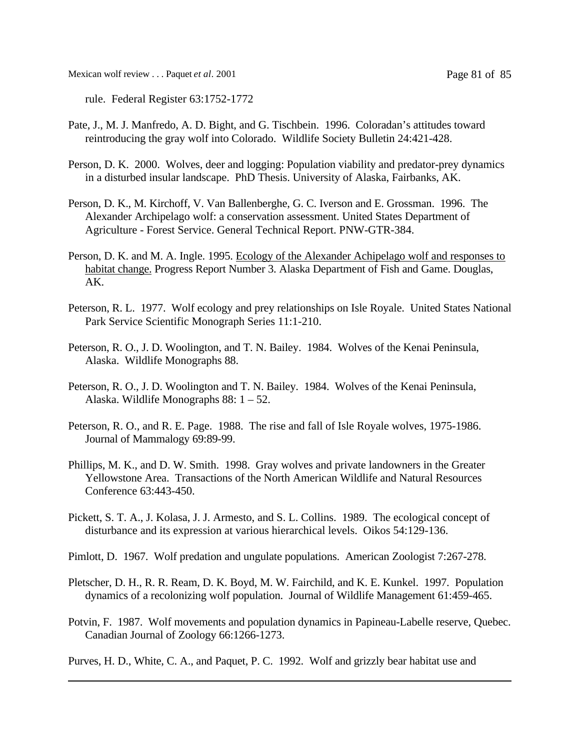Mexican wolf review . . . Paquet *et al*. 2001 Page 81 of 85

rule. Federal Register 63:1752-1772

- Pate, J., M. J. Manfredo, A. D. Bight, and G. Tischbein. 1996. Coloradan's attitudes toward reintroducing the gray wolf into Colorado. Wildlife Society Bulletin 24:421-428.
- Person, D. K. 2000. Wolves, deer and logging: Population viability and predator-prey dynamics in a disturbed insular landscape. PhD Thesis. University of Alaska, Fairbanks, AK.
- Person, D. K., M. Kirchoff, V. Van Ballenberghe, G. C. Iverson and E. Grossman. 1996. The Alexander Archipelago wolf: a conservation assessment. United States Department of Agriculture - Forest Service. General Technical Report. PNW-GTR-384.
- Person, D. K. and M. A. Ingle. 1995. Ecology of the Alexander Achipelago wolf and responses to habitat change. Progress Report Number 3. Alaska Department of Fish and Game. Douglas, AK.
- Peterson, R. L. 1977. Wolf ecology and prey relationships on Isle Royale. United States National Park Service Scientific Monograph Series 11:1-210.
- Peterson, R. O., J. D. Woolington, and T. N. Bailey. 1984. Wolves of the Kenai Peninsula, Alaska. Wildlife Monographs 88.
- Peterson, R. O., J. D. Woolington and T. N. Bailey. 1984. Wolves of the Kenai Peninsula, Alaska. Wildlife Monographs 88: 1 – 52.
- Peterson, R. O., and R. E. Page. 1988. The rise and fall of Isle Royale wolves, 1975-1986. Journal of Mammalogy 69:89-99.
- Phillips, M. K., and D. W. Smith. 1998. Gray wolves and private landowners in the Greater Yellowstone Area. Transactions of the North American Wildlife and Natural Resources Conference 63:443-450.
- Pickett, S. T. A., J. Kolasa, J. J. Armesto, and S. L. Collins. 1989. The ecological concept of disturbance and its expression at various hierarchical levels. Oikos 54:129-136.
- Pimlott, D. 1967. Wolf predation and ungulate populations. American Zoologist 7:267-278.
- Pletscher, D. H., R. R. Ream, D. K. Boyd, M. W. Fairchild, and K. E. Kunkel. 1997. Population dynamics of a recolonizing wolf population. Journal of Wildlife Management 61:459-465.
- Potvin, F. 1987. Wolf movements and population dynamics in Papineau-Labelle reserve, Quebec. Canadian Journal of Zoology 66:1266-1273.

Purves, H. D., White, C. A., and Paquet, P. C. 1992. Wolf and grizzly bear habitat use and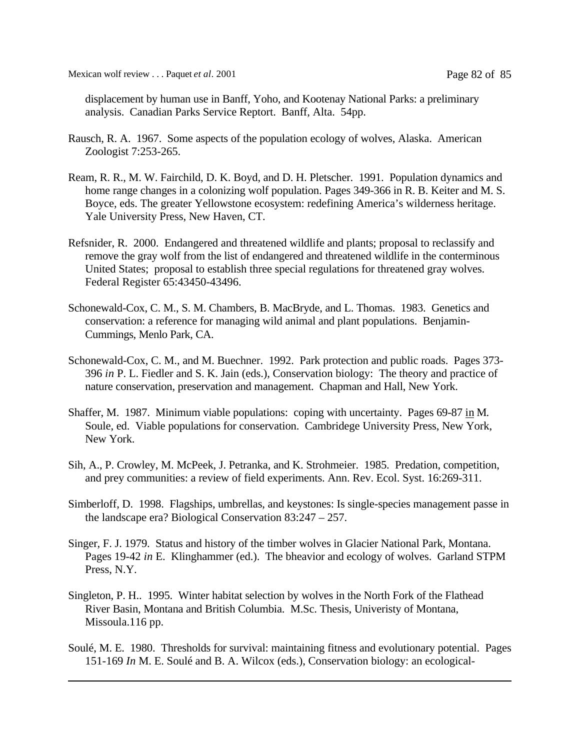Mexican wolf review . . . Paquet *et al*. 2001 Page 82 of 85

displacement by human use in Banff, Yoho, and Kootenay National Parks: a preliminary analysis. Canadian Parks Service Reptort. Banff, Alta. 54pp.

- Rausch, R. A. 1967. Some aspects of the population ecology of wolves, Alaska. American Zoologist 7:253-265.
- Ream, R. R., M. W. Fairchild, D. K. Boyd, and D. H. Pletscher. 1991. Population dynamics and home range changes in a colonizing wolf population. Pages 349-366 in R. B. Keiter and M. S. Boyce, eds. The greater Yellowstone ecosystem: redefining America's wilderness heritage. Yale University Press, New Haven, CT.
- Refsnider, R. 2000. Endangered and threatened wildlife and plants; proposal to reclassify and remove the gray wolf from the list of endangered and threatened wildlife in the conterminous United States; proposal to establish three special regulations for threatened gray wolves. Federal Register 65:43450-43496.
- Schonewald-Cox, C. M., S. M. Chambers, B. MacBryde, and L. Thomas. 1983. Genetics and conservation: a reference for managing wild animal and plant populations. Benjamin-Cummings, Menlo Park, CA.
- Schonewald-Cox, C. M., and M. Buechner. 1992. Park protection and public roads. Pages 373- 396 *in* P. L. Fiedler and S. K. Jain (eds.), Conservation biology: The theory and practice of nature conservation, preservation and management. Chapman and Hall, New York.
- Shaffer, M. 1987. Minimum viable populations: coping with uncertainty. Pages 69-87 in M. Soule, ed. Viable populations for conservation. Cambridege University Press, New York, New York.
- Sih, A., P. Crowley, M. McPeek, J. Petranka, and K. Strohmeier. 1985. Predation, competition, and prey communities: a review of field experiments. Ann. Rev. Ecol. Syst. 16:269-311.
- Simberloff, D. 1998. Flagships, umbrellas, and keystones: Is single-species management passe in the landscape era? Biological Conservation 83:247 – 257.
- Singer, F. J. 1979. Status and history of the timber wolves in Glacier National Park, Montana. Pages 19-42 *in* E. Klinghammer (ed.). The bheavior and ecology of wolves. Garland STPM Press, N.Y.
- Singleton, P. H.. 1995. Winter habitat selection by wolves in the North Fork of the Flathead River Basin, Montana and British Columbia. M.Sc. Thesis, Univeristy of Montana, Missoula.116 pp.
- Soulé, M. E. 1980. Thresholds for survival: maintaining fitness and evolutionary potential. Pages 151-169 *In* M. E. Soulé and B. A. Wilcox (eds.), Conservation biology: an ecological-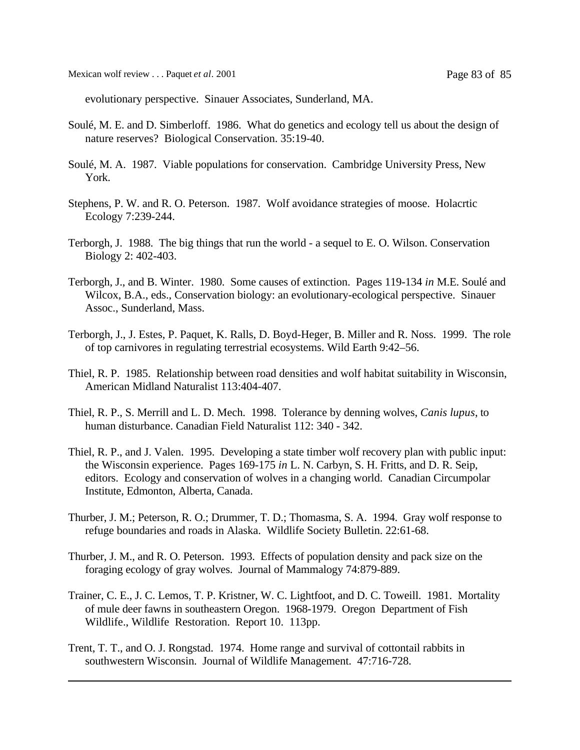Mexican wolf review . . . Paquet *et al*. 2001 Page 83 of 85

evolutionary perspective. Sinauer Associates, Sunderland, MA.

- Soulé, M. E. and D. Simberloff. 1986. What do genetics and ecology tell us about the design of nature reserves? Biological Conservation. 35:19-40.
- Soulé, M. A. 1987. Viable populations for conservation. Cambridge University Press, New York.
- Stephens, P. W. and R. O. Peterson. 1987. Wolf avoidance strategies of moose. Holacrtic Ecology 7:239-244.
- Terborgh, J. 1988. The big things that run the world a sequel to E. O. Wilson. Conservation Biology 2: 402-403.
- Terborgh, J., and B. Winter. 1980. Some causes of extinction. Pages 119-134 *in* M.E. Soulé and Wilcox, B.A., eds., Conservation biology: an evolutionary-ecological perspective. Sinauer Assoc., Sunderland, Mass.
- Terborgh, J., J. Estes, P. Paquet, K. Ralls, D. Boyd-Heger, B. Miller and R. Noss. 1999. The role of top carnivores in regulating terrestrial ecosystems. Wild Earth 9:42–56.
- Thiel, R. P. 1985. Relationship between road densities and wolf habitat suitability in Wisconsin, American Midland Naturalist 113:404-407.
- Thiel, R. P., S. Merrill and L. D. Mech. 1998. Tolerance by denning wolves, *Canis lupus*, to human disturbance. Canadian Field Naturalist 112: 340 - 342.
- Thiel, R. P., and J. Valen. 1995. Developing a state timber wolf recovery plan with public input: the Wisconsin experience. Pages 169-175 *in* L. N. Carbyn, S. H. Fritts, and D. R. Seip, editors. Ecology and conservation of wolves in a changing world. Canadian Circumpolar Institute, Edmonton, Alberta, Canada.
- Thurber, J. M.; Peterson, R. O.; Drummer, T. D.; Thomasma, S. A. 1994. Gray wolf response to refuge boundaries and roads in Alaska. Wildlife Society Bulletin. 22:61-68.
- Thurber, J. M., and R. O. Peterson. 1993. Effects of population density and pack size on the foraging ecology of gray wolves. Journal of Mammalogy 74:879-889.
- Trainer, C. E., J. C. Lemos, T. P. Kristner, W. C. Lightfoot, and D. C. Toweill. 1981. Mortality of mule deer fawns in southeastern Oregon. 1968-1979. Oregon Department of Fish Wildlife., Wildlife Restoration. Report 10. 113pp.
- Trent, T. T., and O. J. Rongstad. 1974. Home range and survival of cottontail rabbits in southwestern Wisconsin. Journal of Wildlife Management. 47:716-728.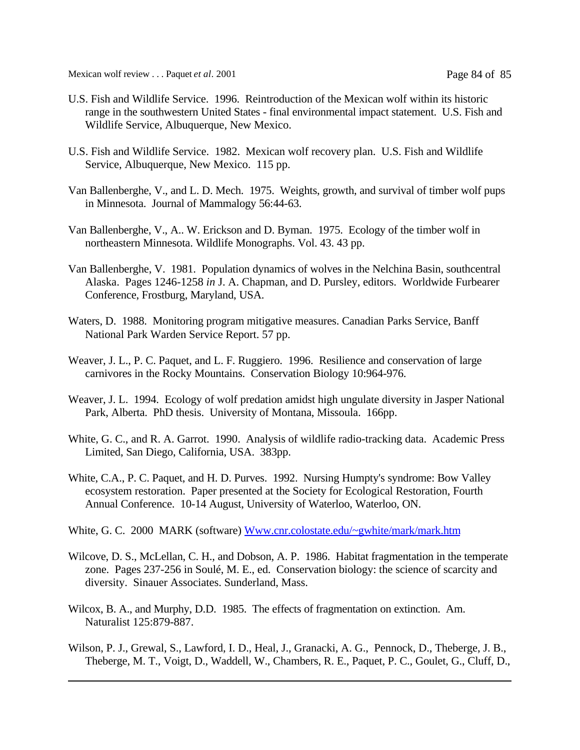Mexican wolf review . . . Paquet *et al*. 2001 Page 84 of 85

- U.S. Fish and Wildlife Service. 1996. Reintroduction of the Mexican wolf within its historic range in the southwestern United States - final environmental impact statement. U.S. Fish and Wildlife Service, Albuquerque, New Mexico.
- U.S. Fish and Wildlife Service. 1982. Mexican wolf recovery plan. U.S. Fish and Wildlife Service, Albuquerque, New Mexico. 115 pp.
- Van Ballenberghe, V., and L. D. Mech. 1975. Weights, growth, and survival of timber wolf pups in Minnesota. Journal of Mammalogy 56:44-63.
- Van Ballenberghe, V., A.. W. Erickson and D. Byman. 1975. Ecology of the timber wolf in northeastern Minnesota. Wildlife Monographs. Vol. 43. 43 pp.
- Van Ballenberghe, V. 1981. Population dynamics of wolves in the Nelchina Basin, southcentral Alaska. Pages 1246-1258 *in* J. A. Chapman, and D. Pursley, editors. Worldwide Furbearer Conference, Frostburg, Maryland, USA.
- Waters, D. 1988. Monitoring program mitigative measures. Canadian Parks Service, Banff National Park Warden Service Report. 57 pp.
- Weaver, J. L., P. C. Paquet, and L. F. Ruggiero. 1996. Resilience and conservation of large carnivores in the Rocky Mountains. Conservation Biology 10:964-976.
- Weaver, J. L. 1994. Ecology of wolf predation amidst high ungulate diversity in Jasper National Park, Alberta. PhD thesis. University of Montana, Missoula. 166pp.
- White, G. C., and R. A. Garrot. 1990. Analysis of wildlife radio-tracking data. Academic Press Limited, San Diego, California, USA. 383pp.
- White, C.A., P. C. Paquet, and H. D. Purves. 1992. Nursing Humpty's syndrome: Bow Valley ecosystem restoration. Paper presented at the Society for Ecological Restoration, Fourth Annual Conference. 10-14 August, University of Waterloo, Waterloo, ON.
- White, G. C. 2000 MARK (software) Www.cnr.colostate.edu/~gwhite/mark/mark.htm
- Wilcove, D. S., McLellan, C. H., and Dobson, A. P. 1986. Habitat fragmentation in the temperate zone. Pages 237-256 in Soulé, M. E., ed. Conservation biology: the science of scarcity and diversity. Sinauer Associates. Sunderland, Mass.
- Wilcox, B. A., and Murphy, D.D. 1985. The effects of fragmentation on extinction. Am. Naturalist 125:879-887.
- Wilson, P. J., Grewal, S., Lawford, I. D., Heal, J., Granacki, A. G., Pennock, D., Theberge, J. B., Theberge, M. T., Voigt, D., Waddell, W., Chambers, R. E., Paquet, P. C., Goulet, G., Cluff, D.,